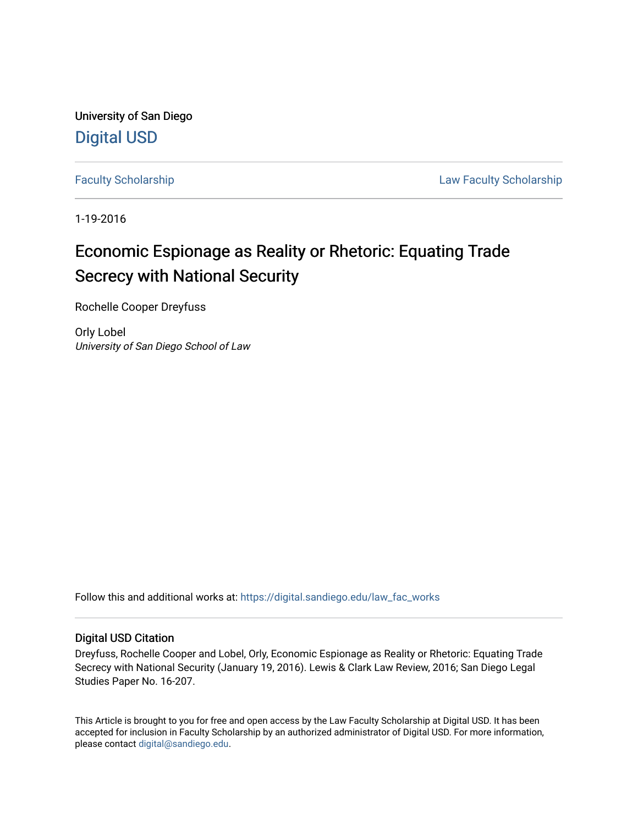University of San Diego [Digital USD](https://digital.sandiego.edu/)

[Faculty Scholarship](https://digital.sandiego.edu/law_fac_works) **Example 20** Exercise 20 and 20 Exercise 20 and 20 Eaw Faculty Scholarship

1-19-2016

### Economic Espionage as Reality or Rhetoric: Equating Trade Secrecy with National Security

Rochelle Cooper Dreyfuss

Orly Lobel University of San Diego School of Law

Follow this and additional works at: [https://digital.sandiego.edu/law\\_fac\\_works](https://digital.sandiego.edu/law_fac_works?utm_source=digital.sandiego.edu%2Flaw_fac_works%2F1&utm_medium=PDF&utm_campaign=PDFCoverPages) 

#### Digital USD Citation

Dreyfuss, Rochelle Cooper and Lobel, Orly, Economic Espionage as Reality or Rhetoric: Equating Trade Secrecy with National Security (January 19, 2016). Lewis & Clark Law Review, 2016; San Diego Legal Studies Paper No. 16-207.

This Article is brought to you for free and open access by the Law Faculty Scholarship at Digital USD. It has been accepted for inclusion in Faculty Scholarship by an authorized administrator of Digital USD. For more information, please contact [digital@sandiego.edu.](mailto:digital@sandiego.edu)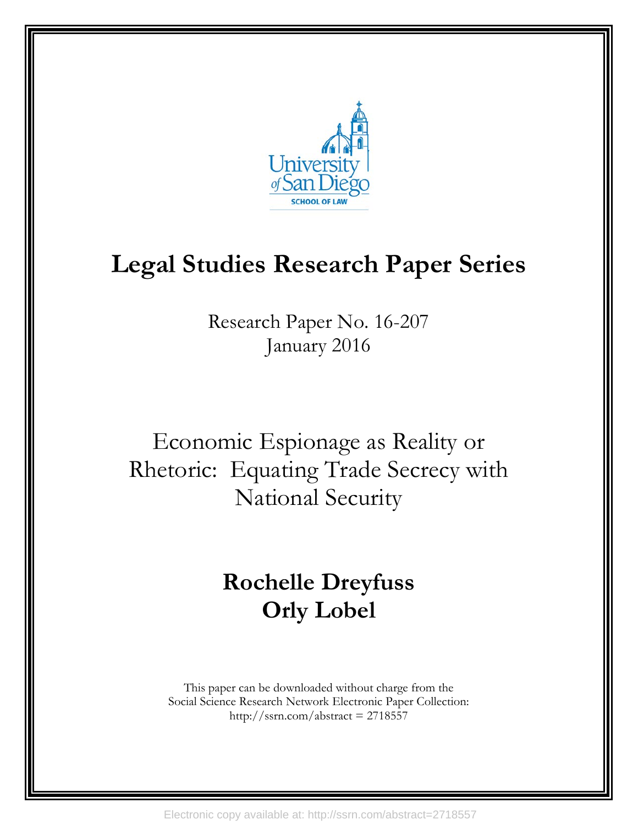

# **Legal Studies Research Paper Series**

Research Paper No. 16-207 January 2016

Economic Espionage as Reality or Rhetoric: Equating Trade Secrecy with National Security

## **Rochelle Dreyfuss Orly Lobel**

This paper can be downloaded without charge from the Social Science Research Network Electronic Paper Collection: http://ssrn.com/abstract = 2718557

Electronic copy available at: http://ssrn.com/abstract=2718557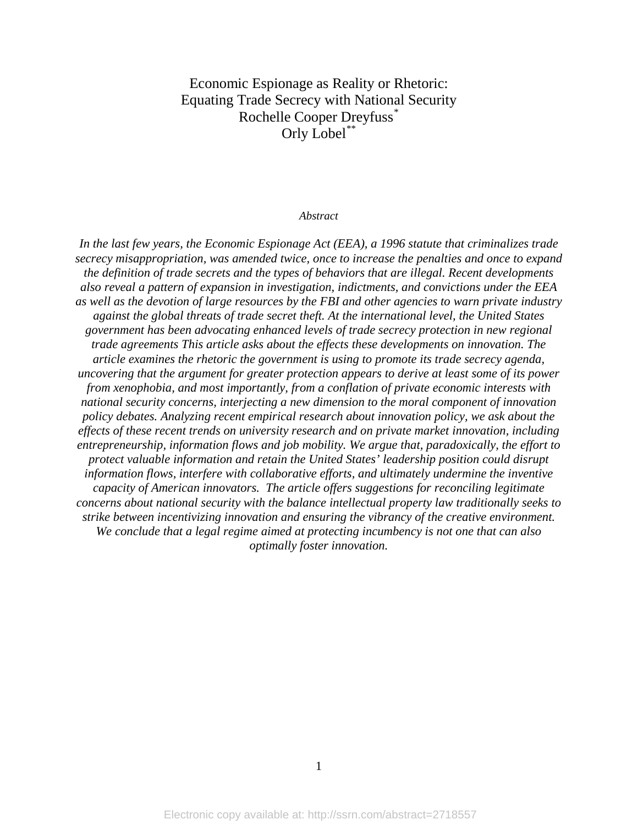Economic Espionage as Reality or Rhetoric: Equating Trade Secrecy with National Security Rochelle Cooper Dreyfuss[\\*](#page-46-0) Orly Lobel<sup>[\\*\\*](#page-46-1)</sup>

#### *Abstract*

*In the last few years, the Economic Espionage Act (EEA), a 1996 statute that criminalizes trade secrecy misappropriation, was amended twice, once to increase the penalties and once to expand the definition of trade secrets and the types of behaviors that are illegal. Recent developments also reveal a pattern of expansion in investigation, indictments, and convictions under the EEA as well as the devotion of large resources by the FBI and other agencies to warn private industry against the global threats of trade secret theft. At the international level, the United States government has been advocating enhanced levels of trade secrecy protection in new regional trade agreements This article asks about the effects these developments on innovation. The article examines the rhetoric the government is using to promote its trade secrecy agenda, uncovering that the argument for greater protection appears to derive at least some of its power from xenophobia, and most importantly, from a conflation of private economic interests with national security concerns, interjecting a new dimension to the moral component of innovation policy debates. Analyzing recent empirical research about innovation policy, we ask about the effects of these recent trends on university research and on private market innovation, including entrepreneurship, information flows and job mobility. We argue that, paradoxically, the effort to protect valuable information and retain the United States' leadership position could disrupt information flows, interfere with collaborative efforts, and ultimately undermine the inventive capacity of American innovators. The article offers suggestions for reconciling legitimate concerns about national security with the balance intellectual property law traditionally seeks to strike between incentivizing innovation and ensuring the vibrancy of the creative environment. We conclude that a legal regime aimed at protecting incumbency is not one that can also optimally foster innovation.*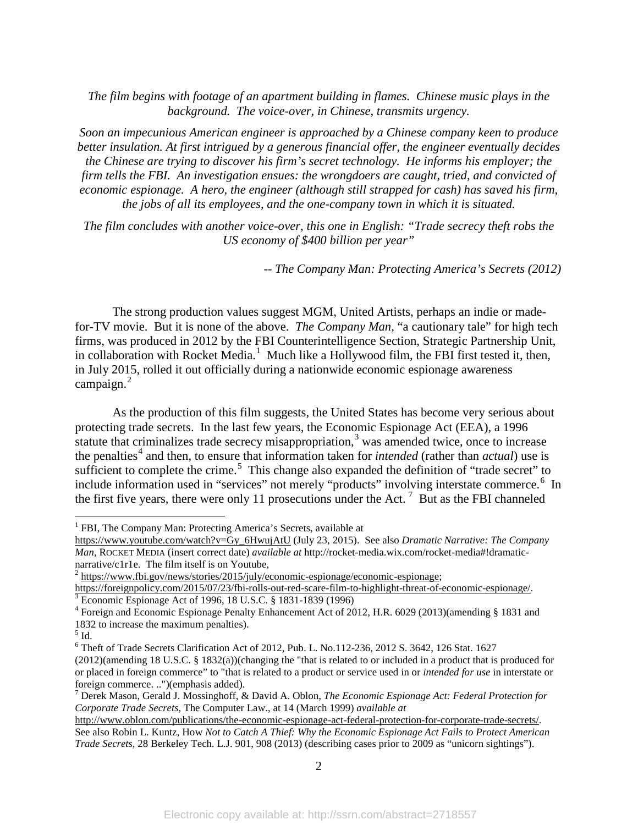*The film begins with footage of an apartment building in flames. Chinese music plays in the background. The voice-over, in Chinese, transmits urgency.*

*Soon an impecunious American engineer is approached by a Chinese company keen to produce better insulation. At first intrigued by a generous financial offer, the engineer eventually decides the Chinese are trying to discover his firm's secret technology. He informs his employer; the firm tells the FBI. An investigation ensues: the wrongdoers are caught, tried, and convicted of economic espionage. A hero, the engineer (although still strapped for cash) has saved his firm, the jobs of all its employees, and the one-company town in which it is situated.*

*The film concludes with another voice-over, this one in English: "Trade secrecy theft robs the US economy of \$400 billion per year"*

<span id="page-3-7"></span>*-- The Company Man: Protecting America's Secrets (2012)*

The strong production values suggest MGM, United Artists, perhaps an indie or madefor-TV movie. But it is none of the above. *The Company Man,* "a cautionary tale" for high tech firms, was produced in 2012 by the FBI Counterintelligence Section, Strategic Partnership Unit, in collaboration with Rocket Media.<sup>[1](#page-3-0)</sup> Much like a Hollywood film, the FBI first tested it, then, in July 2015, rolled it out officially during a nationwide economic espionage awareness campaign.<sup>[2](#page-3-1)</sup>

As the production of this film suggests, the United States has become very serious about protecting trade secrets. In the last few years, the Economic Espionage Act (EEA), a 1996 statute that criminalizes trade secrecy misappropriation, $3$  was amended twice, once to increase the penalties<sup>[4](#page-3-3)</sup> and then, to ensure that information taken for *intended* (rather than *actual*) use is sufficient to complete the crime.<sup>[5](#page-3-4)</sup> This change also expanded the definition of "trade secret" to include information used in "services" not merely "products" involving interstate commerce.<sup>[6](#page-3-5)</sup> In the first five years, there were only 11 prosecutions under the Act.<sup>[7](#page-3-6)</sup> But as the FBI channeled

<span id="page-3-1"></span>

<span id="page-3-0"></span><sup>&</sup>lt;sup>1</sup> FBI, The Company Man: Protecting America's Secrets, available at

[https://www.youtube.com/watch?v=Gy\\_6HwujAtU](https://www.youtube.com/watch?v=Gy_6HwujAtU) (July 23, 2015). See also *Dramatic Narrative: The Company Man*, ROCKET MEDIA (insert correct date) *available at* [http://rocket-media.wix.com/rocket-media#!dramatic](http://rocket-media.wix.com/rocket-media%23!dramatic-narrative/c1r1e)[narrative/c1r1e.](http://rocket-media.wix.com/rocket-media%23!dramatic-narrative/c1r1e) The film itself is on Youtube,<br>
<sup>[2](http://rocket-media.wix.com/rocket-media%23!dramatic-narrative/c1r1e)</sup> [https://www.fbi.gov/news/stories/2015/july/economic-espionage/economic-espionage;](https://www.fbi.gov/news/stories/2015/july/economic-espionage/economic-espionage)<br>
https://foreignpolicy.com/2015/07/23/fbi-rolls-out-red-scare-film-to-highlight-threat-

<span id="page-3-3"></span><span id="page-3-2"></span><sup>&</sup>lt;sup>3</sup> Economic Espionage Act of 1996, 18 U.S.C. § 1831-1839 (1996)<br><sup>4</sup> Foreign and Economic Espionage Penalty Enhancement Act of 2012, H.R. 6029 (2013)(amending § 1831 and 1832 to increase the maximum penalties).

<span id="page-3-4"></span> $<sup>5</sup>$  Id.</sup>

<span id="page-3-5"></span><sup>6</sup> Theft of Trade Secrets Clarification Act of 2012, Pub. L. No.112-236, 2012 S. 3642, 126 Stat. 1627 (2012)(amending 18 U.S.C. § 1832(a))(changing the "that is related to or included in a product that is produced for or placed in foreign commerce" to "that is related to a product or service used in or *intended for use* in interstate or foreign commerce. ..")(emphasis added).

<span id="page-3-6"></span><sup>7</sup> Derek Mason, Gerald J. Mossinghoff, & David A. Oblon, *The Economic Espionage Act: Federal Protection for Corporate Trade Secrets*, The Computer Law., at 14 (March 1999) *available at*

[http://www.oblon.com/publications/the-economic-espionage-act-federal-protection-for-corporate-trade-secrets/.](http://www.oblon.com/publications/the-economic-espionage-act-federal-protection-for-corporate-trade-secrets/)  See also Robin L. Kuntz, How *Not to Catch A Thief: Why the Economic Espionage Act Fails to Protect American Trade Secrets*, 28 Berkeley Tech. L.J. 901, 908 (2013) (describing cases prior to 2009 as "unicorn sightings").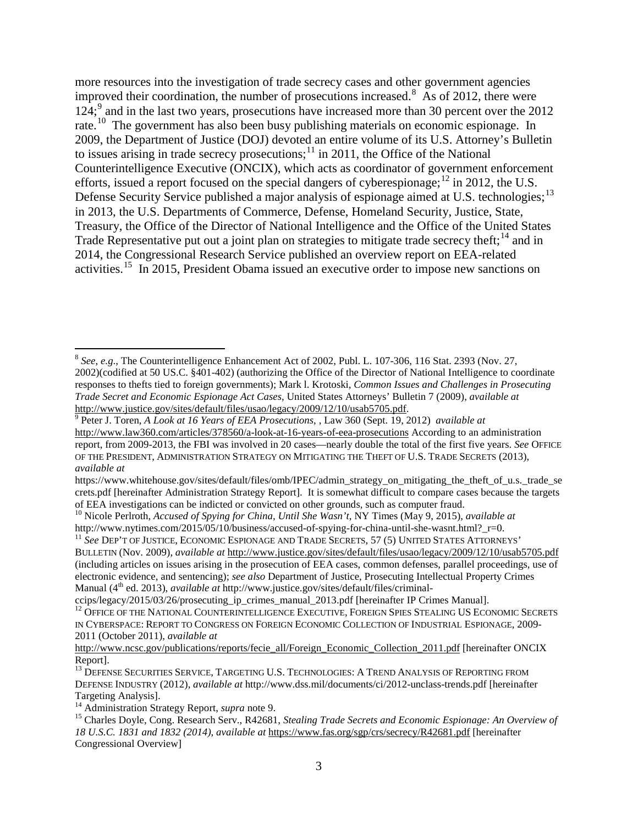<span id="page-4-13"></span><span id="page-4-12"></span><span id="page-4-11"></span><span id="page-4-10"></span><span id="page-4-0"></span>more resources into the investigation of trade secrecy cases and other government agencies improved their coordination, the number of prosecutions increased. [8](#page-4-1) As of 2012, there were 124;<sup>[9](#page-4-2)</sup> and in the last two years, prosecutions have increased more than 30 percent over the 2012 rate.<sup>10</sup> The government has also been busy publishing materials on economic espionage. In 2009, the Department of Justice (DOJ) devoted an entire volume of its U.S. Attorney's Bulletin to issues arising in trade secrecy prosecutions; $11$  in 2011, the Office of the National Counterintelligence Executive (ONCIX), which acts as coordinator of government enforcement efforts, issued a report focused on the special dangers of cyberespionage; $^{12}$  $^{12}$  $^{12}$  in 2012, the U.S. Defense Security Service published a major analysis of espionage aimed at U.S. technologies;<sup>[13](#page-4-6)</sup> in 2013, the U.S. Departments of Commerce, Defense, Homeland Security, Justice, State, Treasury, the Office of the Director of National Intelligence and the Office of the United States Trade Representative put out a joint plan on strategies to mitigate trade secrecy theft;<sup>[14](#page-4-7)</sup> and in 2014, the Congressional Research Service published an overview report on EEA-related activities.<sup>15</sup> In 2015, President Obama issued an executive order to impose new sanctions on

<span id="page-4-9"></span><span id="page-4-1"></span> <sup>8</sup> *See*, *e.g*., The Counterintelligence Enhancement Act of 2002, Publ. L. 107-306, 116 Stat. 2393 (Nov. 27, 2002)(codified at 50 US.C. §401-402) (authorizing the Office of the Director of National Intelligence to coordinate responses to thefts tied to foreign governments); Mark l. Krotoski, *Common Issues and Challenges in Prosecuting Trade Secret and Economic Espionage Act Cases*, United States Attorneys' Bulletin 7 (2009), *available at*

<span id="page-4-2"></span><sup>&</sup>lt;sup>[9](http://www.justice.gov/sites/default/files/usao/legacy/2009/12/10/usab5705.pdf)</sup> Peter J. Toren, *A Look at 16 Years of EEA Prosecutions*, , Law 360 (Sept. 19, 2012) *available at* <http://www.law360.com/articles/378560/a-look-at-16-years-of-eea-prosecutions> According to an administration report, from 2009-2013, the FBI was involved in 20 cases—nearly double the total of the first five years. *See* OFFICE OF THE PRESIDENT, ADMINISTRATION STRATEGY ON MITIGATING THE THEFT OF U.S. TRADE SECRETS (2013), *available at*

https://www.whitehouse.gov/sites/default/files/omb/IPEC/admin\_strategy\_on\_mitigating\_the\_theft\_of\_u.s.\_trade\_se crets.pdf [hereinafter Administration Strategy Report]. It is somewhat difficult to compare cases because the targets of EEA investigations can be indicted or convicted on other grounds, such as computer fraud.

<span id="page-4-3"></span><sup>&</sup>lt;sup>10</sup> Nicole Perlroth, *Accused of Spying for China, Until She Wasn't*, NY Times (May 9, 2015), *available at* http://www.nytimes.com/2015/05/10/business/accused-of-spying-for-china-until-she-wasnt.html? r=0.

<span id="page-4-4"></span><sup>&</sup>lt;sup>11</sup> See DEP'T OF JUSTICE, ECONOMIC ESPIONAGE AND TRADE SECRETS, 57 (5) UNITED STATES ATTORNEYS' BULLETIN (Nov. 2009), *available at* <http://www.justice.gov/sites/default/files/usao/legacy/2009/12/10/usab5705.pdf> (including articles on issues arising in the prosecution of EEA cases, common defenses, parallel proceedings, use of electronic evidence, and sentencing); *see also* Department of Justice, Prosecuting Intellectual Property Crimes Manual (4<sup>th</sup> ed. 2013), *available at* http://www.justice.gov/sites/default/files/criminal-

<span id="page-4-5"></span>ccips/legacy/2015/03/26/prosecuting\_ip\_crimes\_manual\_2013.pdf [hereinafter IP Crimes Manual].<br><sup>12</sup> OFFICE OF THE NATIONAL COUNTERINTELLIGENCE EXECUTIVE, FOREIGN SPIES STEALING US ECONOMIC SECRETS IN CYBERSPACE: REPORT TO CONGRESS ON FOREIGN ECONOMIC COLLECTION OF INDUSTRIAL ESPIONAGE, 2009- 2011 (October 2011), *available at*

[http://www.ncsc.gov/publications/reports/fecie\\_all/Foreign\\_Economic\\_Collection\\_2011.pdf](http://www.ncsc.gov/publications/reports/fecie_all/Foreign_Economic_Collection_2011.pdf) [hereinafter ONCIX Report].<br><sup>13</sup> DEFENSE SECURITIES SERVICE, TARGETING U.S. TECHNOLOGIES: A TREND ANALYSIS OF REPORTING FROM

<span id="page-4-6"></span>DEFENSE INDUSTRY (2012), *available at* http://www.dss.mil/documents/ci/2012-unclass-trends.pdf [hereinafter Targeting Analysis].<br><sup>14</sup> Administration Strategy Report, *supra* note 9.

<span id="page-4-8"></span><span id="page-4-7"></span><sup>&</sup>lt;sup>15</sup> Charles Doyle, Cong. Research Serv., R42681, *Stealing Trade Secrets and Economic Espionage: An Overview of 18 U.S.C. 1831 and 1832 (2014)*, *available at* <https://www.fas.org/sgp/crs/secrecy/R42681.pdf> [hereinafter Congressional Overview]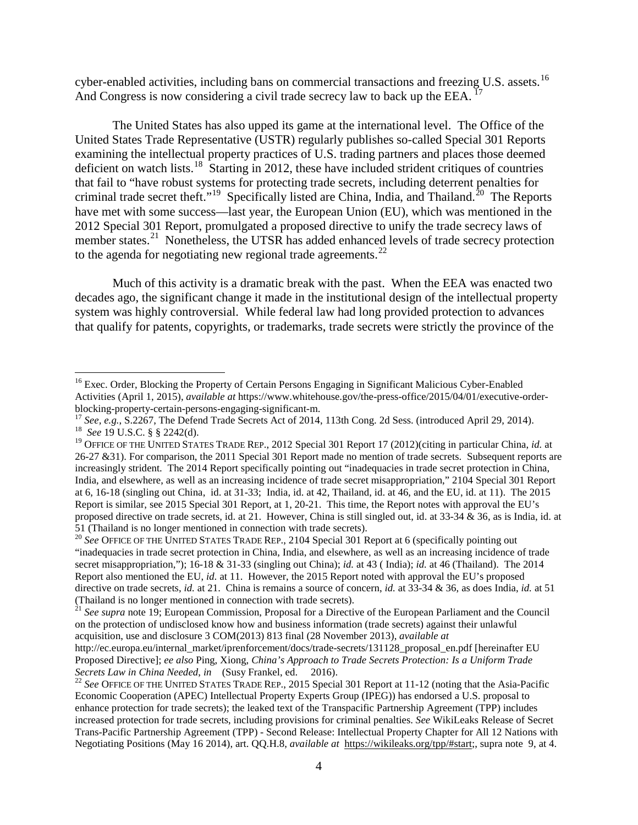cyber-enabled activities, including bans on commercial transactions and freezing U.S. assets.<sup>[16](#page-5-1)</sup> And Congress is now considering a civil trade secrecy law to back up the EEA.<sup>17</sup>

<span id="page-5-8"></span><span id="page-5-0"></span>The United States has also upped its game at the international level. The Office of the United States Trade Representative (USTR) regularly publishes so-called Special 301 Reports examining the intellectual property practices of U.S. trading partners and places those deemed deficient on watch lists.<sup>[18](#page-5-3)</sup> Starting in 2012, these have included strident critiques of countries that fail to "have robust systems for protecting trade secrets, including deterrent penalties for criminal trade secret theft."<sup>19</sup> Specifically listed are China, India, and Thailand.<sup>20</sup> The Reports have met with some success—last year, the European Union (EU), which was mentioned in the 2012 Special 301 Report, promulgated a proposed directive to unify the trade secrecy laws of member states.<sup>21</sup> Nonetheless, the UTSR has added enhanced levels of trade secrecy protection to the agenda for negotiating new regional trade agreements. $^{22}$  $^{22}$  $^{22}$ 

Much of this activity is a dramatic break with the past. When the EEA was enacted two decades ago, the significant change it made in the institutional design of the intellectual property system was highly controversial. While federal law had long provided protection to advances that qualify for patents, copyrights, or trademarks, trade secrets were strictly the province of the

<span id="page-5-1"></span><sup>&</sup>lt;sup>16</sup> Exec. Order, Blocking the Property of Certain Persons Engaging in Significant Malicious Cyber-Enabled Activities (April 1, 2015), *available at* https://www.whitehouse.gov/the-press-office/2015/04/01/executive-order-<br>blocking-property-certain-persons-engaging-significant-m.

<span id="page-5-2"></span><sup>&</sup>lt;sup>17</sup> See, e.g., S.2267, The Defend Trade Secrets Act of 2014, 113th Cong. 2d Sess. (introduced April 29, 2014). <sup>18</sup> See 19 U.S.C. § § 2242(d).

<span id="page-5-4"></span><span id="page-5-3"></span><sup>&</sup>lt;sup>19</sup> OFFICE OF THE UNITED STATES TRADE REP., 2012 Special 301 Report 17 (2012)(citing in particular China, *id.* at 26-27 &31). For comparison, the 2011 Special 301 Report made no mention of trade secrets. Subsequent reports are increasingly strident. The 2014 Report specifically pointing out "inadequacies in trade secret protection in China, India, and elsewhere, as well as an increasing incidence of trade secret misappropriation," 2104 Special 301 Report at 6, 16-18 (singling out China, id. at 31-33; India, id. at 42, Thailand, id. at 46, and the EU, id. at 11). The 2015 Report is similar, see 2015 Special 301 Report, at 1, 20-21. This time, the Report notes with approval the EU's proposed directive on trade secrets, id. at 21. However, China is still singled out, id. at 33-34 & 36, as is India, id. at 51 (Thailand is no longer mentioned in connection with trade secrets). <sup>20</sup> *See* OFFICE OF THE UNITED STATES TRADE REP., 2104 Special 301 Report at 6 (specifically pointing out

<span id="page-5-5"></span><sup>&</sup>quot;inadequacies in trade secret protection in China, India, and elsewhere, as well as an increasing incidence of trade secret misappropriation,"); 16-18 & 31-33 (singling out China); *id.* at 43 ( India); *id.* at 46 (Thailand). The 2014 Report also mentioned the EU, *id.* at 11. However, the 2015 Report noted with approval the EU's proposed directive on trade secrets, *id.* at 21. China is remains a source of concern, *id.* at 33-34 & 36, as does India, *id.* at 51 (Thailand is no longer mentioned in connection with trade secrets).

<span id="page-5-6"></span><sup>21</sup> *See supra* note [19;](#page-5-0) European Commission, Proposal for a Directive of the European Parliament and the Council on the protection of undisclosed know how and business information (trade secrets) against their unlawful acquisition, use and disclosure 3 COM(2013) 813 final (28 November 2013), *available at*

http://ec.europa.eu/internal\_market/iprenforcement/docs/trade-secrets/131128\_proposal\_en.pdf [hereinafter EU Proposed Directive]; *ee also* Ping, Xiong, *China's Approach to Trade Secrets Protection: Is a Uniform Trade* 

<span id="page-5-7"></span><sup>&</sup>lt;sup>22</sup> See OFFICE OF THE UNITED STATES TRADE REP., 2015 Special 301 Report at 11-12 (noting that the Asia-Pacific Economic Cooperation (APEC) Intellectual Property Experts Group (IPEG)) has endorsed a U.S. proposal to enhance protection for trade secrets); the leaked text of the Transpacific Partnership Agreement (TPP) includes increased protection for trade secrets, including provisions for criminal penalties. *See* WikiLeaks Release of Secret Trans-Pacific Partnership Agreement (TPP) - Second Release: Intellectual Property Chapter for All 12 Nations with Negotiating Positions (May 16 2014), art. QQ.H.8, *available at* [https://wikileaks.org/tpp/#start;](https://wikileaks.org/tpp/%23start), supra note [9,](#page-4-0) at 4.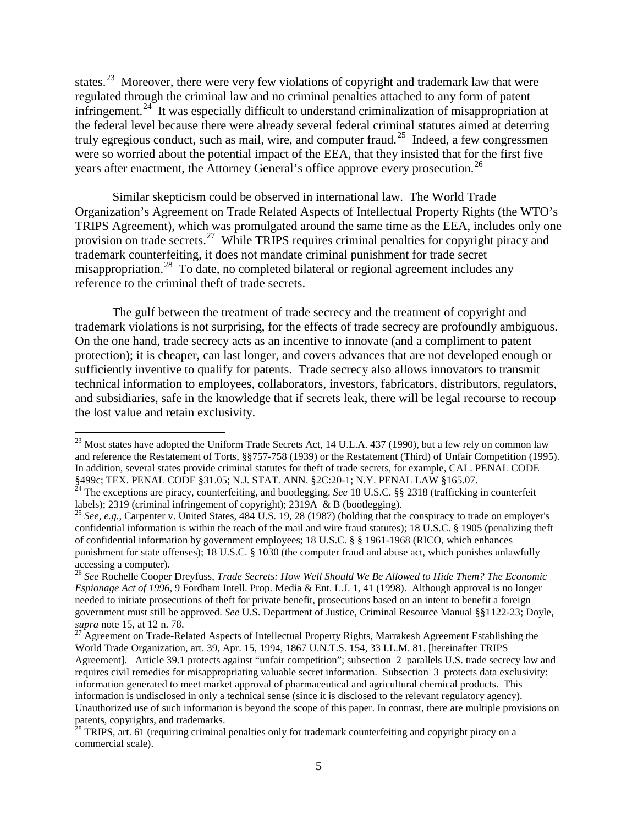states.<sup>[23](#page-6-0)</sup> Moreover, there were very few violations of copyright and trademark law that were regulated through the criminal law and no criminal penalties attached to any form of patent infringement.<sup>24</sup> It was especially difficult to understand criminalization of misappropriation at the federal level because there were already several federal criminal statutes aimed at deterring truly egregious conduct, such as mail, wire, and computer fraud.<sup>[25](#page-6-2)</sup> Indeed, a few congressmen were so worried about the potential impact of the EEA, that they insisted that for the first five years after enactment, the Attorney General's office approve every prosecution.<sup>[26](#page-6-3)</sup>

<span id="page-6-6"></span>Similar skepticism could be observed in international law. The World Trade Organization's Agreement on Trade Related Aspects of Intellectual Property Rights (the WTO's TRIPS Agreement), which was promulgated around the same time as the EEA, includes only one provision on trade secrets.<sup>[27](#page-6-4)</sup> While TRIPS requires criminal penalties for copyright piracy and trademark counterfeiting, it does not mandate criminal punishment for trade secret misappropriation.<sup>28</sup> To date, no completed bilateral or regional agreement includes any reference to the criminal theft of trade secrets.

The gulf between the treatment of trade secrecy and the treatment of copyright and trademark violations is not surprising, for the effects of trade secrecy are profoundly ambiguous. On the one hand, trade secrecy acts as an incentive to innovate (and a compliment to patent protection); it is cheaper, can last longer, and covers advances that are not developed enough or sufficiently inventive to qualify for patents. Trade secrecy also allows innovators to transmit technical information to employees, collaborators, investors, fabricators, distributors, regulators, and subsidiaries, safe in the knowledge that if secrets leak, there will be legal recourse to recoup the lost value and retain exclusivity.

<span id="page-6-0"></span><sup>&</sup>lt;sup>23</sup> Most states have adopted the Uniform Trade Secrets Act, 14 U.L.A. 437 (1990), but a few rely on common law and reference the Restatement of Torts, §§757-758 (1939) or the Restatement (Third) of Unfair Competition (1995). In addition, several states provide criminal statutes for theft of trade secrets, for example, CAL. PENAL CODE

<span id="page-6-1"></span><sup>§499</sup>c; TEX. PENAL CODE §31.05; N.J. STAT. ANN. §2C:20-1; N.Y. PENAL LAW §165.07.<br><sup>24</sup> The exceptions are piracy, counterfeiting, and bootlegging. *See* 18 U.S.C. §§ 2318 (trafficking in counterfeit labels); 2319 (criminal infringement of copyright); 2319A & B (bootlegging).

<span id="page-6-2"></span><sup>&</sup>lt;sup>25</sup> See, e.g., Carpenter v. United States, 484 U.S. 19, 28 (1987) (holding that the conspiracy to trade on employer's confidential information is within the reach of the mail and wire fraud statutes); 18 U.S.C. § 1905 (penalizing theft of confidential information by government employees; 18 U.S.C. § § 1961-1968 (RICO, which enhances punishment for state offenses); 18 U.S.C. § 1030 (the computer fraud and abuse act, which punishes unlawfully accessing a computer).

<span id="page-6-3"></span><sup>26</sup> *See* Rochelle Cooper Dreyfuss, *Trade Secrets: How Well Should We Be Allowed to Hide Them? The Economic Espionage Act of 1996*, 9 Fordham Intell. Prop. Media & Ent. L.J. 1, 41 (1998). Although approval is no longer needed to initiate prosecutions of theft for private benefit, prosecutions based on an intent to benefit a foreign government must still be approved. *See* U.S. Department of Justice, Criminal Resource Manual §§1122-23; Doyle,

<span id="page-6-4"></span><sup>&</sup>lt;sup>27</sup> Agreement on Trade-Related Aspects of Intellectual Property Rights, Marrakesh Agreement Establishing the World Trade Organization, art. 39, Apr. 15, 1994, 1867 U.N.T.S. 154, 33 I.L.M. 81. [hereinafter TRIPS Agreement]. Article 39.1 protects against "unfair competition"; subsection 2 parallels U.S. trade secrecy law and requires civil remedies for misappropriating valuable secret information. Subsection 3 protects data exclusivity: information generated to meet market approval of pharmaceutical and agricultural chemical products. This information is undisclosed in only a technical sense (since it is disclosed to the relevant regulatory agency). Unauthorized use of such information is beyond the scope of this paper. In contrast, there are multiple provisions on patents, copyrights, and trademarks.

<span id="page-6-5"></span> $28$  TRIPS, art. 61 (requiring criminal penalties only for trademark counterfeiting and copyright piracy on a commercial scale).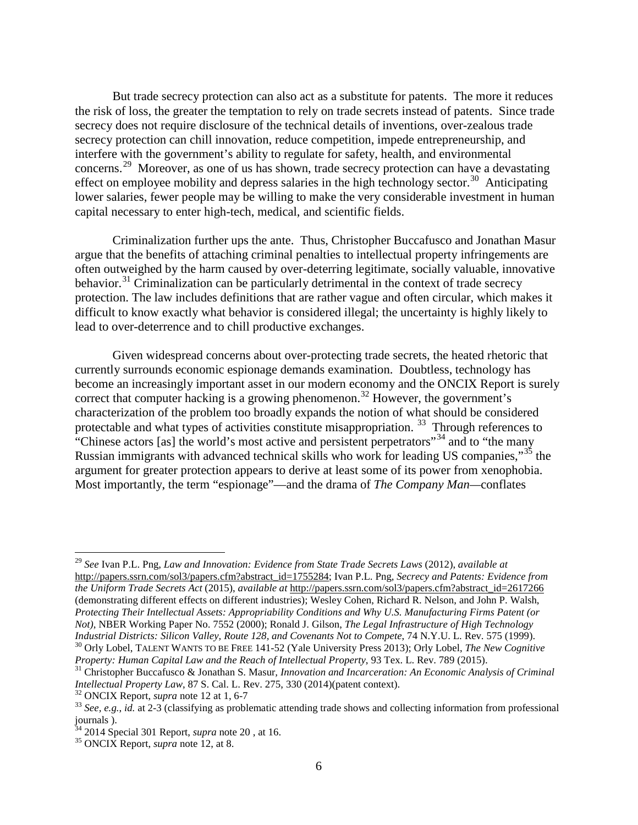But trade secrecy protection can also act as a substitute for patents. The more it reduces the risk of loss, the greater the temptation to rely on trade secrets instead of patents. Since trade secrecy does not require disclosure of the technical details of inventions, over-zealous trade secrecy protection can chill innovation, reduce competition, impede entrepreneurship, and interfere with the government's ability to regulate for safety, health, and environmental concerns.[29](#page-7-0) Moreover, as one of us has shown, trade secrecy protection can have a devastating effect on employee mobility and depress salaries in the high technology sector.<sup>30</sup> Anticipating lower salaries, fewer people may be willing to make the very considerable investment in human capital necessary to enter high-tech, medical, and scientific fields.

<span id="page-7-7"></span>Criminalization further ups the ante. Thus, Christopher Buccafusco and Jonathan Masur argue that the benefits of attaching criminal penalties to intellectual property infringements are often outweighed by the harm caused by over-deterring legitimate, socially valuable, innovative behavior.<sup>[31](#page-7-2)</sup> Criminalization can be particularly detrimental in the context of trade secrecy protection. The law includes definitions that are rather vague and often circular, which makes it difficult to know exactly what behavior is considered illegal; the uncertainty is highly likely to lead to over-deterrence and to chill productive exchanges.

Given widespread concerns about over-protecting trade secrets, the heated rhetoric that currently surrounds economic espionage demands examination. Doubtless, technology has become an increasingly important asset in our modern economy and the ONCIX Report is surely correct that computer hacking is a growing phenomenon. [32](#page-7-3) However, the government's characterization of the problem too broadly expands the notion of what should be considered protectable and what types of activities constitute misappropriation.<sup>[33](#page-7-4)</sup> Through references to "Chinese actors [as] the world's most active and persistent perpetrators"<sup>[34](#page-7-5)</sup> and to "the many" Russian immigrants with advanced technical skills who work for leading US companies,"[35](#page-7-6) the argument for greater protection appears to derive at least some of its power from xenophobia. Most importantly, the term "espionage"—and the drama of *The Company Man—*conflates

<span id="page-7-0"></span> 29 *See* Ivan P.L. Png, *Law and Innovation: Evidence from State Trade Secrets Laws* (2012), *available at* [http://papers.ssrn.com/sol3/papers.cfm?abstract\\_id=1755284;](http://papers.ssrn.com/sol3/papers.cfm?abstract_id=1755284) Ivan P.L. Png, *Secrecy and Patents: Evidence from the Uniform Trade Secrets Act* (2015), *available at* [http://papers.ssrn.com/sol3/papers.cfm?abstract\\_id=2617266](http://papers.ssrn.com/sol3/papers.cfm?abstract_id=2617266) (demonstrating different effects on different industries); Wesley Cohen, Richard R. Nelson, and John P. Walsh, *Protecting Their Intellectual Assets: Appropriability Conditions and Why U.S. Manufacturing Firms Patent (or Not)*, NBER Working Paper No. 7552 (2000); Ronald J. Gilson, *The Legal Infrastructure of High Technology* 

<span id="page-7-1"></span> $^{30}$  Orly Lobel, TALENT WANTS TO BE FREE 141-52 (Yale University Press 2013); Orly Lobel, *The New Cognitive Property: Human Capital Law and the Reach of Intellectual Property*, 93 Tex. L. Rev. 789 (2015).

<span id="page-7-2"></span><sup>&</sup>lt;sup>31</sup> Christopher Buccafusco & Jonathan S. Masur, *Innovation and Incarceration: An Economic Analysis of Criminal Intellectual Property Law, 87 S. Cal. L. Rev. 275, 330 (2014)(patent context).* 

<span id="page-7-4"></span><span id="page-7-3"></span><sup>&</sup>lt;sup>32</sup> ONCIX Report, *supra* note [12](#page-4-10) at 1, 6-7<br><sup>33</sup> See, e.g., id. at 2-3 (classifying as problematic attending trade shows and collecting information from professional journals ).

<span id="page-7-5"></span><sup>34</sup> 2014 Special 301 Report, *supra* note [20](#page-5-8) , at 16. <sup>35</sup> ONCIX Report, *supra* note [12,](#page-4-10) at 8.

<span id="page-7-6"></span>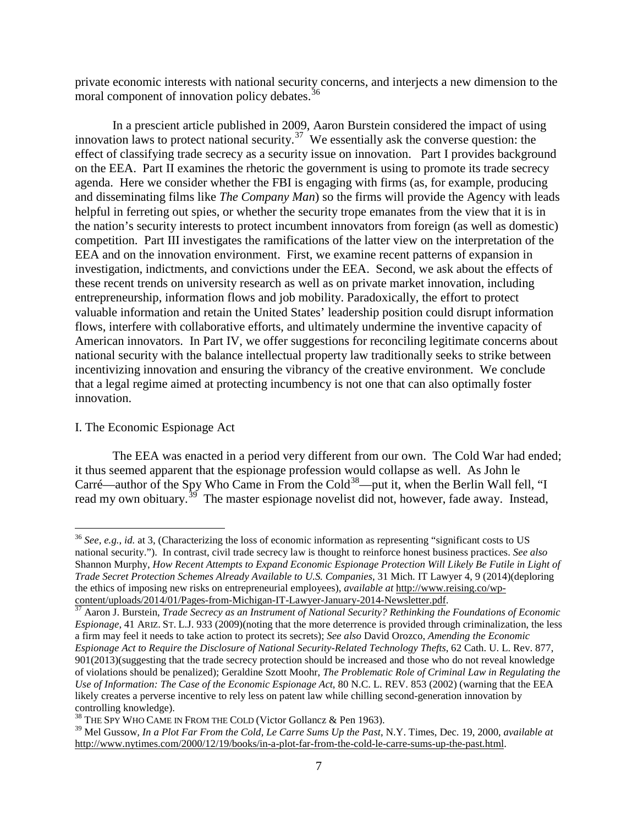private economic interests with national security concerns, and interjects a new dimension to the moral component of innovation policy debates.<sup>[36](#page-8-0)</sup>

<span id="page-8-4"></span>In a prescient article published in 2009, Aaron Burstein considered the impact of using innovation laws to protect national security.<sup>[37](#page-8-1)</sup> We essentially ask the converse question: the effect of classifying trade secrecy as a security issue on innovation. Part I provides background on the EEA. Part II examines the rhetoric the government is using to promote its trade secrecy agenda. Here we consider whether the FBI is engaging with firms (as, for example, producing and disseminating films like *The Company Man*) so the firms will provide the Agency with leads helpful in ferreting out spies, or whether the security trope emanates from the view that it is in the nation's security interests to protect incumbent innovators from foreign (as well as domestic) competition. Part III investigates the ramifications of the latter view on the interpretation of the EEA and on the innovation environment. First, we examine recent patterns of expansion in investigation, indictments, and convictions under the EEA. Second, we ask about the effects of these recent trends on university research as well as on private market innovation, including entrepreneurship, information flows and job mobility. Paradoxically, the effort to protect valuable information and retain the United States' leadership position could disrupt information flows, interfere with collaborative efforts, and ultimately undermine the inventive capacity of American innovators. In Part IV, we offer suggestions for reconciling legitimate concerns about national security with the balance intellectual property law traditionally seeks to strike between incentivizing innovation and ensuring the vibrancy of the creative environment. We conclude that a legal regime aimed at protecting incumbency is not one that can also optimally foster innovation.

#### I. The Economic Espionage Act

The EEA was enacted in a period very different from our own. The Cold War had ended; it thus seemed apparent that the espionage profession would collapse as well. As John le Carré—author of the Spy Who Came in From the Cold<sup>[38](#page-8-2)</sup>—put it, when the Berlin Wall fell, "I read my own obituary.<sup>[39](#page-8-3)</sup> The master espionage novelist did not, however, fade away. Instead,

<span id="page-8-0"></span> <sup>36</sup> *See, e.g.*, *id.* at 3, (Characterizing the loss of economic information as representing "significant costs to US national security."). In contrast, civil trade secrecy law is thought to reinforce honest business practices. *See also* Shannon Murphy, *How Recent Attempts to Expand Economic Espionage Protection Will Likely Be Futile in Light of Trade Secret Protection Schemes Already Available to U.S. Companies*, 31 Mich. IT Lawyer 4, 9 (2014)(deploring the ethics of imposing new risks on entrepreneurial employees), *available at* [http://www.reising.co/wp-](http://www.reising.co/wp-content/uploads/2014/01/Pages-from-Michigan-IT-Lawyer-January-2014-Newsletter.pdf)

<span id="page-8-1"></span>[content/uploads/2014/01/Pages-from-Michigan-IT-Lawyer-January-2014-Newsletter.pdf. 37](http://www.reising.co/wp-content/uploads/2014/01/Pages-from-Michigan-IT-Lawyer-January-2014-Newsletter.pdf) Aaron J. Burstein, *Trade Secrecy as an Instrument of National Security? Rethinking the Foundations of Economic Espionage*, 41 ARIZ. ST. L.J. 933 (2009)(noting that the more deterrence is provided through criminalization, the less a firm may feel it needs to take action to protect its secrets); *See also* David Orozco, *Amending the Economic Espionage Act to Require the Disclosure of National Security-Related Technology Thefts*, 62 Cath. U. L. Rev. 877, 901(2013)(suggesting that the trade secrecy protection should be increased and those who do not reveal knowledge of violations should be penalized); Geraldine Szott Moohr, *The Problematic Role of Criminal Law in Regulating the Use of Information: The Case of the Economic Espionage Act*, 80 N.C. L. REV. 853 (2002) (warning that the EEA likely creates a perverse incentive to rely less on patent law while chilling second-generation innovation by controlling knowledge).

<span id="page-8-2"></span><sup>&</sup>lt;sup>38</sup> THE SPY WHO CAME IN FROM THE COLD (Victor Gollancz & Pen 1963).

<span id="page-8-3"></span><sup>39</sup> Mel Gussow*, In a Plot Far From the Cold, Le Carre Sums Up the Past*, N.Y. Times, Dec. 19, 2000, *available at* [http://www.nytimes.com/2000/12/19/books/in-a-plot-far-from-the-cold-le-carre-sums-up-the-past.html.](http://www.nytimes.com/2000/12/19/books/in-a-plot-far-from-the-cold-le-carre-sums-up-the-past.html)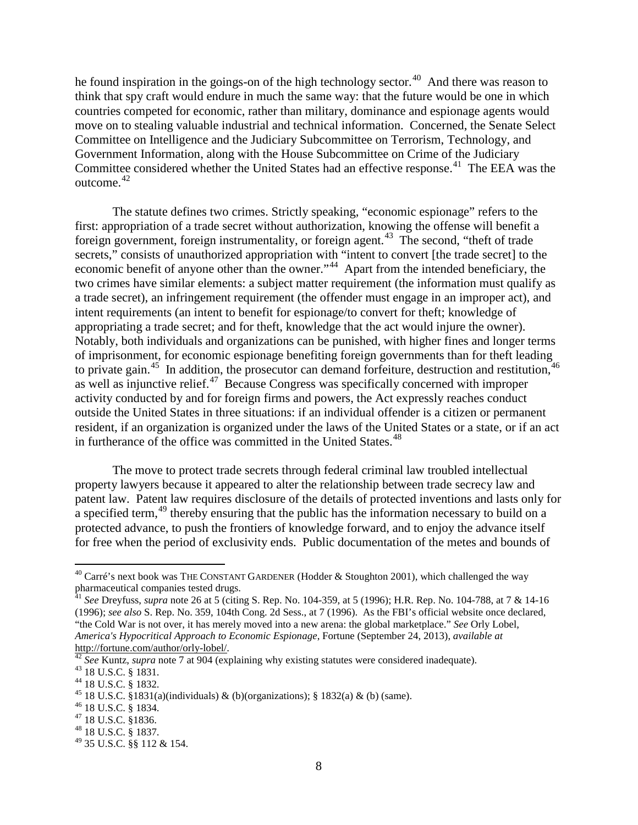he found inspiration in the goings-on of the high technology sector.<sup>[40](#page-9-0)</sup> And there was reason to think that spy craft would endure in much the same way: that the future would be one in which countries competed for economic, rather than military, dominance and espionage agents would move on to stealing valuable industrial and technical information. Concerned, the Senate Select Committee on Intelligence and the Judiciary Subcommittee on Terrorism, Technology, and Government Information, along with the House Subcommittee on Crime of the Judiciary Committee considered whether the United States had an effective response.<sup>[41](#page-9-1)</sup> The EEA was the outcome. [42](#page-9-2)

The statute defines two crimes. Strictly speaking, "economic espionage" refers to the first: appropriation of a trade secret without authorization, knowing the offense will benefit a foreign government, foreign instrumentality, or foreign agent.<sup>43</sup> The second, "theft of trade" secrets," consists of unauthorized appropriation with "intent to convert [the trade secret] to the economic benefit of anyone other than the owner."<sup>[44](#page-9-4)</sup> Apart from the intended beneficiary, the two crimes have similar elements: a subject matter requirement (the information must qualify as a trade secret), an infringement requirement (the offender must engage in an improper act), and intent requirements (an intent to benefit for espionage/to convert for theft; knowledge of appropriating a trade secret; and for theft, knowledge that the act would injure the owner). Notably, both individuals and organizations can be punished, with higher fines and longer terms of imprisonment, for economic espionage benefiting foreign governments than for theft leading to private gain.<sup>[45](#page-9-5)</sup> In addition, the prosecutor can demand forfeiture, destruction and restitution,<sup>[46](#page-9-6)</sup> as well as injunctive relief.[47](#page-9-7) Because Congress was specifically concerned with improper activity conducted by and for foreign firms and powers, the Act expressly reaches conduct outside the United States in three situations: if an individual offender is a citizen or permanent resident, if an organization is organized under the laws of the United States or a state, or if an act in furtherance of the office was committed in the United States.<sup>[48](#page-9-8)</sup>

The move to protect trade secrets through federal criminal law troubled intellectual property lawyers because it appeared to alter the relationship between trade secrecy law and patent law. Patent law requires disclosure of the details of protected inventions and lasts only for a specified term,<sup>[49](#page-9-9)</sup> thereby ensuring that the public has the information necessary to build on a protected advance, to push the frontiers of knowledge forward, and to enjoy the advance itself for free when the period of exclusivity ends. Public documentation of the metes and bounds of

<span id="page-9-0"></span><sup>&</sup>lt;sup>40</sup> Carré's next book was THE CONSTANT GARDENER (Hodder & Stoughton 2001), which challenged the way pharmaceutical companies tested drugs.

<span id="page-9-1"></span><sup>41</sup> *See* Dreyfuss, *supra* note [26](#page-6-6) at 5 (citing S. Rep. No. 104-359, at 5 (1996); H.R. Rep. No. 104-788, at 7 & 14-16 (1996); *see also* S. Rep. No. 359, 104th Cong. 2d Sess., at 7 (1996). As the FBI's official website once declared, "the Cold War is not over, it has merely moved into a new arena: the global marketplace." *See* Orly Lobel, *America's Hypocritical Approach to Economic Espionage*, Fortune (September 24, 2013), *available at*

<span id="page-9-2"></span>[http://fortune.com/author/orly-lobel/.](http://fortune.com/author/orly-lobel/)<br>
<sup>[42](http://fortune.com/author/orly-lobel/)</sup> See Kuntz, supra note [7](#page-3-7) at 904 (explaining why existing statutes were considered inadequate).<br>
<sup>43</sup> 18 U.S.C. § 1831.<br>
<sup>44</sup> 18 U.S.C. § 1832.<br>
<sup>45</sup> 18 U.S.C. § 1831(a)(individu

<span id="page-9-3"></span>

<span id="page-9-4"></span>

<span id="page-9-5"></span>

<span id="page-9-6"></span>

<span id="page-9-7"></span>

<span id="page-9-8"></span>

<span id="page-9-9"></span> $^{49}$  35 U.S.C. §§ 112 & 154.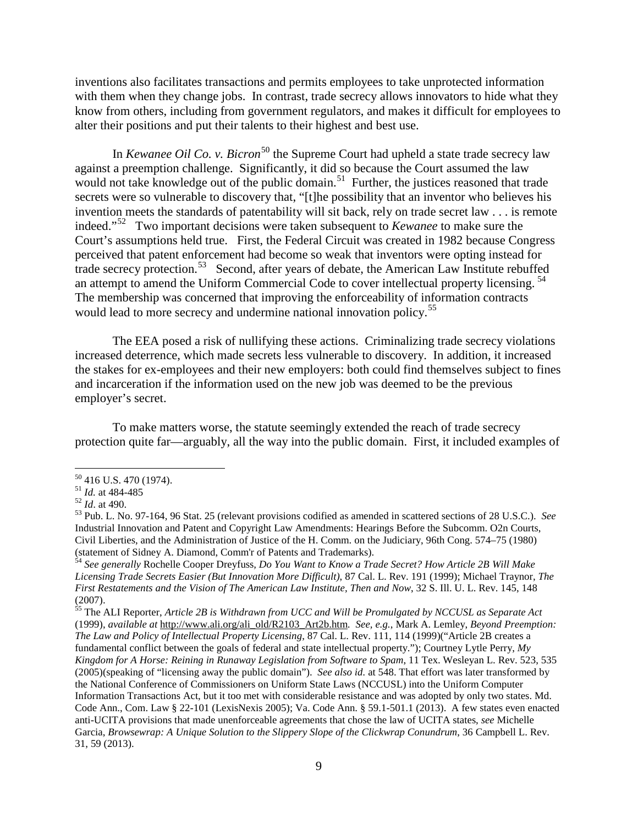inventions also facilitates transactions and permits employees to take unprotected information with them when they change jobs. In contrast, trade secrecy allows innovators to hide what they know from others, including from government regulators, and makes it difficult for employees to alter their positions and put their talents to their highest and best use.

In *Kewanee Oil Co. v. Bicron*<sup>[50](#page-10-0)</sup> the Supreme Court had upheld a state trade secrecy law against a preemption challenge. Significantly, it did so because the Court assumed the law would not take knowledge out of the public domain.<sup>[51](#page-10-1)</sup> Further, the justices reasoned that trade secrets were so vulnerable to discovery that, "[t]he possibility that an inventor who believes his invention meets the standards of patentability will sit back, rely on trade secret law . . . is remote indeed."[52](#page-10-2) Two important decisions were taken subsequent to *Kewanee* to make sure the Court's assumptions held true. First, the Federal Circuit was created in 1982 because Congress perceived that patent enforcement had become so weak that inventors were opting instead for trade secrecy protection.<sup>[53](#page-10-3)</sup> Second, after years of debate, the American Law Institute rebuffed an attempt to amend the Uniform Commercial Code to cover intellectual property licensing.<sup>[54](#page-10-4)</sup> The membership was concerned that improving the enforceability of information contracts would lead to more secrecy and undermine national innovation policy. [55](#page-10-5)

The EEA posed a risk of nullifying these actions. Criminalizing trade secrecy violations increased deterrence, which made secrets less vulnerable to discovery. In addition, it increased the stakes for ex-employees and their new employers: both could find themselves subject to fines and incarceration if the information used on the new job was deemed to be the previous employer's secret.

To make matters worse, the statute seemingly extended the reach of trade secrecy protection quite far—arguably, all the way into the public domain. First, it included examples of

<span id="page-10-2"></span><span id="page-10-1"></span>

<span id="page-10-3"></span>

<span id="page-10-0"></span><sup>50</sup> 416 U.S. 470 (1974). <sup>51</sup> *Id.* at 484-485 <sup>52</sup> *Id*. at 490. <sup>53</sup> Pub. L. No. 97-164, 96 Stat. 25 (relevant provisions codified as amended in scattered sections of 28 U.S.C.). *See* Industrial Innovation and Patent and Copyright Law Amendments: Hearings Before the Subcomm. O2n Courts, Civil Liberties, and the Administration of Justice of the H. Comm. on the Judiciary, 96th Cong. 574–75 (1980)

<span id="page-10-4"></span><sup>&</sup>lt;sup>54</sup> See generally Rochelle Cooper Dreyfuss, Do You Want to Know a Trade Secret? How Article 2B Will Make *Licensing Trade Secrets Easier (But Innovation More Difficult)*, 87 Cal. L. Rev. 191 (1999); Michael Traynor, *The First Restatements and the Vision of The American Law Institute, Then and Now*, 32 S. Ill. U. L. Rev. 145, 148 (2007).

<span id="page-10-5"></span><sup>55</sup> The ALI Reporter, *Article 2B is Withdrawn from UCC and Will be Promulgated by NCCUSL as Separate Act* (1999), *available at* [http://www.ali.org/ali\\_old/R2103\\_Art2b.htm](http://www.ali.org/ali_old/R2103_Art2b.htm)*. See, e.g.*, Mark A. Lemley, *Beyond Preemption: The Law and Policy of Intellectual Property Licensing*, 87 Cal. L. Rev. 111, 114 (1999)("Article 2B creates a fundamental conflict between the goals of federal and state intellectual property."); Courtney Lytle Perry, *My Kingdom for A Horse: Reining in Runaway Legislation from Software to Spam*, 11 Tex. Wesleyan L. Rev. 523, 535 (2005)(speaking of "licensing away the public domain"). *See also id.* at 548. That effort was later transformed by the National Conference of Commissioners on Uniform State Laws (NCCUSL) into the Uniform Computer Information Transactions Act, but it too met with considerable resistance and was adopted by only two states. Md. Code Ann., Com. Law § 22-101 (LexisNexis 2005); Va. Code Ann. § 59.1-501.1 (2013). A few states even enacted anti-UCITA provisions that made unenforceable agreements that chose the law of UCITA states, *see* Michelle Garcia, *Browsewrap: A Unique Solution to the Slippery Slope of the Clickwrap Conundrum*, 36 Campbell L. Rev. 31, 59 (2013).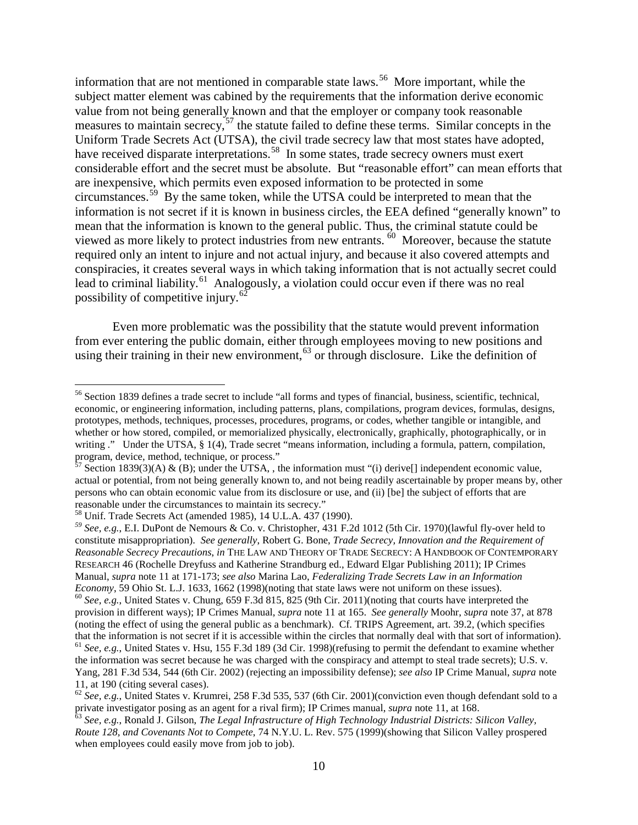information that are not mentioned in comparable state laws. [56](#page-11-0) More important, while the subject matter element was cabined by the requirements that the information derive economic value from not being generally known and that the employer or company took reasonable measures to maintain secrecy,<sup>[57](#page-11-1)</sup> the statute failed to define these terms. Similar concepts in the Uniform Trade Secrets Act (UTSA), the civil trade secrecy law that most states have adopted, have received disparate interpretations.<sup>58</sup> In some states, trade secrecy owners must exert considerable effort and the secret must be absolute. But "reasonable effort" can mean efforts that are inexpensive, which permits even exposed information to be protected in some circumstances.[59](#page-11-3) By the same token, while the UTSA could be interpreted to mean that the information is not secret if it is known in business circles, the EEA defined "generally known" to mean that the information is known to the general public. Thus, the criminal statute could be viewed as more likely to protect industries from new entrants.  $\overset{60}{\ }$  Moreover, because the statute required only an intent to injure and not actual injury, and because it also covered attempts and conspiracies, it creates several ways in which taking information that is not actually secret could lead to criminal liability.<sup>[61](#page-11-5)</sup> Analogously, a violation could occur even if there was no real possibility of competitive injury.<sup>[62](#page-11-6)</sup>

Even more problematic was the possibility that the statute would prevent information from ever entering the public domain, either through employees moving to new positions and using their training in their new environment,<sup>[63](#page-11-7)</sup> or through disclosure. Like the definition of

<span id="page-11-0"></span> <sup>56</sup> Section 1839 defines a trade secret to include "all forms and types of financial, business, scientific, technical, economic, or engineering information, including patterns, plans, compilations, program devices, formulas, designs, prototypes, methods, techniques, processes, procedures, programs, or codes, whether tangible or intangible, and whether or how stored, compiled, or memorialized physically, electronically, graphically, photographically, or in writing ." Under the UTSA, § 1(4), Trade secret "means information, including a formula, pattern, compilation, program, device, method, technique, or process."

<span id="page-11-1"></span> $^{57}$  Section 1839(3)(A) & (B); under the UTSA, , the information must "(i) derive[] independent economic value, actual or potential, from not being generally known to, and not being readily ascertainable by proper means by, other persons who can obtain economic value from its disclosure or use, and (ii) [be] the subject of efforts that are reasonable under the circumstances to maintain its secrecy."<br><sup>58</sup> Unif. Trade Secrets Act (amended 1985), 14 U.L.A. 437 (1990).

<span id="page-11-2"></span>

<span id="page-11-3"></span><sup>&</sup>lt;sup>59</sup> See, e.g., E.I. DuPont de Nemours & Co. v. Christopher, 431 F.2d 1012 (5th Cir. 1970)(lawful fly-over held to constitute misappropriation). *See generally*, Robert G. Bone, *Trade Secrecy, Innovation and the Requirement of Reasonable Secrecy Precautions*, *in* THE LAW AND THEORY OF TRADE SECRECY: A HANDBOOK OF CONTEMPORARY RESEARCH 46 (Rochelle Dreyfuss and Katherine Strandburg ed., Edward Elgar Publishing 2011); IP Crimes Manual, *supra* note [11](#page-4-11) at 171-173; *see also* Marina Lao, *Federalizing Trade Secrets Law in an Information* 

<span id="page-11-4"></span> $^{60}$  See, e.g., United States v. Chung, 659 F.3d 815, 825 (9th Cir. 2011)(noting that courts have interpreted the provision in different ways); IP Crimes Manual, *supra* note [11](#page-4-11) at 165. *See generally* Moohr, *supra* not[e 37,](#page-8-4) at 878 (noting the effect of using the general public as a benchmark). Cf. TRIPS Agreement, art. 39.2, (which specifies that the information is not secret if it is accessible within the circles that normally deal with that sort of information). <sup>61</sup> *See, e.g.*, United States v. Hsu, 155 F.3d 189 (3d Cir. 1998)(refusing to permit the defendant to examine whether the information was secret because he was charged with the conspiracy and attempt to steal trade secrets); U.S. v. Yang, 281 F.3d 534, 544 (6th Cir. 2002) (rejecting an impossibility defense); *see also* IP Crime Manual, *supra* note [11,](#page-4-11) at 190 (citing several cases).<br><sup>[62](#page-4-11)</sup> *See, e.g.*, United States v. Krumrei, 258 F.3d 535, 537 (6th Cir. 2001)(conviction even though defendant sold to a

<span id="page-11-6"></span><span id="page-11-5"></span>private investigator posing as an agent for a rival firm); IP Crimes manual, *supra* note [11,](#page-4-11) at 168.<br><sup>63</sup> See, e.g., Ronald J. Gilson, *The Legal Infrastructure of High Technology Industrial Districts: Silicon Valley*,

<span id="page-11-7"></span>*Route 128, and Covenants Not to Compete*, 74 N.Y.U. L. Rev. 575 (1999)(showing that Silicon Valley prospered when employees could easily move from job to job).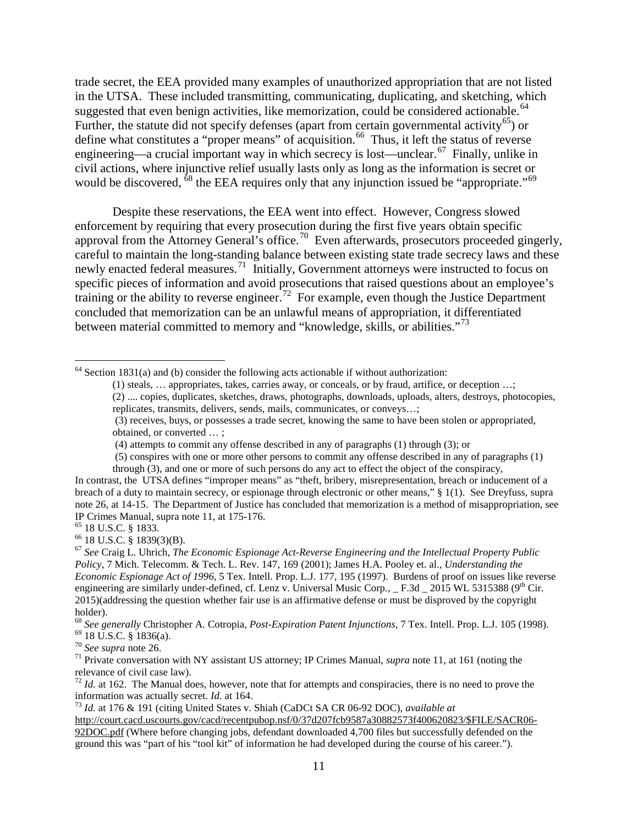trade secret, the EEA provided many examples of unauthorized appropriation that are not listed in the UTSA. These included transmitting, communicating, duplicating, and sketching, which suggested that even benign activities, like memorization, could be considered actionable.<sup>64</sup> Further, the statute did not specify defenses (apart from certain governmental activity<sup>[65](#page-12-1)</sup>) or define what constitutes a "proper means" of acquisition.<sup>66</sup> Thus, it left the status of reverse engineering—a crucial important way in which secrecy is lost—unclear.<sup>[67](#page-12-3)</sup> Finally, unlike in civil actions, where injunctive relief usually lasts only as long as the information is secret or would be discovered, <sup>[68](#page-12-4)</sup> the EEA requires only that any injunction issued be "appropriate."<sup>[69](#page-12-5)</sup>

Despite these reservations, the EEA went into effect. However, Congress slowed enforcement by requiring that every prosecution during the first five years obtain specific approval from the Attorney General's office.<sup>[70](#page-12-6)</sup> Even afterwards, prosecutors proceeded gingerly, careful to maintain the long-standing balance between existing state trade secrecy laws and these newly enacted federal measures.<sup>71</sup> Initially, Government attorneys were instructed to focus on specific pieces of information and avoid prosecutions that raised questions about an employee's training or the ability to reverse engineer.<sup>72</sup> For example, even though the Justice Department concluded that memorization can be an unlawful means of appropriation, it differentiated between material committed to memory and "knowledge, skills, or abilities."<sup>[73](#page-12-9)</sup>

<span id="page-12-0"></span> $64$  Section 1831(a) and (b) consider the following acts actionable if without authorization:

- <span id="page-12-10"></span>(1) steals, … appropriates, takes, carries away, or conceals, or by fraud, artifice, or deception …; (2) .... copies, duplicates, sketches, draws, photographs, downloads, uploads, alters, destroys, photocopies, replicates, transmits, delivers, sends, mails, communicates, or conveys…;
- (3) receives, buys, or possesses a trade secret, knowing the same to have been stolen or appropriated, obtained, or converted … ;

(5) conspires with one or more other persons to commit any offense described in any of paragraphs (1)

through (3), and one or more of such persons do any act to effect the object of the conspiracy, In contrast, the UTSA defines "improper means" as "theft, bribery, misrepresentation, breach or inducement of a breach of a duty to maintain secrecy, or espionage through electronic or other means," § 1(1). See Dreyfuss, supra not[e 26,](#page-6-6) at 14-15. The Department of Justice has concluded that memorization is a method of misappropriation, see IP Crimes Manual, supra note 11, at 175-176.

<span id="page-12-3"></span>

<span id="page-12-5"></span><span id="page-12-4"></span><sup>68</sup> See generally Christopher A. Cotropia, *Post-Expiration Patent Injunctions*, 7 Tex. Intell. Prop. L.J. 105 (1998).<br><sup>69</sup> 18 U.S.C. § 1836(a).<br><sup>70</sup> See supra note [26.](#page-6-6)<br><sup>71</sup> Private conversation with NY assistant US atto

<span id="page-12-8"></span><sup>72</sup> *Id.* at 162. The Manual does, however, note that for attempts and conspiracies, there is no need to prove the information was actually secret. *Id.* at 164.

<span id="page-12-9"></span><sup>73</sup> *Id.* at 176 & 191 (citing United States v. Shiah (CaDCt SA CR 06-92 DOC), *available at* 

[http://court.cacd.uscourts.gov/cacd/recentpubop.nsf/0/37d207fcb9587a30882573f400620823/\\$FILE/SACR06-](http://court.cacd.uscourts.gov/cacd/recentpubop.nsf/0/37d207fcb9587a30882573f400620823/$FILE/SACR06-92DOC.pdf) [92DOC.pdf](http://court.cacd.uscourts.gov/cacd/recentpubop.nsf/0/37d207fcb9587a30882573f400620823/$FILE/SACR06-92DOC.pdf) (Where before changing jobs, defendant downloaded 4,700 files but successfully defended on the ground this was "part of his "tool kit" of information he had developed during the course of his career.").

<sup>(4)</sup> attempts to commit any offense described in any of paragraphs (1) through (3); or

<span id="page-12-2"></span><span id="page-12-1"></span><sup>&</sup>lt;sup>65</sup> 18 U.S.C. § 1833.<br><sup>66</sup> 18 U.S.C. § 1839(3)(B).<br><sup>67</sup> *See* Craig L. Uhrich, *The Economic Espionage Act-Reverse Engineering and the Intellectual Property Public Policy*, 7 Mich. Telecomm. & Tech. L. Rev. 147, 169 (2001); James H.A. Pooley et. al., *Understanding the Economic Espionage Act of 1996*, 5 Tex. Intell. Prop. L.J. 177, 195 (1997). Burdens of proof on issues like reverse engineering are similarly under-defined, cf. Lenz v. Universal Music Corp.,  $F.3d$  2015 WL 5315388 (9<sup>th</sup> Cir. 2015)(addressing the question whether fair use is an affirmative defense or must be disproved by the copyright holder).

<span id="page-12-7"></span><span id="page-12-6"></span>relevance of civil case law).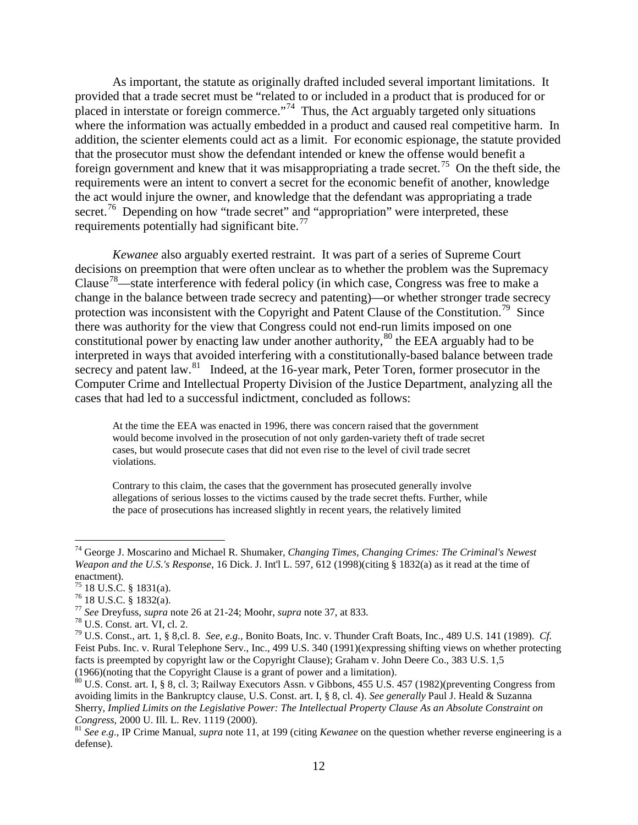As important, the statute as originally drafted included several important limitations. It provided that a trade secret must be "related to or included in a product that is produced for or placed in interstate or foreign commerce."<sup>[74](#page-13-0)</sup> Thus, the Act arguably targeted only situations where the information was actually embedded in a product and caused real competitive harm. In addition, the scienter elements could act as a limit. For economic espionage, the statute provided that the prosecutor must show the defendant intended or knew the offense would benefit a foreign government and knew that it was misappropriating a trade secret.<sup>75</sup> On the theft side, the requirements were an intent to convert a secret for the economic benefit of another, knowledge the act would injure the owner, and knowledge that the defendant was appropriating a trade secret.<sup>76</sup> Depending on how "trade secret" and "appropriation" were interpreted, these requirements potentially had significant bite.<sup>77</sup>

*Kewanee* also arguably exerted restraint. It was part of a series of Supreme Court decisions on preemption that were often unclear as to whether the problem was the Supremacy Clause<sup>[78](#page-13-4)</sup>—state interference with federal policy (in which case, Congress was free to make a change in the balance between trade secrecy and patenting)—or whether stronger trade secrecy protection was inconsistent with the Copyright and Patent Clause of the Constitution.<sup>[79](#page-13-5)</sup> Since there was authority for the view that Congress could not end-run limits imposed on one constitutional power by enacting law under another authority,  $80$  the EEA arguably had to be interpreted in ways that avoided interfering with a constitutionally-based balance between trade secrecy and patent law.<sup>[81](#page-13-7)</sup> Indeed, at the 16-year mark, Peter Toren, former prosecutor in the Computer Crime and Intellectual Property Division of the Justice Department, analyzing all the cases that had led to a successful indictment, concluded as follows:

At the time the EEA was enacted in 1996, there was concern raised that the government would become involved in the prosecution of not only garden-variety theft of trade secret cases, but would prosecute cases that did not even rise to the level of civil trade secret violations.

Contrary to this claim, the cases that the government has prosecuted generally involve allegations of serious losses to the victims caused by the trade secret thefts. Further, while the pace of prosecutions has increased slightly in recent years, the relatively limited

<span id="page-13-0"></span> <sup>74</sup> George J. Moscarino and Michael R. Shumaker*, Changing Times, Changing Crimes: The Criminal's Newest Weapon and the U.S.'s Response*, 16 Dick. J. Int'l L. 597, 612 (1998)(citing § 1832(a) as it read at the time of enactment).<br> $^{75}$  18 U.S.C. § 1831(a).

<span id="page-13-5"></span><span id="page-13-4"></span>

<span id="page-13-3"></span><span id="page-13-2"></span><span id="page-13-1"></span><sup>&</sup>lt;sup>76</sup> 18 U.S.C. § 1832(a).<br><sup>77</sup> See Dreyfuss, *supra* note [26](#page-6-6) at 21-24; Moohr, *supra* note [37,](#page-8-4) at 833.<br><sup>78</sup> U.S. Const. art. VI, cl. 2.<br><sup>79</sup> U.S. Const., art. 1, § 8,cl. 8. *See, e.g.*, Bonito Boats, Inc. v. Thunder Craft Feist Pubs. Inc. v. Rural Telephone Serv., Inc., 499 U.S. 340 (1991)(expressing shifting views on whether protecting facts is preempted by copyright law or the Copyright Clause); Graham v. John Deere Co., 383 U.S. 1,5 (1966)(noting that the Copyright Clause is a grant of power and a limitation).

<span id="page-13-6"></span><sup>&</sup>lt;sup>80</sup> U.S. Const. art. I, § 8, cl. 3; Railway Executors Assn. v Gibbons, 455 U.S. 457 (1982)(preventing Congress from avoiding limits in the Bankruptcy clause, U.S. Const. art. I, § 8, cl. 4). *See generally* Paul J. Heald & Suzanna Sherry, *Implied Limits on the Legislative Power: The Intellectual Property Clause As an Absolute Constraint on Congress*, 2000 U. Ill. L. Rev. 1119 (2000).<br><sup>81</sup> *See e.g.*, IP Crime Manual, *supra* note [11,](#page-4-11) at 199 (citing *Kewanee* on the question whether reverse engineering is a

<span id="page-13-7"></span>defense).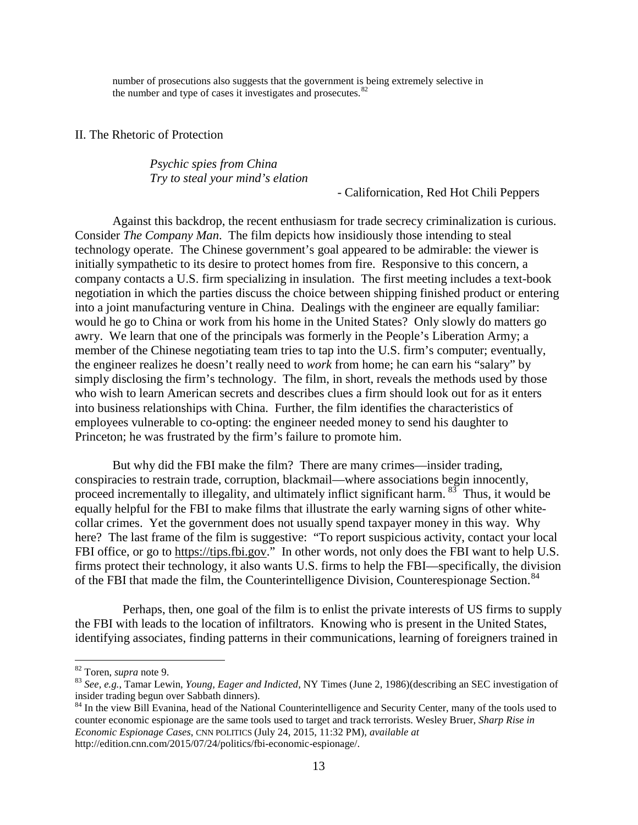number of prosecutions also suggests that the government is being extremely selective in the number and type of cases it investigates and prosecutes. $82$ 

II. The Rhetoric of Protection

*Psychic spies from China Try to steal your mind's elation*

- Californication, Red Hot Chili Peppers

Against this backdrop, the recent enthusiasm for trade secrecy criminalization is curious. Consider *The Company Man*. The film depicts how insidiously those intending to steal technology operate. The Chinese government's goal appeared to be admirable: the viewer is initially sympathetic to its desire to protect homes from fire. Responsive to this concern, a company contacts a U.S. firm specializing in insulation. The first meeting includes a text-book negotiation in which the parties discuss the choice between shipping finished product or entering into a joint manufacturing venture in China. Dealings with the engineer are equally familiar: would he go to China or work from his home in the United States? Only slowly do matters go awry. We learn that one of the principals was formerly in the People's Liberation Army; a member of the Chinese negotiating team tries to tap into the U.S. firm's computer; eventually, the engineer realizes he doesn't really need to *work* from home; he can earn his "salary" by simply disclosing the firm's technology. The film, in short, reveals the methods used by those who wish to learn American secrets and describes clues a firm should look out for as it enters into business relationships with China. Further, the film identifies the characteristics of employees vulnerable to co-opting: the engineer needed money to send his daughter to Princeton; he was frustrated by the firm's failure to promote him.

But why did the FBI make the film? There are many crimes—insider trading, conspiracies to restrain trade, corruption, blackmail—where associations begin innocently, proceed incrementally to illegality, and ultimately inflict significant harm. <sup>[83](#page-14-1)</sup> Thus, it would be equally helpful for the FBI to make films that illustrate the early warning signs of other whitecollar crimes. Yet the government does not usually spend taxpayer money in this way. Why here? The last frame of the film is suggestive: "To report suspicious activity, contact your local FBI office, or go to [https://tips.fbi.gov.](https://tips.fbi.gov/)" In other words, not only does the FBI want to help U.S. firms protect their technology, it also wants U.S. firms to help the FBI—specifically, the division of the FBI that made the film, the Counterintelligence Division, Counterespionage Section.<sup>[84](#page-14-2)</sup>

Perhaps, then, one goal of the film is to enlist the private interests of US firms to supply the FBI with leads to the location of infiltrators. Knowing who is present in the United States, identifying associates, finding patterns in their communications, learning of foreigners trained in

<span id="page-14-1"></span><span id="page-14-0"></span><sup>&</sup>lt;sup>82</sup> Toren, *supra* note [9.](#page-4-0)<br><sup>83</sup> *See, e.g.*, Tamar Lewin, *Young, Eager and Indicted*, NY Times (June 2, 1986)(describing an SEC investigation of insider trading begun over Sabbath dinners).

<span id="page-14-2"></span><sup>&</sup>lt;sup>84</sup> In the view Bill Evanina, head of the National Counterintelligence and Security Center, many of the tools used to counter economic espionage are the same tools used to target and track terrorists. Wesley Bruer, *Sharp Rise in Economic Espionage Cases*, CNN POLITICS (July 24, 2015, 11:32 PM), *available at*  http://edition.cnn.com/2015/07/24/politics/fbi-economic-espionage/.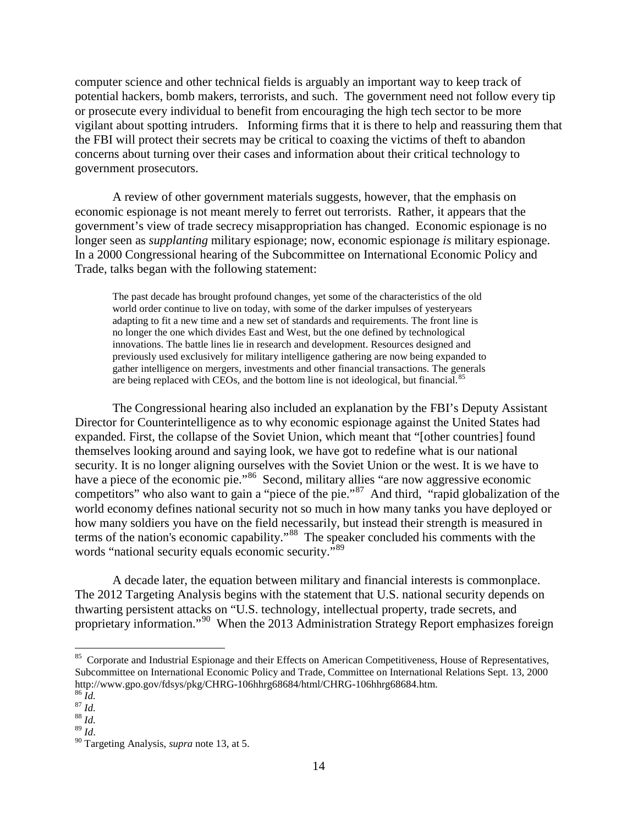computer science and other technical fields is arguably an important way to keep track of potential hackers, bomb makers, terrorists, and such. The government need not follow every tip or prosecute every individual to benefit from encouraging the high tech sector to be more vigilant about spotting intruders. Informing firms that it is there to help and reassuring them that the FBI will protect their secrets may be critical to coaxing the victims of theft to abandon concerns about turning over their cases and information about their critical technology to government prosecutors.

A review of other government materials suggests, however, that the emphasis on economic espionage is not meant merely to ferret out terrorists. Rather, it appears that the government's view of trade secrecy misappropriation has changed. Economic espionage is no longer seen as *supplanting* military espionage; now, economic espionage *is* military espionage. In a 2000 Congressional hearing of the Subcommittee on International Economic Policy and Trade, talks began with the following statement:

The past decade has brought profound changes, yet some of the characteristics of the old world order continue to live on today, with some of the darker impulses of yesteryears adapting to fit a new time and a new set of standards and requirements. The front line is no longer the one which divides East and West, but the one defined by technological innovations. The battle lines lie in research and development. Resources designed and previously used exclusively for military intelligence gathering are now being expanded to gather intelligence on mergers, investments and other financial transactions. The generals are being replaced with CEOs, and the bottom line is not ideological, but financial.<sup>[85](#page-15-0)</sup>

The Congressional hearing also included an explanation by the FBI's Deputy Assistant Director for Counterintelligence as to why economic espionage against the United States had expanded. First, the collapse of the Soviet Union, which meant that "[other countries] found themselves looking around and saying look, we have got to redefine what is our national security. It is no longer aligning ourselves with the Soviet Union or the west. It is we have to have a piece of the economic pie."<sup>[86](#page-15-1)</sup> Second, military allies "are now aggressive economic competitors" who also want to gain a "piece of the pie."<sup>[87](#page-15-2)</sup> And third, "rapid globalization of the world economy defines national security not so much in how many tanks you have deployed or how many soldiers you have on the field necessarily, but instead their strength is measured in terms of the nation's economic capability."[88](#page-15-3) The speaker concluded his comments with the words "national security equals economic security."<sup>[89](#page-15-4)</sup>

A decade later, the equation between military and financial interests is commonplace. The 2012 Targeting Analysis begins with the statement that U.S. national security depends on thwarting persistent attacks on "U.S. technology, intellectual property, trade secrets, and proprietary information."<sup>90</sup> When the 2013 Administration Strategy Report emphasizes foreign

<span id="page-15-0"></span><sup>&</sup>lt;sup>85</sup> Corporate and Industrial Espionage and their Effects on American Competitiveness, House of Representatives, Subcommittee on International Economic Policy and Trade, Committee on International Relations Sept. 13, 2000 http://www.gpo.gov/fdsys/pkg/CHRG-106hhrg68684/html/CHRG-106hhrg68684.htm. 86 *Id.* 87 *Id.* 88 *Id.* 88 *Id.* 88 *Id.* 88 *Id.* 88 *Id.* 88 *Id.* 88 *Id.* 88 *Id.* 88 *Id.* 88 *Id.* 88 *Id.* 88 *Id.* 88 *Id.* 88 *Id.* 88

<span id="page-15-2"></span><span id="page-15-1"></span>

<span id="page-15-3"></span>

<span id="page-15-4"></span>

<span id="page-15-5"></span><sup>&</sup>lt;sup>90</sup> Targeting Analysis, *supra* note [13,](#page-4-12) at 5.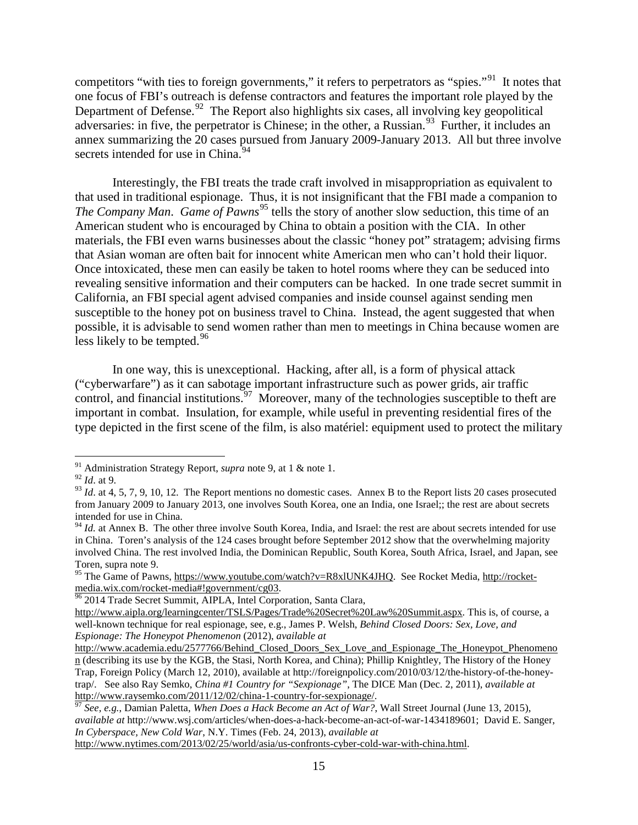competitors "with ties to foreign governments," it refers to perpetrators as "spies."<sup>[91](#page-16-0)</sup> It notes that one focus of FBI's outreach is defense contractors and features the important role played by the Department of Defense.<sup>[92](#page-16-1)</sup> The Report also highlights six cases, all involving key geopolitical adversaries: in five, the perpetrator is Chinese; in the other, a Russian.<sup>[93](#page-16-2)</sup> Further, it includes an annex summarizing the 20 cases pursued from January 2009-January 2013. All but three involve secrets intended for use in China.<sup>94</sup>

Interestingly, the FBI treats the trade craft involved in misappropriation as equivalent to that used in traditional espionage. Thus, it is not insignificant that the FBI made a companion to *The Company Man. Game of Pawns*<sup>[95](#page-16-4)</sup> tells the story of another slow seduction, this time of an American student who is encouraged by China to obtain a position with the CIA. In other materials, the FBI even warns businesses about the classic "honey pot" stratagem; advising firms that Asian woman are often bait for innocent white American men who can't hold their liquor. Once intoxicated, these men can easily be taken to hotel rooms where they can be seduced into revealing sensitive information and their computers can be hacked. In one trade secret summit in California, an FBI special agent advised companies and inside counsel against sending men susceptible to the honey pot on business travel to China. Instead, the agent suggested that when possible, it is advisable to send women rather than men to meetings in China because women are less likely to be tempted.<sup>[96](#page-16-5)</sup>

In one way, this is unexceptional. Hacking, after all, is a form of physical attack ("cyberwarfare") as it can sabotage important infrastructure such as power grids, air traffic control, and financial institutions.<sup>[97](#page-16-6)</sup> Moreover, many of the technologies susceptible to theft are important in combat. Insulation, for example, while useful in preventing residential fires of the type depicted in the first scene of the film, is also matériel: equipment used to protect the military

[http://www.nytimes.com/2013/02/25/world/asia/us-confronts-cyber-cold-war-with-china.html.](http://www.nytimes.com/2013/02/25/world/asia/us-confronts-cyber-cold-war-with-china.html) 

<span id="page-16-0"></span> <sup>91</sup> Administration Strategy Report, *supra* note [9,](#page-4-0) at 1 & note 1.

<span id="page-16-1"></span><sup>92</sup> *Id*. at 9.

<span id="page-16-2"></span> $93$  *Id.* at 4, 5, 7, 9, 10, 12. The Report mentions no domestic cases. Annex B to the Report lists 20 cases prosecuted from January 2009 to January 2013, one involves South Korea, one an India, one Israel;; the rest are about secrets intended for use in China.

<span id="page-16-3"></span><sup>&</sup>lt;sup>94</sup> *Id.* at Annex B. The other three involve South Korea, India, and Israel: the rest are about secrets intended for use in China. Toren's analysis of the 124 cases brought before September 2012 show that the overwhelming majority involved China. The rest involved India, the Dominican Republic, South Korea, South Africa, Israel, and Japan, see

<span id="page-16-4"></span>Toren, supra note [9.](#page-4-0)<br><sup>95</sup> The Game of Pawns, [https://www.youtube.com/watch?v=R8xlUNK4JHQ.](https://www.youtube.com/watch?v=R8xlUNK4JHQ) See Rocket Media, [http://rocket](http://rocket-media.wix.com/rocket-media%23!government/cg03)media.wix.com/rocket-media#!government/cg03.<br><sup>96</sup> 2014 Trade Secret Summit, AIPLA, Intel Corporation, Santa Clara,

<span id="page-16-5"></span>

[http://www.aipla.org/learningcenter/TSLS/Pages/Trade%20Secret%20Law%20Summit.aspx.](http://www.aipla.org/learningcenter/TSLS/Pages/Trade%20Secret%20Law%20Summit.aspx) This is, of course, a well-known technique for real espionage, see, e.g., James P. Welsh, *Behind Closed Doors: Sex, Love, and Espionage: The Honeypot Phenomenon* (2012), *available at* 

[http://www.academia.edu/2577766/Behind\\_Closed\\_Doors\\_Sex\\_Love\\_and\\_Espionage\\_The\\_Honeypot\\_Phenomeno](http://www.academia.edu/2577766/Behind_Closed_Doors_Sex_Love_and_Espionage_The_Honeypot_Phenomenon) [n](http://www.academia.edu/2577766/Behind_Closed_Doors_Sex_Love_and_Espionage_The_Honeypot_Phenomenon) (describing its use by the KGB, the Stasi, North Korea, and China); Phillip Knightley, The History of the Honey Trap, Foreign Policy (March 12, 2010), available at http://foreignpolicy.com/2010/03/12/the-history-of-the-honeytrap/. See also Ray Semko, *China #1 Country for "Sexpionage"*, The DICE Man (Dec. 2, 2011), *available at*

<span id="page-16-6"></span> $\frac{67}{37}$  See, e.g., Damian Paletta, *When Does a Hack Become an Act of War?*, Wall Street Journal (June 13, 2015), *available at* http://www.wsj.com/articles/when-does-a-hack-become-an-act-of-war-1434189601; David E. Sanger, *In Cyberspace, New Cold War*, N.Y. Times (Feb. 24, 2013), *available at*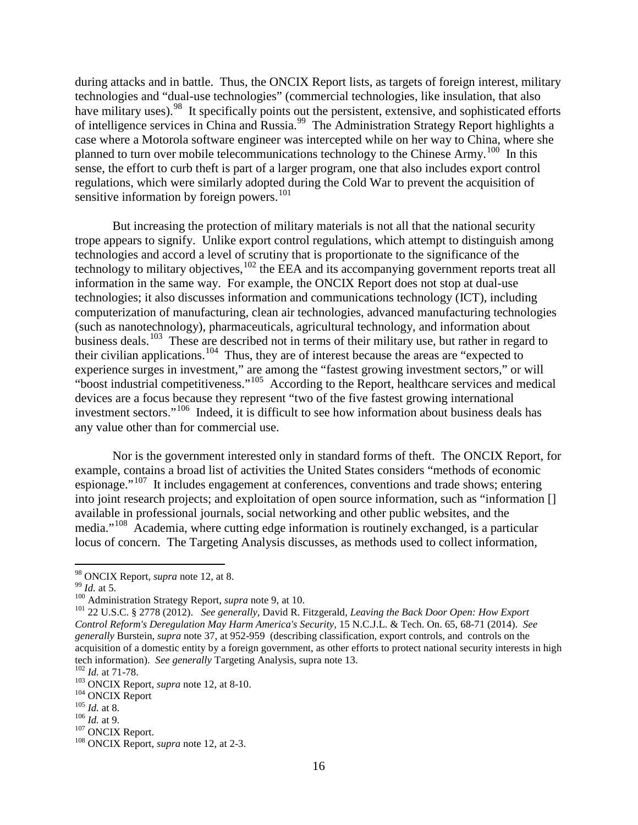during attacks and in battle. Thus, the ONCIX Report lists, as targets of foreign interest, military technologies and "dual-use technologies" (commercial technologies, like insulation, that also have military uses).<sup>[98](#page-17-0)</sup> It specifically points out the persistent, extensive, and sophisticated efforts of intelligence services in China and Russia.<sup>[99](#page-17-1)</sup> The Administration Strategy Report highlights a case where a Motorola software engineer was intercepted while on her way to China, where she planned to turn over mobile telecommunications technology to the Chinese Army.<sup>100</sup> In this sense, the effort to curb theft is part of a larger program, one that also includes export control regulations, which were similarly adopted during the Cold War to prevent the acquisition of sensitive information by foreign powers.<sup>[101](#page-17-3)</sup>

But increasing the protection of military materials is not all that the national security trope appears to signify. Unlike export control regulations, which attempt to distinguish among technologies and accord a level of scrutiny that is proportionate to the significance of the technology to military objectives, <sup>[102](#page-17-4)</sup> the EEA and its accompanying government reports treat all information in the same way. For example, the ONCIX Report does not stop at dual-use technologies; it also discusses information and communications technology (ICT), including computerization of manufacturing, clean air technologies, advanced manufacturing technologies (such as nanotechnology), pharmaceuticals, agricultural technology, and information about business deals.<sup>[103](#page-17-5)</sup> These are described not in terms of their military use, but rather in regard to their civilian applications.<sup>104</sup> Thus, they are of interest because the areas are "expected to experience surges in investment," are among the "fastest growing investment sectors," or will "boost industrial competitiveness."<sup>[105](#page-17-7)</sup> According to the Report, healthcare services and medical devices are a focus because they represent "two of the five fastest growing international investment sectors."[106](#page-17-8) Indeed, it is difficult to see how information about business deals has any value other than for commercial use.

Nor is the government interested only in standard forms of theft. The ONCIX Report, for example, contains a broad list of activities the United States considers "methods of economic espionage."[107](#page-17-9) It includes engagement at conferences, conventions and trade shows; entering into joint research projects; and exploitation of open source information, such as "information [] available in professional journals, social networking and other public websites, and the media."[108](#page-17-10) Academia, where cutting edge information is routinely exchanged, is a particular locus of concern. The Targeting Analysis discusses, as methods used to collect information,

<span id="page-17-3"></span><span id="page-17-2"></span>

<span id="page-17-11"></span><span id="page-17-1"></span><span id="page-17-0"></span><sup>&</sup>lt;sup>98</sup> ONCIX Report, *supra* note [12,](#page-4-10) at 8.<br><sup>99</sup> Id. at 5.<br><sup>100</sup> Administration Strategy Report, *supra* note [9,](#page-4-0) at 10.<br><sup>100</sup> 22 U.S.C. § 2778 (2012). See generally, David R. Fitzgerald, *Leaving the Back Door Open: How Exp Control Reform's Deregulation May Harm America's Security*, 15 N.C.J.L. & Tech. On. 65, 68-71 (2014). *See generally* Burstein, *supra* note [37,](#page-8-4) at 952-959 (describing classification, export controls, and controls on the acquisition of a domestic entity by a foreign government, as other efforts to protect national security interests in high tech information). See generally Targeting Analysis, supra note 13. tech information). *See generally* Targeting Analysis, supra note [13.](#page-4-13)<br>
<sup>102</sup> *Id.* at 71-78.<br>
<sup>103</sup> ONCIX Report, *supra* not[e 12,](#page-4-10) at 8-10.<br>
<sup>104</sup> ONCIX Report<br>
<sup>105</sup> *Id.* at 8.<br>
<sup>106</sup> *Id.* at 9.<br>
<sup>107</sup> ONCIX Report.<br>
<sup></sup>

<span id="page-17-4"></span>

<span id="page-17-5"></span>

<span id="page-17-6"></span>

<span id="page-17-7"></span>

<span id="page-17-9"></span><span id="page-17-8"></span>

<span id="page-17-10"></span>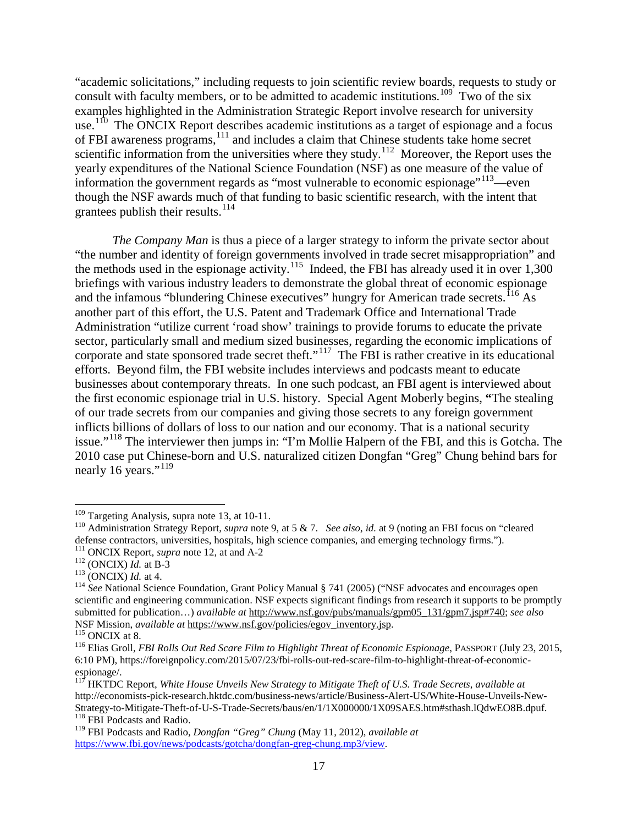<span id="page-18-12"></span><span id="page-18-11"></span>"academic solicitations," including requests to join scientific review boards, requests to study or consult with faculty members, or to be admitted to academic institutions.<sup>109</sup> Two of the six examples highlighted in the Administration Strategic Report involve research for university use.<sup>[110](#page-18-1)</sup> The ONCIX Report describes academic institutions as a target of espionage and a focus of FBI awareness programs,<sup>[111](#page-18-2)</sup> and includes a claim that Chinese students take home secret scientific information from the universities where they study.<sup>[112](#page-18-3)</sup> Moreover, the Report uses the yearly expenditures of the National Science Foundation (NSF) as one measure of the value of information the government regards as "most vulnerable to economic espionage"<sup>[113](#page-18-4)</sup>—even though the NSF awards much of that funding to basic scientific research, with the intent that grantees publish their results.<sup>[114](#page-18-5)</sup>

*The Company Man* is thus a piece of a larger strategy to inform the private sector about "the number and identity of foreign governments involved in trade secret misappropriation" and the methods used in the espionage activity.<sup>[115](#page-18-6)</sup> Indeed, the FBI has already used it in over  $1,300$ briefings with various industry leaders to demonstrate the global threat of economic espionage and the infamous "blundering Chinese executives" hungry for American trade secrets.<sup>[116](#page-18-7)</sup> As another part of this effort, the U.S. Patent and Trademark Office and International Trade Administration "utilize current 'road show' trainings to provide forums to educate the private sector, particularly small and medium sized businesses, regarding the economic implications of corporate and state sponsored trade secret theft."<sup>[117](#page-18-8)</sup> The FBI is rather creative in its educational efforts. Beyond film, the FBI website includes interviews and podcasts meant to educate businesses about contemporary threats. In one such podcast, an FBI agent is interviewed about the first economic espionage trial in U.S. history. Special Agent Moberly begins, **"**The stealing of our trade secrets from our companies and giving those secrets to any foreign government inflicts billions of dollars of loss to our nation and our economy. That is a national security issue."<sup>[118](#page-18-9)</sup> The interviewer then jumps in: "I'm Mollie Halpern of the FBI, and this is Gotcha. The 2010 case put Chinese-born and U.S. naturalized citizen Dongfan "Greg" Chung behind bars for nearly 16 years."<sup>[119](#page-18-10)</sup>

<span id="page-18-1"></span><span id="page-18-0"></span><sup>&</sup>lt;sup>109</sup> Targeting Analysis, supra note [13,](#page-4-12) at 10-11.<br><sup>110</sup> Administration Strategy Report, *supra* note [9,](#page-4-0) at 5 & 7. *See also*, *id.* at 9 (noting an FBI focus on "cleared defense contractors, universities, hospitals, high science companies, and emerging technology firms.").<br><sup>111</sup> ONCIX Report, *supra* note 12, at and A-2

<span id="page-18-5"></span>

<span id="page-18-4"></span><span id="page-18-3"></span><span id="page-18-2"></span><sup>&</sup>lt;sup>112</sup> (ONCIX) *Id.* at B-3<br><sup>113</sup> (ONCIX) *Id.* at 4.<br><sup>114</sup> *See* National Science Foundation, Grant Policy Manual § 741 (2005) ("NSF advocates and encourages open scientific and engineering communication. NSF expects significant findings from research it supports to be promptly submitted for publication…) *available at* [http://www.nsf.gov/pubs/manuals/gpm05\\_131/gpm7.jsp#740;](http://www.nsf.gov/pubs/manuals/gpm05_131/gpm7.jsp%23740) *see also* NSF Mission, *available at* https://www.nsf.gov/policies/egov\_inventory.jsp.

<span id="page-18-7"></span><span id="page-18-6"></span><sup>&</sup>lt;sup>115</sup> ONCIX at 8.<br><sup>116</sup> Elias Groll, *FBI Rolls Out Red Scare Film to Highlight Threat of Economic Espionage*, PASSPORT (July 23, 2015, 6:10 PM), https://foreignpolicy.com/2015/07/23/fbi-rolls-out-red-scare-film-to-highlight-threat-of-economicespionage/.

<span id="page-18-8"></span><sup>117</sup> HKTDC Report, *White House Unveils New Strategy to Mitigate Theft of U.S. Trade Secrets*, *available at*  http://economists-pick-research.hktdc.com/business-news/article/Business-Alert-US/White-House-Unveils-New-Strategy-to-Mitigate-Theft-of-U-S-Trade-Secrets/baus/en/1/1X000000/1X09SAES.htm#sthash.lQdwEO8B.dpuf. <sup>118</sup> FBI Podcasts and Radio.

<span id="page-18-10"></span><span id="page-18-9"></span><sup>119</sup> FBI Podcasts and Radio, *Dongfan "Greg" Chung* (May 11, 2012), *available at*  [https://www.fbi.gov/news/podcasts/gotcha/dongfan-greg-chung.mp3/view.](https://www.fbi.gov/news/podcasts/gotcha/dongfan-greg-chung.mp3/view)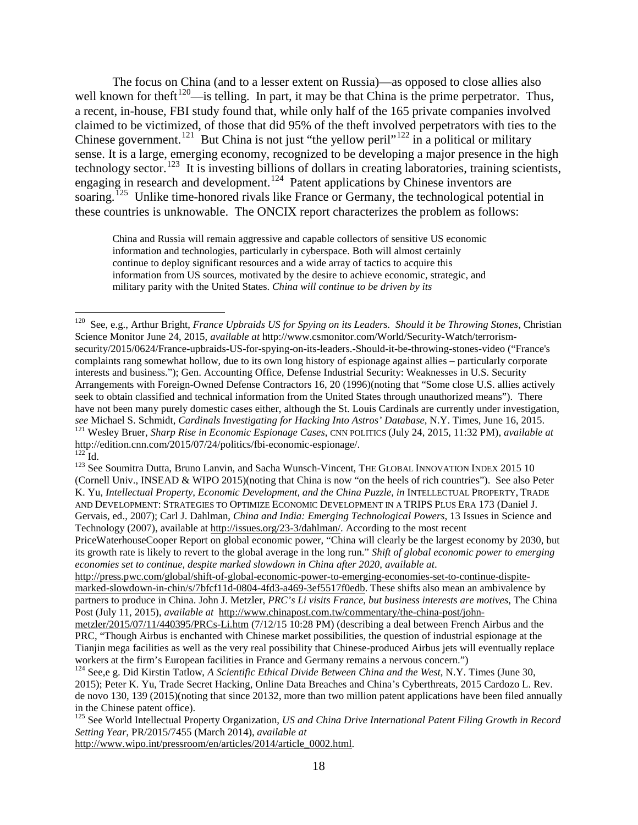The focus on China (and to a lesser extent on Russia)—as opposed to close allies also well known for theft<sup>[120](#page-19-0)</sup>—is telling. In part, it may be that China is the prime perpetrator. Thus, a recent, in-house, FBI study found that, while only half of the 165 private companies involved claimed to be victimized, of those that did 95% of the theft involved perpetrators with ties to the Chinese government.<sup>121</sup> But China is not just "the yellow peril"<sup>[122](#page-19-2)</sup> in a political or military sense. It is a large, emerging economy, recognized to be developing a major presence in the high technology sector.<sup>123</sup> It is investing billions of dollars in creating laboratories, training scientists, engaging in research and development.<sup>[124](#page-19-4)</sup> Patent applications by Chinese inventors are soaring.<sup>[125](#page-19-5)</sup> Unlike time-honored rivals like France or Germany, the technological potential in these countries is unknowable. The ONCIX report characterizes the problem as follows:

China and Russia will remain aggressive and capable collectors of sensitive US economic information and technologies, particularly in cyberspace. Both will almost certainly continue to deploy significant resources and a wide array of tactics to acquire this information from US sources, motivated by the desire to achieve economic, strategic, and military parity with the United States. *China will continue to be driven by its* 

[http://www.wipo.int/pressroom/en/articles/2014/article\\_0002.html.](http://www.wipo.int/pressroom/en/articles/2014/article_0002.html)

<span id="page-19-0"></span> <sup>120</sup> See, e.g., Arthur Bright, *France Upbraids US for Spying on its Leaders. Should it be Throwing Stones*, Christian Science Monitor June 24, 2015*, available at* http://www.csmonitor.com/World/Security-Watch/terrorismsecurity/2015/0624/France-upbraids-US-for-spying-on-its-leaders.-Should-it-be-throwing-stones-video ("France's complaints rang somewhat hollow, due to its own long history of espionage against allies – particularly corporate interests and business."); Gen. Accounting Office, Defense Industrial Security: Weaknesses in U.S. Security Arrangements with Foreign-Owned Defense Contractors 16, 20 (1996)(noting that "Some close U.S. allies actively seek to obtain classified and technical information from the United States through unauthorized means"). There have not been many purely domestic cases either, although the St. Louis Cardinals are currently under investigation, see Michael S. Schmidt, *Cardinals Investigating for Hacking Into Astros' Database*, N.Y. Times, June 16, 2015.<br><sup>121</sup> Wesley Bruer, *Sharp Rise in Economic Espionage Cases*, CNN POLITICS (July 24, 2015, 11:32 PM), *availab* 

<span id="page-19-3"></span><span id="page-19-2"></span><span id="page-19-1"></span> $\frac{122}{124}$  Id.  $\frac{123}{124}$  See Soumitra Dutta, Bruno Lanvin, and Sacha Wunsch-Vincent, THE GLOBAL INNOVATION INDEX 2015 10 (Cornell Univ., INSEAD & WIPO 2015)(noting that China is now "on the heels of rich countries"). See also Peter K. Yu, *Intellectual Property, Economic Development, and the China Puzzle, in* INTELLECTUAL PROPERTY, TRADE AND DEVELOPMENT: STRATEGIES TO OPTIMIZE ECONOMIC DEVELOPMENT IN A TRIPS PLUS ERA 173 (Daniel J. Gervais, ed., 2007); Carl J. Dahlman, *China and India: Emerging Technological Powers*, 13 Issues in Science and Technology (2007), available at [http://issues.org/23-3/dahlman/.](http://issues.org/23-3/dahlman/) According to the most recent

PriceWaterhouseCooper Report on global economic power, "China will clearly be the largest economy by 2030, but its growth rate is likely to revert to the global average in the long run." *Shift of global economic power to emerging economies set to continue, despite marked slowdown in China after 2020*, *available at*.

[http://press.pwc.com/global/shift-of-global-economic-power-to-emerging-economies-set-to-continue-dispite](http://press.pwc.com/global/shift-of-global-economic-power-to-emerging-economies-set-to-continue-dispite-marked-slowdown-in-chin/s/7bfcf11d-0804-4fd3-a469-3ef5517f0edb)[marked-slowdown-in-chin/s/7bfcf11d-0804-4fd3-a469-3ef5517f0edb.](http://press.pwc.com/global/shift-of-global-economic-power-to-emerging-economies-set-to-continue-dispite-marked-slowdown-in-chin/s/7bfcf11d-0804-4fd3-a469-3ef5517f0edb) These shifts also mean an ambivalence by partners to produce in China. John J. Metzler, *PRC's Li visits France, but business interests are motives*, The China Post (July 11, 2015), *available at* [http://www.chinapost.com.tw/commentary/the-china-post/john-](http://www.chinapost.com.tw/commentary/the-china-post/john-metzler/2015/07/11/440395/PRCs-Li.htm)

[metzler/2015/07/11/440395/PRCs-Li.htm](http://www.chinapost.com.tw/commentary/the-china-post/john-metzler/2015/07/11/440395/PRCs-Li.htm) (7/12/15 10:28 PM) (describing a deal between French Airbus and the PRC, "Though Airbus is enchanted with Chinese market possibilities, the question of industrial espionage at the Tianjin mega facilities as well as the very real possibility that Chinese-produced Airbus jets will eventually replace workers at the firm's European facilities in France and Germany remains a nervous concern.")

<span id="page-19-4"></span><sup>&</sup>lt;sup>124</sup> See,e g. Did Kirstin Tatlow, *A Scientific Ethical Divide Between China and the West*, N.Y. Times (June 30, 2015); Peter K. Yu, Trade Secret Hacking, Online Data Breaches and China's Cyberthreats, 2015 Cardozo L. Rev. de novo 130, 139 (2015)(noting that since 20132, more than two million patent applications have been filed annually in the Chinese patent office).

<span id="page-19-5"></span><sup>125</sup> See World Intellectual Property Organization, *US and China Drive International Patent Filing Growth in Record Setting Year*, PR/2015/7455 (March 2014), *available at*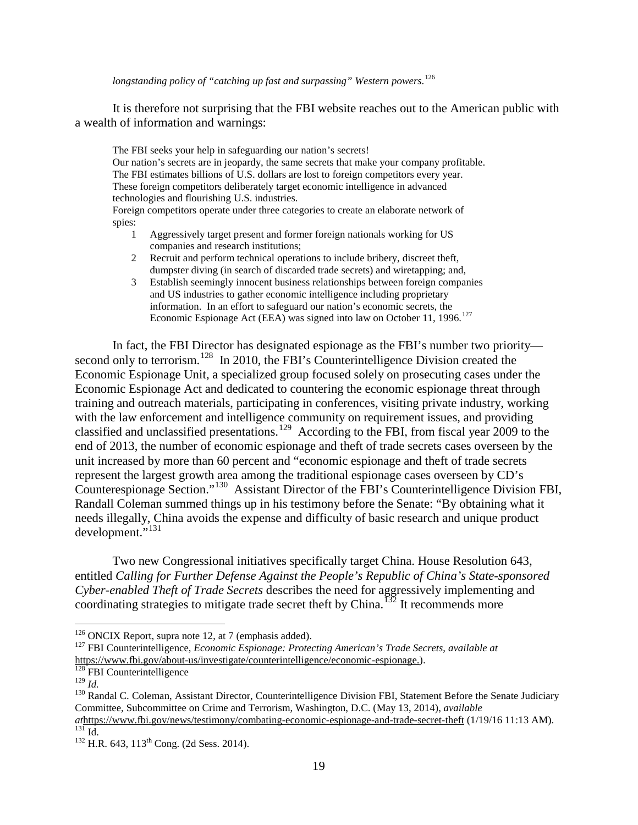*longstanding policy of "catching up fast and surpassing" Western powers*. [126](#page-20-0)

It is therefore not surprising that the FBI website reaches out to the American public with a wealth of information and warnings:

The FBI seeks your help in safeguarding our nation's secrets! Our nation's secrets are in jeopardy, the same secrets that make your company profitable. The FBI estimates billions of U.S. dollars are lost to foreign competitors every year. These foreign competitors deliberately target economic intelligence in advanced technologies and flourishing U.S. industries. Foreign competitors operate under three categories to create an elaborate network of spies:

- 1 Aggressively target present and former foreign nationals working for US companies and research institutions;
- 2 Recruit and perform technical operations to include bribery, discreet theft, dumpster diving (in search of discarded trade secrets) and wiretapping; and,
- <span id="page-20-7"></span>3 Establish seemingly innocent business relationships between foreign companies and US industries to gather economic intelligence including proprietary information. In an effort to safeguard our nation's economic secrets, the Economic Espionage Act (EEA) was signed into law on October 11, 1996.<sup>[127](#page-20-1)</sup>

In fact, the FBI Director has designated espionage as the FBI's number two priority— second only to terrorism.<sup>[128](#page-20-2)</sup> In 2010, the FBI's Counterintelligence Division created the Economic Espionage Unit, a specialized group focused solely on prosecuting cases under the Economic Espionage Act and dedicated to countering the economic espionage threat through training and outreach materials, participating in conferences, visiting private industry, working with the law enforcement and intelligence community on requirement issues, and providing classified and unclassified presentations.<sup>[129](#page-20-3)</sup> According to the FBI, from fiscal year 2009 to the end of 2013, the number of economic espionage and theft of trade secrets cases overseen by the unit increased by more than 60 percent and "economic espionage and theft of trade secrets represent the largest growth area among the traditional espionage cases overseen by CD's Counterespionage Section."[130](#page-20-4) Assistant Director of the FBI's Counterintelligence Division FBI, Randall Coleman summed things up in his testimony before the Senate: "By obtaining what it needs illegally, China avoids the expense and difficulty of basic research and unique product development."<sup>[131](#page-20-5)</sup>

Two new Congressional initiatives specifically target China. House Resolution 643, entitled *Calling for Further Defense Against the People's Republic of China's State-sponsored Cyber-enabled Theft of Trade Secrets* describes the need for aggressively implementing and coordinating strategies to mitigate trade secret theft by China.<sup>[132](#page-20-6)</sup> It recommends more

<span id="page-20-1"></span><span id="page-20-0"></span><sup>126</sup> ONCIX Report, supra note [12,](#page-4-10) at 7 (emphasis added). <sup>127</sup> FBI Counterintelligence, *Economic Espionage: Protecting American's Trade Secrets*, *available at*  [https://www.fbi.gov/about-us/investigate/counterintelligence/economic-espionage.](https://www.fbi.gov/about-us/investigate/counterintelligence/economic-espionage)).<br>
<sup>128</sup> FBI Counterintelligence<br>
<sup>129</sup> Id.

<span id="page-20-2"></span>

<span id="page-20-4"></span><span id="page-20-3"></span><sup>&</sup>lt;sup>130</sup> Randal C. Coleman, Assistant Director, Counterintelligence Division FBI, Statement Before the Senate Judiciary Committee, Subcommittee on Crime and Terrorism, Washington, D.C. (May 13, 2014), *available at<https://www.fbi.gov/news/testimony/combating-economic-espionage-and-trade-secret-theft> (1/19/16 11:13 AM).* <sup>131</sup> Id. 132 H.R. 643, 113<sup>th</sup> Cong. (2d Sess. 2014).

<span id="page-20-5"></span>

<span id="page-20-6"></span>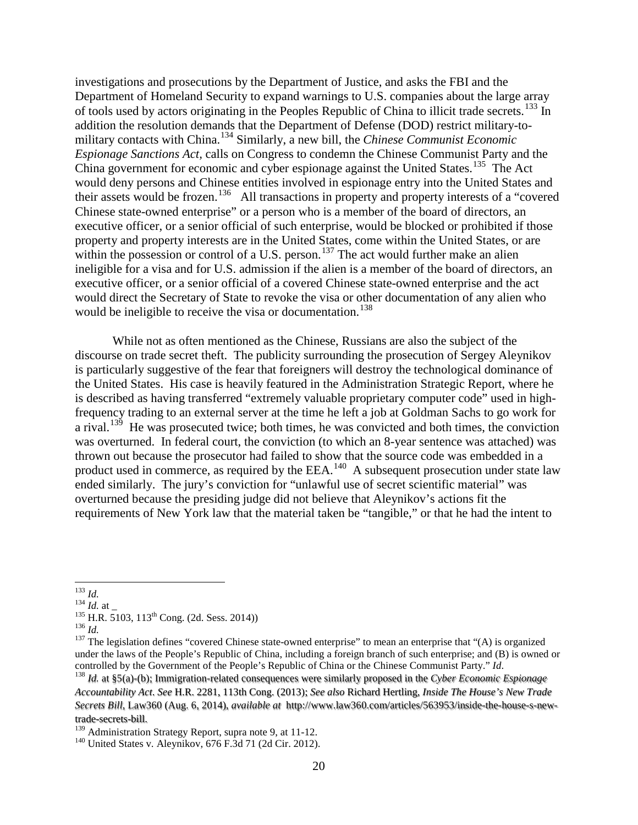investigations and prosecutions by the Department of Justice, and asks the FBI and the Department of Homeland Security to expand warnings to U.S. companies about the large array of tools used by actors originating in the Peoples Republic of China to illicit trade secrets.<sup>[133](#page-21-0)</sup> In addition the resolution demands that the Department of Defense (DOD) restrict military-tomilitary contacts with China.[134](#page-21-1) Similarly, a new bill, the *Chinese Communist Economic Espionage Sanctions Act,* calls on Congress to condemn the Chinese Communist Party and the China government for economic and cyber espionage against the United States.<sup>[135](#page-21-2)</sup> The Act would deny persons and Chinese entities involved in espionage entry into the United States and their assets would be frozen.<sup>136</sup> All transactions in property and property interests of a "covered" Chinese state-owned enterprise" or a person who is a member of the board of directors, an executive officer, or a senior official of such enterprise, would be blocked or prohibited if those property and property interests are in the United States, come within the United States, or are within the possession or control of a U.S. person.<sup>[137](#page-21-4)</sup> The act would further make an alien ineligible for a visa and for U.S. admission if the alien is a member of the board of directors, an executive officer, or a senior official of a covered Chinese state-owned enterprise and the act would direct the Secretary of State to revoke the visa or other documentation of any alien who would be ineligible to receive the visa or documentation. [138](#page-21-5)

While not as often mentioned as the Chinese, Russians are also the subject of the discourse on trade secret theft. The publicity surrounding the prosecution of Sergey Aleynikov is particularly suggestive of the fear that foreigners will destroy the technological dominance of the United States. His case is heavily featured in the Administration Strategic Report, where he is described as having transferred "extremely valuable proprietary computer code" used in highfrequency trading to an external server at the time he left a job at Goldman Sachs to go work for a rival.<sup>[139](#page-21-6)</sup> He was prosecuted twice; both times, he was convicted and both times, the conviction was overturned. In federal court, the conviction (to which an 8-year sentence was attached) was thrown out because the prosecutor had failed to show that the source code was embedded in a product used in commerce, as required by the EEA.<sup>140</sup> A subsequent prosecution under state law ended similarly. The jury's conviction for "unlawful use of secret scientific material" was overturned because the presiding judge did not believe that Aleynikov's actions fit the requirements of New York law that the material taken be "tangible," or that he had the intent to

<span id="page-21-2"></span>

<span id="page-21-4"></span><span id="page-21-3"></span>

<span id="page-21-1"></span><span id="page-21-0"></span><sup>&</sup>lt;sup>133</sup> *Id.*<br><sup>134</sup> *Id.* at \_<br><sup>135</sup> H.R. 5103, 113<sup>th</sup> Cong. (2d. Sess. 2014))<br><sup>136</sup> *Id.*<br><sup>137</sup> The legislation defines "covered Chinese state-owned enterprise" to mean an enterprise that "(A) is organized under the laws of the People's Republic of China, including a foreign branch of such enterprise; and (B) is owned or controlled by the Government of the People's Republic of China or the Chinese Communist Party."  $Id$ .

<span id="page-21-5"></span><sup>&</sup>lt;sup>138</sup> *Id.* at §5(a)-(b); Immigration-related consequences were similarly proposed in the Cyber Economic Espionage *Accountability Act*. *See* H.R. 2281, 113th Cong. (2013); *See also* Richard Hertling, *Inside The House's New Trade Secrets Bill*, Law360 (Aug. 6, 2014), *available at* http://www.law360.com/articles/563953/inside-the-house-s-newtrade-secrets-bill.<br><sup>139</sup> Administration Strategy Report, supra note 9, at 11-12.

<span id="page-21-6"></span>

<span id="page-21-7"></span> $140$  United States v. Aleynikov, 676 F.3d 71 (2d Cir. 2012).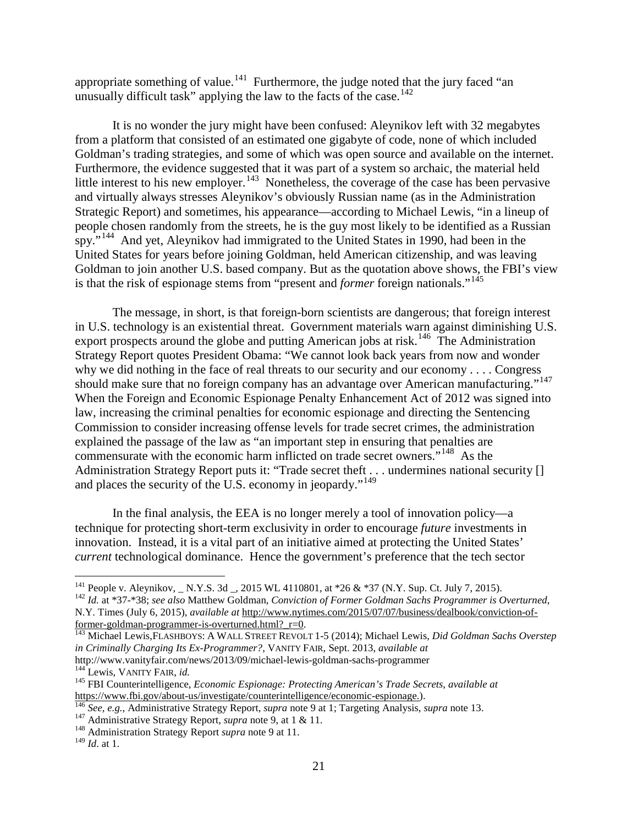appropriate something of value.<sup>[141](#page-22-0)</sup> Furthermore, the judge noted that the jury faced "an unusually difficult task" applying the law to the facts of the case.<sup>142</sup>

It is no wonder the jury might have been confused: Aleynikov left with 32 megabytes from a platform that consisted of an estimated one gigabyte of code, none of which included Goldman's trading strategies, and some of which was open source and available on the internet. Furthermore, the evidence suggested that it was part of a system so archaic, the material held little interest to his new employer.<sup>[143](#page-22-2)</sup> Nonetheless, the coverage of the case has been pervasive and virtually always stresses Aleynikov's obviously Russian name (as in the Administration Strategic Report) and sometimes, his appearance—according to Michael Lewis, "in a lineup of people chosen randomly from the streets, he is the guy most likely to be identified as a Russian spy."<sup>144</sup> And yet, Aleynikov had immigrated to the United States in 1990, had been in the United States for years before joining Goldman, held American citizenship, and was leaving Goldman to join another U.S. based company. But as the quotation above shows, the FBI's view is that the risk of espionage stems from "present and *former* foreign nationals."[145](#page-22-4)

<span id="page-22-9"></span>The message, in short, is that foreign-born scientists are dangerous; that foreign interest in U.S. technology is an existential threat. Government materials warn against diminishing U.S. export prospects around the globe and putting American jobs at risk.<sup>[146](#page-22-5)</sup> The Administration Strategy Report quotes President Obama: "We cannot look back years from now and wonder why we did nothing in the face of real threats to our security and our economy . . . . Congress should make sure that no foreign company has an advantage over American manufacturing."<sup>[147](#page-22-6)</sup> When the Foreign and Economic Espionage Penalty Enhancement Act of 2012 was signed into law, increasing the criminal penalties for economic espionage and directing the Sentencing Commission to consider increasing offense levels for trade secret crimes, the administration explained the passage of the law as "an important step in ensuring that penalties are commensurate with the economic harm inflicted on trade secret owners."<sup>[148](#page-22-7)</sup> As the Administration Strategy Report puts it: "Trade secret theft . . . undermines national security [] and places the security of the U.S. economy in jeopardy."<sup>[149](#page-22-8)</sup>

In the final analysis, the EEA is no longer merely a tool of innovation policy—a technique for protecting short-term exclusivity in order to encourage *future* investments in innovation. Instead, it is a vital part of an initiative aimed at protecting the United States' *current* technological dominance. Hence the government's preference that the tech sector

<span id="page-22-0"></span><sup>&</sup>lt;sup>141</sup> People v. Aleynikov, \_ N.Y.S. 3d \_, 2015 WL 4110801, at \*26 & \*37 (N.Y. Sup. Ct. July 7, 2015).<br><sup>142</sup> Id. at \*37-\*38; see also Matthew Goldman, *Conviction of Former Goldman Sachs Programmer is Overturned*,

<span id="page-22-1"></span>N.Y. Times (July 6, 2015), *available at* http://www.nytimes.com/2015/07/07/business/dealbook/conviction-of-<br>former-goldman-programmer-is-overturned.html? r=0.

<span id="page-22-2"></span><sup>&</sup>lt;sup>[143](http://www.nytimes.com/2015/07/07/business/dealbook/conviction-of-former-goldman-programmer-is-overturned.html?_r=0)</sup> Michael Lewis,FLASHBOYS: A WALL STREET REVOLT 1-5 (2014); Michael Lewis, *Did Goldman Sachs Overstep in Criminally Charging Its Ex-Programmer?*, VANITY FAIR, Sept. 2013, *available at*

<span id="page-22-4"></span><span id="page-22-3"></span><sup>&</sup>lt;sup>144</sup> Lewis, VANITY FAIR, *id.*<br><sup>145</sup> FBI Counterintelligence, *Economic Espionage: Protecting American's Trade Secrets, available at*<br>https://www.fbi.gov/about-us/investigate/counterintelligence/economic-espionage.).

<span id="page-22-6"></span><span id="page-22-5"></span><sup>&</sup>lt;sup>146</sup> See, e.g., Administrative Strategy Report, *supra* note [9](#page-4-0) at 1; Targeting Analysis, *supra* note [13.](#page-4-12)<br><sup>147</sup> Administrative Strategy Report, *supra* note [9,](#page-4-0) at 1 & 11.<br><sup>148</sup> Administration Strategy Report *supra* note

<span id="page-22-8"></span><span id="page-22-7"></span><sup>149</sup> *Id*. at 1.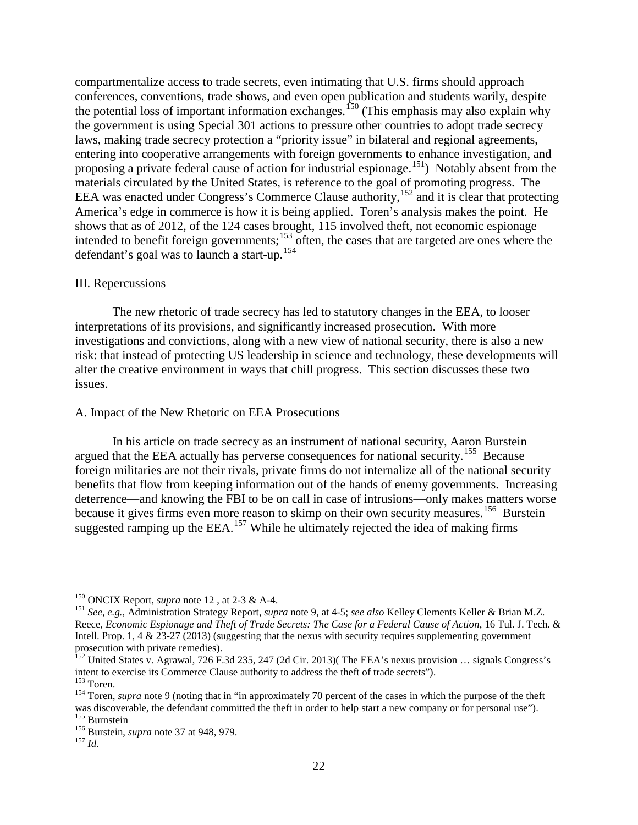compartmentalize access to trade secrets, even intimating that U.S. firms should approach conferences, conventions, trade shows, and even open publication and students warily, despite the potential loss of important information exchanges. <sup>[150](#page-23-0)</sup> (This emphasis may also explain why the government is using Special 301 actions to pressure other countries to adopt trade secrecy laws, making trade secrecy protection a "priority issue" in bilateral and regional agreements, entering into cooperative arrangements with foreign governments to enhance investigation, and proposing a private federal cause of action for industrial espionage.<sup>151</sup>) Notably absent from the materials circulated by the United States, is reference to the goal of promoting progress. The EEA was enacted under Congress's Commerce Clause authority,<sup>[152](#page-23-2)</sup> and it is clear that protecting America's edge in commerce is how it is being applied. Toren's analysis makes the point. He shows that as of 2012, of the 124 cases brought, 115 involved theft, not economic espionage intended to benefit foreign governments;<sup>[153](#page-23-3)</sup> often, the cases that are targeted are ones where the defendant's goal was to launch a start-up.<sup>[154](#page-23-4)</sup>

#### III. Repercussions

The new rhetoric of trade secrecy has led to statutory changes in the EEA, to looser interpretations of its provisions, and significantly increased prosecution. With more investigations and convictions, along with a new view of national security, there is also a new risk: that instead of protecting US leadership in science and technology, these developments will alter the creative environment in ways that chill progress. This section discusses these two issues.

#### A. Impact of the New Rhetoric on EEA Prosecutions

In his article on trade secrecy as an instrument of national security, Aaron Burstein argued that the EEA actually has perverse consequences for national security.<sup>155</sup> Because foreign militaries are not their rivals, private firms do not internalize all of the national security benefits that flow from keeping information out of the hands of enemy governments. Increasing deterrence—and knowing the FBI to be on call in case of intrusions—only makes matters worse because it gives firms even more reason to skimp on their own security measures.<sup>156</sup> Burstein suggested ramping up the  $EEA$ .<sup>[157](#page-23-7)</sup> While he ultimately rejected the idea of making firms

<span id="page-23-1"></span><span id="page-23-0"></span><sup>150</sup> ONCIX Report, *supra* not[e 12](#page-4-10) , at 2-3 & A-4. <sup>151</sup> *See, e.g.*, Administration Strategy Report, *supra* not[e 9,](#page-4-0) at 4-5; *see also* Kelley Clements Keller & Brian M.Z. Reece, *Economic Espionage and Theft of Trade Secrets: The Case for a Federal Cause of Action*, 16 Tul. J. Tech. & Intell. Prop. 1, 4 & 23-27 (2013) (suggesting that the nexus with security requires supplementing government prosecution with private remedies).

<span id="page-23-2"></span><sup>&</sup>lt;sup>152</sup> United States v. Agrawal, 726 F.3d 235, 247 (2d Cir. 2013)( The EEA's nexus provision ... signals Congress's intent to exercise its Commerce Clause authority to address the theft of trade secrets").<br><sup>153</sup> Toren.

<span id="page-23-3"></span>

<span id="page-23-4"></span><sup>&</sup>lt;sup>154</sup> Toren, *supra* note [9](#page-4-0) (noting that in "in approximately 70 percent of the cases in which the purpose of the theft was discoverable, the defendant committed the theft in order to help start a new company or for personal use").<br>
<sup>155</sup> Burnstein *supra* note [37](#page-8-4) at 948, 979.<br>
<sup>156</sup> Id<sup>157</sup> *Id*.

<span id="page-23-6"></span><span id="page-23-5"></span>

<span id="page-23-7"></span>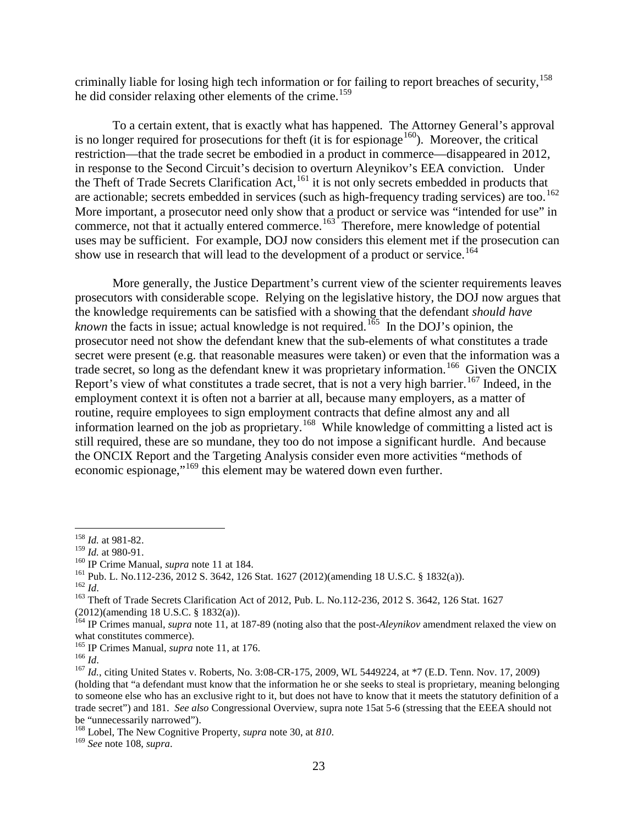criminally liable for losing high tech information or for failing to report breaches of security, [158](#page-24-0) he did consider relaxing other elements of the crime.<sup>[159](#page-24-1)</sup>

To a certain extent, that is exactly what has happened. The Attorney General's approval is no longer required for prosecutions for theft (it is for espionage  $160$ ). Moreover, the critical restriction—that the trade secret be embodied in a product in commerce—disappeared in 2012, in response to the Second Circuit's decision to overturn Aleynikov's EEA conviction. Under the Theft of Trade Secrets Clarification Act, <sup>[161](#page-24-3)</sup> it is not only secrets embedded in products that are actionable; secrets embedded in services (such as high-frequency trading services) are too.<sup>162</sup> More important, a prosecutor need only show that a product or service was "intended for use" in commerce, not that it actually entered commerce.<sup>[163](#page-24-5)</sup> Therefore, mere knowledge of potential uses may be sufficient. For example, DOJ now considers this element met if the prosecution can show use in research that will lead to the development of a product or service.<sup>[164](#page-24-6)</sup>

More generally, the Justice Department's current view of the scienter requirements leaves prosecutors with considerable scope. Relying on the legislative history, the DOJ now argues that the knowledge requirements can be satisfied with a showing that the defendant *should have known* the facts in issue; actual knowledge is not required.<sup>[165](#page-24-7)</sup> In the DOJ's opinion, the prosecutor need not show the defendant knew that the sub-elements of what constitutes a trade secret were present (e.g. that reasonable measures were taken) or even that the information was a trade secret, so long as the defendant knew it was proprietary information.<sup>[166](#page-24-8)</sup> Given the ONCIX Report's view of what constitutes a trade secret, that is not a very high barrier.<sup>[167](#page-24-9)</sup> Indeed, in the employment context it is often not a barrier at all, because many employers, as a matter of routine, require employees to sign employment contracts that define almost any and all information learned on the job as proprietary.<sup>[168](#page-24-10)</sup> While knowledge of committing a listed act is still required, these are so mundane, they too do not impose a significant hurdle. And because the ONCIX Report and the Targeting Analysis consider even more activities "methods of economic espionage,"[169](#page-24-11) this element may be watered down even further.

<span id="page-24-0"></span><sup>&</sup>lt;sup>158</sup> *Id.* at 981-82.<br><sup>159</sup> *Id.* at 980-91.

<span id="page-24-5"></span><span id="page-24-4"></span>

<span id="page-24-3"></span><span id="page-24-2"></span><span id="page-24-1"></span><sup>&</sup>lt;sup>160</sup> IP Crime Manual, *supra* not[e 11](#page-4-11) at 184.<br>
<sup>161</sup> Pub. L. No.112-236, 2012 S. 3642, 126 Stat. 1627 (2012)(amending 18 U.S.C. § 1832(a)).<br>
<sup>162</sup> *Id.*<br>
<sup>163</sup> Theft of Trade Secrets Clarification Act of 2012, Pub. L. No (2012)(amending 18 U.S.C. § 1832(a)).

<span id="page-24-6"></span><sup>164</sup> IP Crimes manual, *supra* note [11,](#page-4-11) at 187-89 (noting also that the post-*Aleynikov* amendment relaxed the view on what constitutes commerce).<br><sup>165</sup> IP Crimes Manual, *supra* note 11, at 176.

<span id="page-24-9"></span><span id="page-24-8"></span><span id="page-24-7"></span><sup>166</sup> *Id.*<br><sup>166</sup> *Id.*<br><sup>167</sup> *Id.*, citing United States v. Roberts, No. 3:08-CR-175, 2009, WL 5449224, at \*7 (E.D. Tenn. Nov. 17, 2009) (holding that "a defendant must know that the information he or she seeks to steal is proprietary, meaning belonging to someone else who has an exclusive right to it, but does not have to know that it meets the statutory definition of a trade secret") and 181. *See also* Congressional Overview, supra note [15a](#page-4-9)t 5-6 (stressing that the EEEA should not be "unnecessarily narrowed").

<span id="page-24-11"></span><span id="page-24-10"></span><sup>168</sup> Lobel, The New Cognitive Property, *supra* note [30,](#page-7-7) at *<sup>810</sup>*. <sup>169</sup> *See* note [108,](#page-17-11) *supra*.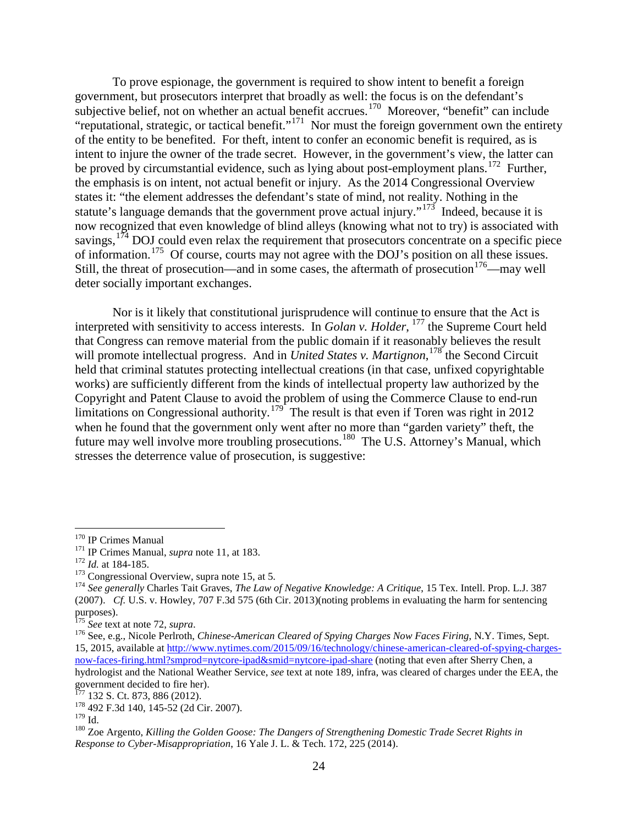To prove espionage, the government is required to show intent to benefit a foreign government, but prosecutors interpret that broadly as well: the focus is on the defendant's subjective belief, not on whether an actual benefit accrues.<sup>[170](#page-25-0)</sup> Moreover, "benefit" can include "reputational, strategic, or tactical benefit."<sup>[171](#page-25-1)</sup> Nor must the foreign government own the entirety of the entity to be benefited. For theft, intent to confer an economic benefit is required, as is intent to injure the owner of the trade secret. However, in the government's view, the latter can be proved by circumstantial evidence, such as lying about post-employment plans.<sup>172</sup> Further, the emphasis is on intent, not actual benefit or injury. As the 2014 Congressional Overview states it: "the element addresses the defendant's state of mind, not reality. Nothing in the statute's language demands that the government prove actual injury."<sup>173</sup> Indeed, because it is now recognized that even knowledge of blind alleys (knowing what not to try) is associated with savings,  $174$  DOJ could even relax the requirement that prosecutors concentrate on a specific piece of information.<sup>[175](#page-25-5)</sup> Of course, courts may not agree with the DOJ's position on all these issues. Still, the threat of prosecution—and in some cases, the aftermath of prosecution<sup>176</sup>—may well deter socially important exchanges.

<span id="page-25-11"></span>Nor is it likely that constitutional jurisprudence will continue to ensure that the Act is interpreted with sensitivity to access interests. In *Golan v. Holder*, [177](#page-25-7) the Supreme Court held that Congress can remove material from the public domain if it reasonably believes the result will promote intellectual progress. And in *United States v. Martignon*, <sup>[178](#page-25-8)</sup> the Second Circuit held that criminal statutes protecting intellectual creations (in that case, unfixed copyrightable works) are sufficiently different from the kinds of intellectual property law authorized by the Copyright and Patent Clause to avoid the problem of using the Commerce Clause to end-run limitations on Congressional authority.<sup>[179](#page-25-9)</sup> The result is that even if Toren was right in 2012 when he found that the government only went after no more than "garden variety" theft, the future may well involve more troubling prosecutions.<sup>[180](#page-25-10)</sup> The U.S. Attorney's Manual, which stresses the deterrence value of prosecution, is suggestive:

<span id="page-25-7"></span>

<span id="page-25-2"></span>

<span id="page-25-4"></span><span id="page-25-3"></span>

<span id="page-25-1"></span><span id="page-25-0"></span><sup>&</sup>lt;sup>170</sup> IP Crimes Manual<br>
<sup>171</sup> IP Crimes Manual, *supra* not[e 11,](#page-4-11) at 183.<br>
<sup>172</sup> *Id.* at 184-185.<br>
<sup>173</sup> Congressional Overview, supra note [15,](#page-4-9) at 5.<br>
<sup>173</sup> See generally Charles Tait Graves, *The Law of Negative Knowledg* (2007). *Cf.* U.S. v. Howley, 707 F.3d 575 (6th Cir. 2013)(noting problems in evaluating the harm for sentencing purposes).<br><sup>175</sup> See text at note 72, supra.

<span id="page-25-6"></span><span id="page-25-5"></span><sup>&</sup>lt;sup>176</sup> See, e.g., Nicole Perlroth, *Chinese-American Cleared of Spying Charges Now Faces Firing*, N.Y. Times, Sept. 15, 2015, available at [http://www.nytimes.com/2015/09/16/technology/chinese-american-cleared-of-spying-charges](http://www.nytimes.com/2015/09/16/technology/chinese-american-cleared-of-spying-charges-now-faces-firing.html?smprod=nytcore-ipad&smid=nytcore-ipad-share)[now-faces-firing.html?smprod=nytcore-ipad&smid=nytcore-ipad-share](http://www.nytimes.com/2015/09/16/technology/chinese-american-cleared-of-spying-charges-now-faces-firing.html?smprod=nytcore-ipad&smid=nytcore-ipad-share) (noting that even after Sherry Chen, a hydrologist and the National Weather Service, *see* text at note [189,](#page-27-0) infra, was cleared of charges under the EEA, the government decided to fire her).<br> $^{177}$  132 S. Ct. 873, 886 (2012).

<span id="page-25-8"></span> $178$  492 F.3d 140, 145-52 (2d Cir. 2007).<br> $179$  Id.

<span id="page-25-9"></span>

<span id="page-25-10"></span><sup>&</sup>lt;sup>180</sup> Zoe Argento, *Killing the Golden Goose: The Dangers of Strengthening Domestic Trade Secret Rights in Response to Cyber-Misappropriation*, 16 Yale J. L. & Tech. 172, 225 (2014).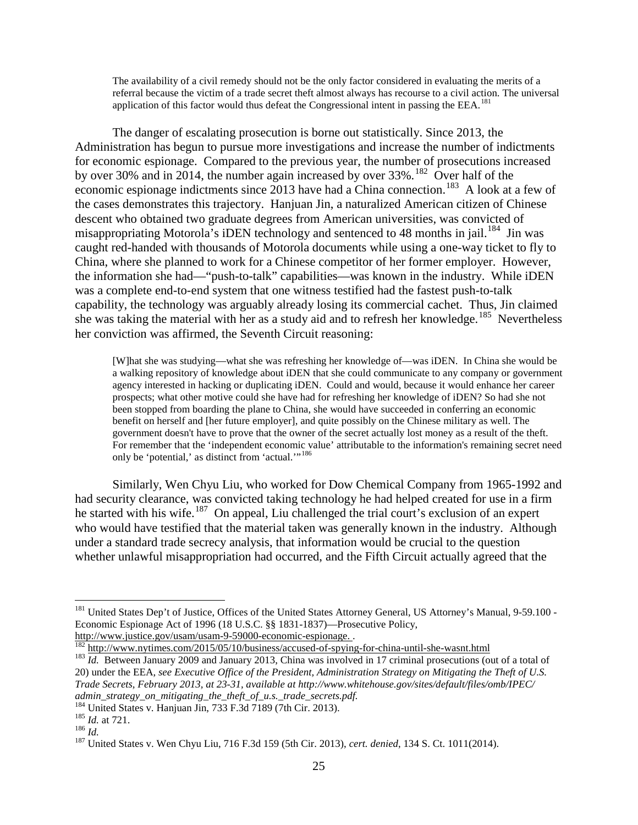The availability of a civil remedy should not be the only factor considered in evaluating the merits of a referral because the victim of a trade secret theft almost always has recourse to a civil action. The universal application of this factor would thus defeat the Congressional intent in passing the EEA.<sup>[181](#page-26-0)</sup>

The danger of escalating prosecution is borne out statistically. Since 2013, the Administration has begun to pursue more investigations and increase the number of indictments for economic espionage. Compared to the previous year, the number of prosecutions increased by over 30% and in 2014, the number again increased by over 33%.<sup>[182](#page-26-1)</sup> Over half of the economic espionage indictments since  $2013$  have had a China connection.<sup>[183](#page-26-2)</sup> A look at a few of the cases demonstrates this trajectory. Hanjuan Jin, a naturalized American citizen of Chinese descent who obtained two graduate degrees from American universities, was convicted of misappropriating Motorola's iDEN technology and sentenced to 48 months in jail.<sup>[184](#page-26-3)</sup> Jin was caught red-handed with thousands of Motorola documents while using a one-way ticket to fly to China, where she planned to work for a Chinese competitor of her former employer. However, the information she had—"push-to-talk" capabilities—was known in the industry. While iDEN was a complete end-to-end system that one witness testified had the fastest push-to-talk capability, the technology was arguably already losing its commercial cachet. Thus, Jin claimed she was taking the material with her as a study aid and to refresh her knowledge.<sup>[185](#page-26-4)</sup> Nevertheless her conviction was affirmed, the Seventh Circuit reasoning:

[W]hat she was studying—what she was refreshing her knowledge of—was iDEN. In China she would be a walking repository of knowledge about iDEN that she could communicate to any company or government agency interested in hacking or duplicating iDEN. Could and would, because it would enhance her career prospects; what other motive could she have had for refreshing her knowledge of iDEN? So had she not been stopped from boarding the plane to China, she would have succeeded in conferring an economic benefit on herself and [her future employer], and quite possibly on the Chinese military as well. The government doesn't have to prove that the owner of the secret actually lost money as a result of the theft. For remember that the 'independent economic value' attributable to the information's remaining secret need only be 'potential,' as distinct from 'actual.'"<sup>[186](#page-26-5)</sup>

Similarly, Wen Chyu Liu, who worked for Dow Chemical Company from 1965-1992 and had security clearance, was convicted taking technology he had helped created for use in a firm he started with his wife.<sup>187</sup> On appeal, Liu challenged the trial court's exclusion of an expert who would have testified that the material taken was generally known in the industry. Although under a standard trade secrecy analysis, that information would be crucial to the question whether unlawful misappropriation had occurred, and the Fifth Circuit actually agreed that the

<span id="page-26-0"></span><sup>&</sup>lt;sup>181</sup> United States Dep't of Justice, Offices of the United States Attorney General, US Attorney's Manual, 9-59.100 -Economic Espionage Act of 1996 (18 U.S.C. §§ 1831-1837)—Prosecutive Policy,

<span id="page-26-2"></span>

<span id="page-26-1"></span>http://www.justice.gov/usam/usam-9-59000-economic-espionage.<br>  $\frac{182 \text{ http://www.nytimes.com/2015/05/10/business/accused-of-spying-for-china-until-she-wasnt.html}}{Id. Between January 2009 and January 2013, China was involved in 17 criminal processors (out of a total of$  $\frac{182 \text{ http://www.nytimes.com/2015/05/10/business/accused-of-spying-for-china-until-she-wasnt.html}}{Id. Between January 2009 and January 2013, China was involved in 17 criminal processors (out of a total of$  $\frac{182 \text{ http://www.nytimes.com/2015/05/10/business/accused-of-spying-for-china-until-she-wasnt.html}}{Id. Between January 2009 and January 2013, China was involved in 17 criminal processors (out of a total of$ 20) under the EEA*, see Executive Office of the President, Administration Strategy on Mitigating the Theft of U.S. Trade Secrets, February 2013, at 23-31, available at http://www.whitehouse.gov/sites/default/files/omb/IPEC/ admin\_strategy\_on\_mitigating\_the\_theft\_of\_u.s.\_trade\_secrets.pdf.*<br><sup>184</sup> United States v. Hanjuan Jin, 733 F.3d 7189 (7th Cir. 2013).

<span id="page-26-6"></span>

<span id="page-26-5"></span><span id="page-26-4"></span><span id="page-26-3"></span><sup>&</sup>lt;sup>185</sup> *Id.* at 721.<br><sup>186</sup> *Id.* at 721. <sup>186</sup> *Id.* 187 United States v. Wen Chyu Liu, 716 F.3d 159 (5th Cir. 2013), *cert. denied*, 134 S. Ct. 1011(2014).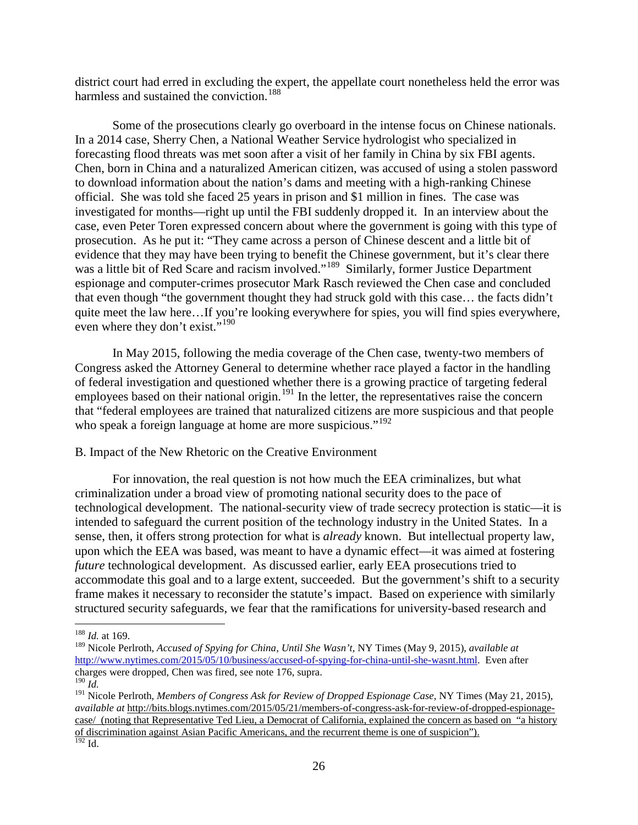district court had erred in excluding the expert, the appellate court nonetheless held the error was harmless and sustained the conviction.<sup>188</sup>

Some of the prosecutions clearly go overboard in the intense focus on Chinese nationals. In a 2014 case, Sherry Chen, a National Weather Service hydrologist who specialized in forecasting flood threats was met soon after a visit of her family in China by six FBI agents. Chen, born in China and a naturalized American citizen, was accused of using a stolen password to download information about the nation's dams and meeting with a high-ranking Chinese official. She was told she faced 25 years in prison and \$1 million in fines. The case was investigated for months—right up until the FBI suddenly dropped it. In an interview about the case, even Peter Toren expressed concern about where the government is going with this type of prosecution. As he put it: "They came across a person of Chinese descent and a little bit of evidence that they may have been trying to benefit the Chinese government, but it's clear there was a little bit of Red Scare and racism involved."<sup>[189](#page-27-2)</sup> Similarly, former Justice Department espionage and computer-crimes prosecutor Mark Rasch reviewed the Chen case and concluded that even though "the government thought they had struck gold with this case… the facts didn't quite meet the law here…If you're looking everywhere for spies, you will find spies everywhere, even where they don't exist."<sup>[190](#page-27-3)</sup>

<span id="page-27-6"></span><span id="page-27-0"></span>In May 2015, following the media coverage of the Chen case, twenty-two members of Congress asked the Attorney General to determine whether race played a factor in the handling of federal investigation and questioned whether there is a growing practice of targeting federal employees based on their national origin.<sup>[191](#page-27-4)</sup> In the letter, the representatives raise the concern that "federal employees are trained that naturalized citizens are more suspicious and that people who speak a foreign language at home are more suspicious."<sup>[192](#page-27-5)</sup>

B. Impact of the New Rhetoric on the Creative Environment

For innovation, the real question is not how much the EEA criminalizes, but what criminalization under a broad view of promoting national security does to the pace of technological development. The national-security view of trade secrecy protection is static—it is intended to safeguard the current position of the technology industry in the United States. In a sense, then, it offers strong protection for what is *already* known. But intellectual property law, upon which the EEA was based, was meant to have a dynamic effect—it was aimed at fostering *future* technological development. As discussed earlier, early EEA prosecutions tried to accommodate this goal and to a large extent, succeeded. But the government's shift to a security frame makes it necessary to reconsider the statute's impact. Based on experience with similarly structured security safeguards, we fear that the ramifications for university-based research and

 <sup>188</sup> *Id.* at 169.

<span id="page-27-2"></span><span id="page-27-1"></span><sup>189</sup> Nicole Perlroth, *Accused of Spying for China, Until She Wasn't*, NY Times (May 9, 2015), *available at*  [http://www.nytimes.com/2015/05/10/business/accused-of-spying-for-china-until-she-wasnt.html.](http://www.nytimes.com/2015/05/10/business/accused-of-spying-for-china-until-she-wasnt.html) Even after charges were dropped, Chen was fired, see note [176,](#page-25-11) supra. <sup>190</sup> Id.

<span id="page-27-5"></span><span id="page-27-4"></span><span id="page-27-3"></span><sup>&</sup>lt;sup>191</sup> Nicole Perlroth, *Members of Congress Ask for Review of Dropped Espionage Case*, NY Times (May 21, 2015), *available at* http://bits.blogs.nytimes.com/2015/05/21/members-of-congress-ask-for-review-of-dropped-espionage-<br>case/ (noting that Representative Ted Lieu, a Democrat of California, explained the concern as based on "a hi [case/](http://bits.blogs.nytimes.com/2015/05/21/members-of-congress-ask-for-review-of-dropped-espionage-case/) (noting that Representative Ted Lieu, a Democrat of California, explained the concern as based on "a history of discrimination against Asian Pacific Americans, and the recurrent theme is one of suspicion").  $192$  Id.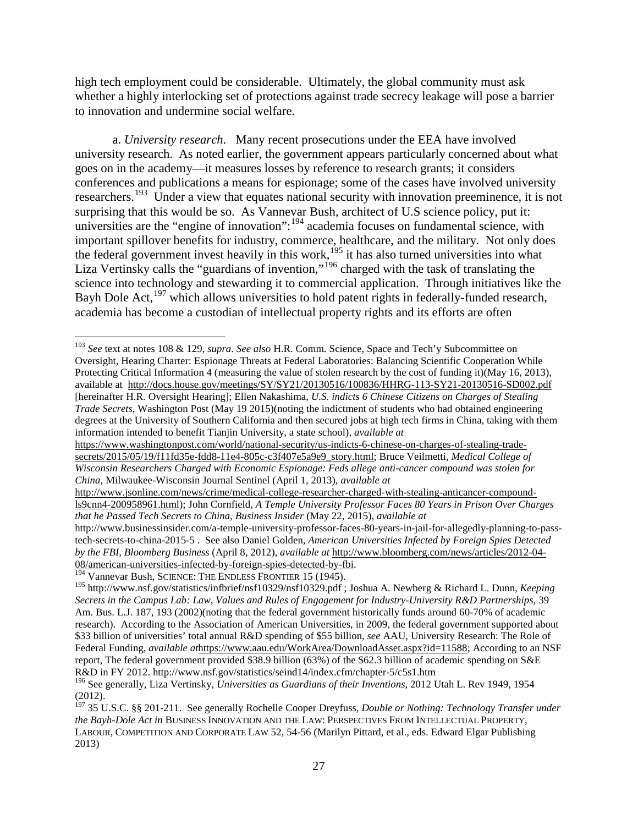high tech employment could be considerable. Ultimately, the global community must ask whether a highly interlocking set of protections against trade secrecy leakage will pose a barrier to innovation and undermine social welfare.

<span id="page-28-6"></span>a. *University research*. Many recent prosecutions under the EEA have involved university research. As noted earlier, the government appears particularly concerned about what goes on in the academy—it measures losses by reference to research grants; it considers conferences and publications a means for espionage; some of the cases have involved university researchers.<sup>193</sup> Under a view that equates national security with innovation preeminence, it is not surprising that this would be so. As Vannevar Bush, architect of U.S science policy, put it: universities are the "engine of innovation": $194$  academia focuses on fundamental science, with important spillover benefits for industry, commerce, healthcare, and the military. Not only does the federal government invest heavily in this work,<sup>[195](#page-28-2)</sup> it has also turned universities into what Liza Vertinsky calls the "guardians of invention,"<sup>[196](#page-28-3)</sup> charged with the task of translating the science into technology and stewarding it to commercial application. Through initiatives like the Bayh Dole Act,<sup>[197](#page-28-4)</sup> which allows universities to hold patent rights in federally-funded research, academia has become a custodian of intellectual property rights and its efforts are often

<span id="page-28-5"></span><span id="page-28-0"></span> <sup>193</sup> *See* text at notes [108](#page-17-11) & [129,](#page-20-7) *supra*. *See also* H.R. Comm. Science, Space and Tech'y Subcommittee on Oversight, Hearing Charter: Espionage Threats at Federal Laboratories: Balancing Scientific Cooperation While Protecting Critical Information 4 (measuring the value of stolen research by the cost of funding it)(May 16, 2013), available at <http://docs.house.gov/meetings/SY/SY21/20130516/100836/HHRG-113-SY21-20130516-SD002.pdf> [hereinafter H.R. Oversight Hearing]; Ellen Nakashima, *U.S. indicts 6 Chinese Citizens on Charges of Stealing Trade Secrets*, Washington Post (May 19 2015)(noting the indictment of students who had obtained engineering degrees at the University of Southern California and then secured jobs at high tech firms in China, taking with them information intended to benefit Tianjin University, a state school), *available at*

[https://www.washingtonpost.com/world/national-security/us-indicts-6-chinese-on-charges-of-stealing-trade](https://www.washingtonpost.com/world/national-security/us-indicts-6-chinese-on-charges-of-stealing-trade-secrets/2015/05/19/f11fd35e-fdd8-11e4-805c-c3f407e5a9e9_story.html)[secrets/2015/05/19/f11fd35e-fdd8-11e4-805c-c3f407e5a9e9\\_story.html;](https://www.washingtonpost.com/world/national-security/us-indicts-6-chinese-on-charges-of-stealing-trade-secrets/2015/05/19/f11fd35e-fdd8-11e4-805c-c3f407e5a9e9_story.html) Bruce Veilmetti, *Medical College of Wisconsin Researchers Charged with Economic Espionage: Feds allege anti-cancer compound was stolen for China*, Milwaukee-Wisconsin Journal Sentinel (April 1, 2013), *available at*

[http://www.jsonline.com/news/crime/medical-college-researcher-charged-with-stealing-anticancer-compound](http://www.jsonline.com/news/crime/medical-college-researcher-charged-with-stealing-anticancer-compound-ls9cnn4-200958961.html)[ls9cnn4-200958961.html\)](http://www.jsonline.com/news/crime/medical-college-researcher-charged-with-stealing-anticancer-compound-ls9cnn4-200958961.html); John Cornfield, *A Temple University Professor Faces 80 Years in Prison Over Charges that he Passed Tech Secrets to China, Business Insider* (May 22, 2015), *available at*

http://www.businessinsider.com/a-temple-university-professor-faces-80-years-in-jail-for-allegedly-planning-to-passtech-secrets-to-china-2015-5 . See also Daniel Golden, *American Universities Infected by Foreign Spies Detected by the FBI, Bloomberg Business* (April 8, 2012), *available at* [http://www.bloomberg.com/news/articles/2012-04-](http://www.bloomberg.com/news/articles/2012-04-08/american-universities-infected-by-foreign-spies-detected-by-fbi)

<span id="page-28-1"></span><sup>&</sup>lt;sup>194</sup> Vannevar Bush, SCIENCE: THE ENDLESS FRONTIER 15 (1945).

<span id="page-28-2"></span><sup>195</sup> http://www.nsf.gov/statistics/infbrief/nsf10329/nsf10329.pdf ; Joshua A. Newberg & Richard L. Dunn, *Keeping Secrets in the Campus Lab: Law, Values and Rules of Engagement for Industry-University R&D Partnerships*, 39 Am. Bus. L.J. 187, 193 (2002)(noting that the federal government historically funds around 60-70% of academic research). According to the Association of American Universities, in 2009, the federal government supported about \$33 billion of universities' total annual R&D spending of \$55 billion, *see* AAU*,* University Research: The Role of Federal Funding, *available at*[https://www.aau.edu/WorkArea/DownloadAsset.aspx?id=11588;](https://www.aau.edu/WorkArea/DownloadAsset.aspx?id=11588) According to an NSF report, The federal government provided \$38.9 billion (63%) of the \$62.3 billion of academic spending on S&E R&D in FY 2012. http://www.nsf.gov/statistics/seind14/index.cfm/chapter-5/c5s1.htm

<span id="page-28-3"></span><sup>196</sup> See generally, Liza Vertinsky, *Universities as Guardians of their Inventions*, 2012 Utah L. Rev 1949, 1954 (2012).

<span id="page-28-4"></span><sup>197</sup> 35 U.S.C. §§ 201-211. See generally Rochelle Cooper Dreyfuss, *Double or Nothing: Technology Transfer under the Bayh-Dole Act in* BUSINESS INNOVATION AND THE LAW: PERSPECTIVES FROM INTELLECTUAL PROPERTY, LABOUR, COMPETITION AND CORPORATE LAW 52, 54-56 (Marilyn Pittard, et al., eds. Edward Elgar Publishing 2013)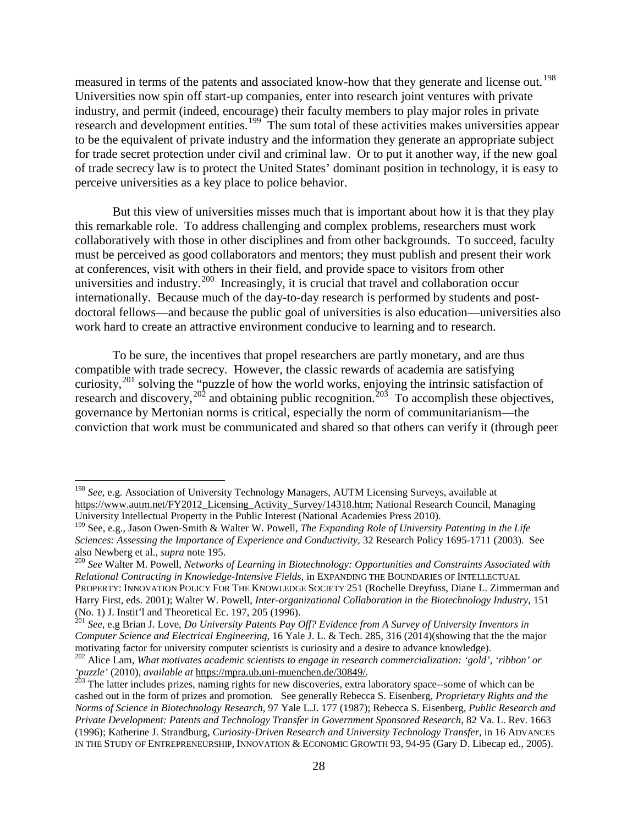measured in terms of the patents and associated know-how that they generate and license out.<sup>[198](#page-29-0)</sup> Universities now spin off start-up companies, enter into research joint ventures with private industry, and permit (indeed, encourage) their faculty members to play major roles in private research and development entities.<sup>199</sup> The sum total of these activities makes universities appear to be the equivalent of private industry and the information they generate an appropriate subject for trade secret protection under civil and criminal law. Or to put it another way, if the new goal of trade secrecy law is to protect the United States' dominant position in technology, it is easy to perceive universities as a key place to police behavior.

But this view of universities misses much that is important about how it is that they play this remarkable role. To address challenging and complex problems, researchers must work collaboratively with those in other disciplines and from other backgrounds. To succeed, faculty must be perceived as good collaborators and mentors; they must publish and present their work at conferences, visit with others in their field, and provide space to visitors from other universities and industry.<sup>200</sup> Increasingly, it is crucial that travel and collaboration occur internationally. Because much of the day-to-day research is performed by students and postdoctoral fellows—and because the public goal of universities is also education—universities also work hard to create an attractive environment conducive to learning and to research.

To be sure, the incentives that propel researchers are partly monetary, and are thus compatible with trade secrecy. However, the classic rewards of academia are satisfying curiosity,<sup>[201](#page-29-3)</sup> solving the "puzzle of how the world works, enjoying the intrinsic satisfaction of research and discovery,  $202$  and obtaining public recognition.  $203$  To accomplish these objectives, governance by Mertonian norms is critical, especially the norm of communitarianism—the conviction that work must be communicated and shared so that others can verify it (through peer

<span id="page-29-0"></span> <sup>198</sup> *See*, e.g. Association of University Technology Managers, AUTM Licensing Surveys, available at [https://www.autm.net/FY2012\\_Licensing\\_Activity\\_Survey/14318.htm;](https://www.autm.net/FY2012_Licensing_Activity_Survey/14318.htm) National Research Council, Managing University Intellectual Property in the Public Interest (National Academies Press 2010).

<span id="page-29-1"></span><sup>199</sup> See, e.g., Jason Owen-Smith & Walter W. Powell, *The Expanding Role of University Patenting in the Life Sciences: Assessing the Importance of Experience and Conductivity*, 32 Research Policy 1695-1711 (2003). See also Newberg et al., *supra* note 195.

<span id="page-29-2"></span><sup>&</sup>lt;sup>200</sup> See Walter M. Powell, *Networks of Learning in Biotechnology: Opportunities and Constraints Associated with Relational Contracting in Knowledge-Intensive Fields*, in EXPANDING THE BOUNDARIES OF INTELLECTUAL PROPERTY: INNOVATION POLICY FOR THE KNOWLEDGE SOCIETY 251 (Rochelle Dreyfuss, Diane L. Zimmerman and Harry First, eds. 2001); Walter W. Powell, *Inter-organizational Collaboration in the Biotechnology Industry*, 151 (No. 1) J. Instit'l and Theoretical Ec. 197, 205 (1996). <sup>201</sup> *See*, e.g Brian J. Love, *Do University Patents Pay Off? Evidence from A Survey of University Inventors in* 

<span id="page-29-3"></span>*Computer Science and Electrical Engineering*, 16 Yale J. L. & Tech. 285, 316 (2014)(showing that the the major motivating factor for university computer scientists is curiosity and a desire to advance knowledge).

<span id="page-29-4"></span><sup>202</sup> Alice Lam, *What motivates academic scientists to engage in research commercialization: 'gold', 'ribbon' or 'puzzle'* (2010), *available at* [https://mpra.ub.uni-muenchen.de/30849/.](https://mpra.ub.uni-muenchen.de/30849/) 203 The latter includes prizes, naming rights for new discoveries, extra laboratory space--some of which can be

<span id="page-29-5"></span>cashed out in the form of prizes and promotion. See generally Rebecca S. Eisenberg, *Proprietary Rights and the Norms of Science in Biotechnology Research*, 97 Yale L.J. 177 (1987); Rebecca S. Eisenberg, *Public Research and Private Development: Patents and Technology Transfer in Government Sponsored Research*, 82 Va. L. Rev. 1663 (1996); Katherine J. Strandburg, *Curiosity-Driven Research and University Technology Transfer*, in 16 ADVANCES IN THE STUDY OF ENTREPRENEURSHIP, INNOVATION & ECONOMIC GROWTH 93, 94-95 (Gary D. Libecap ed., 2005).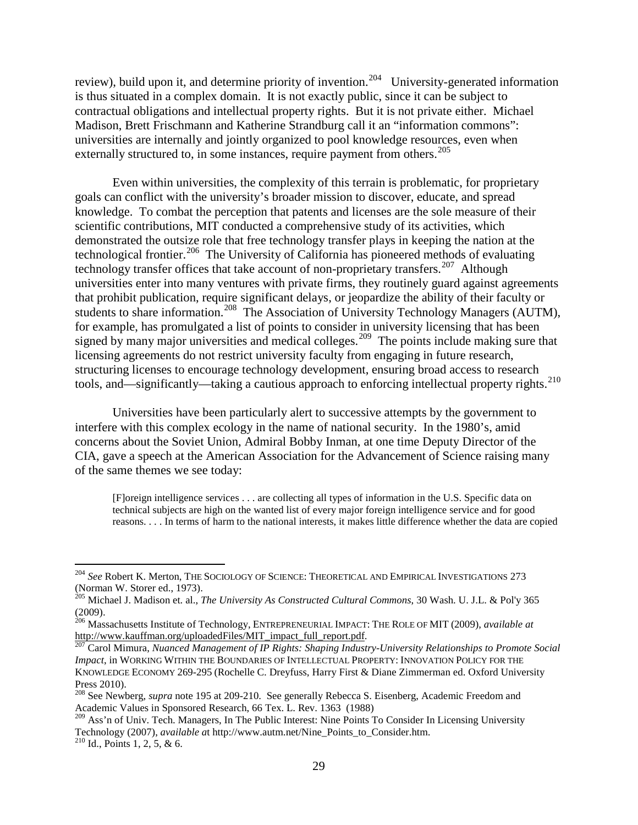review), build upon it, and determine priority of invention.<sup>[204](#page-30-0)</sup> University-generated information is thus situated in a complex domain. It is not exactly public, since it can be subject to contractual obligations and intellectual property rights. But it is not private either. Michael Madison, Brett Frischmann and Katherine Strandburg call it an "information commons": universities are internally and jointly organized to pool knowledge resources, even when externally structured to, in some instances, require payment from others.<sup>205</sup>

Even within universities, the complexity of this terrain is problematic, for proprietary goals can conflict with the university's broader mission to discover, educate, and spread knowledge. To combat the perception that patents and licenses are the sole measure of their scientific contributions, MIT conducted a comprehensive study of its activities, which demonstrated the outsize role that free technology transfer plays in keeping the nation at the technological frontier.<sup>[206](#page-30-2)</sup> The University of California has pioneered methods of evaluating technology transfer offices that take account of non-proprietary transfers.<sup>[207](#page-30-3)</sup> Although universities enter into many ventures with private firms, they routinely guard against agreements that prohibit publication, require significant delays, or jeopardize the ability of their faculty or students to share information.<sup>[208](#page-30-4)</sup> The Association of University Technology Managers (AUTM), for example, has promulgated a list of points to consider in university licensing that has been signed by many major universities and medical colleges.<sup>209</sup> The points include making sure that licensing agreements do not restrict university faculty from engaging in future research, structuring licenses to encourage technology development, ensuring broad access to research tools, and—significantly—taking a cautious approach to enforcing intellectual property rights.<sup>[210](#page-30-6)</sup>

<span id="page-30-7"></span>Universities have been particularly alert to successive attempts by the government to interfere with this complex ecology in the name of national security. In the 1980's, amid concerns about the Soviet Union, Admiral Bobby Inman, at one time Deputy Director of the CIA, gave a speech at the American Association for the Advancement of Science raising many of the same themes we see today:

[F]oreign intelligence services . . . are collecting all types of information in the U.S. Specific data on technical subjects are high on the wanted list of every major foreign intelligence service and for good reasons. . . . In terms of harm to the national interests, it makes little difference whether the data are copied

<span id="page-30-0"></span> <sup>204</sup> *See* Robert K. Merton, THE SOCIOLOGY OF SCIENCE: THEORETICAL AND EMPIRICAL INVESTIGATIONS <sup>273</sup> (Norman W. Storer ed., 1973).

<span id="page-30-1"></span><sup>205</sup> Michael J. Madison et. al., *The University As Constructed Cultural Commons*, 30 Wash. U. J.L. & Pol'y 365 (2009).

<span id="page-30-2"></span><sup>206</sup> Massachusetts Institute of Technology, ENTREPRENEURIAL IMPACT: THE ROLE OF MIT (2009), *available at* [http://www.kauffman.org/uploadedFiles/MIT\\_impact\\_full\\_report.pdf.](http://www.kauffman.org/uploadedFiles/MIT_impact_full_report.pdf)<br><sup>207</sup> Carol Mimura, *Nuanced Management of IP Rights: Shaping Industry-University Relationships to Promote Social* 

<span id="page-30-3"></span>*Impact*, in WORKING WITHIN THE BOUNDARIES OF INTELLECTUAL PROPERTY: INNOVATION POLICY FOR THE KNOWLEDGE ECONOMY 269-295 (Rochelle C. Dreyfuss, Harry First & Diane Zimmerman ed. Oxford University Press 2010).

<span id="page-30-4"></span><sup>208</sup> See Newberg, *supra* note [195](#page-28-5) at 209-210. See generally Rebecca S. Eisenberg, Academic Freedom and Academic Values in Sponsored Research, 66 Tex. L. Rev. 1363 (1988)

<span id="page-30-6"></span><span id="page-30-5"></span><sup>&</sup>lt;sup>209</sup> Ass'n of Univ. Tech. Managers, In The Public Interest: Nine Points To Consider In Licensing University Technology (2007), *available at http://www.autm.net/Nine\_Points\_to\_Consider.htm.* <sup>210</sup> Id., Points 1, 2, 5, & 6.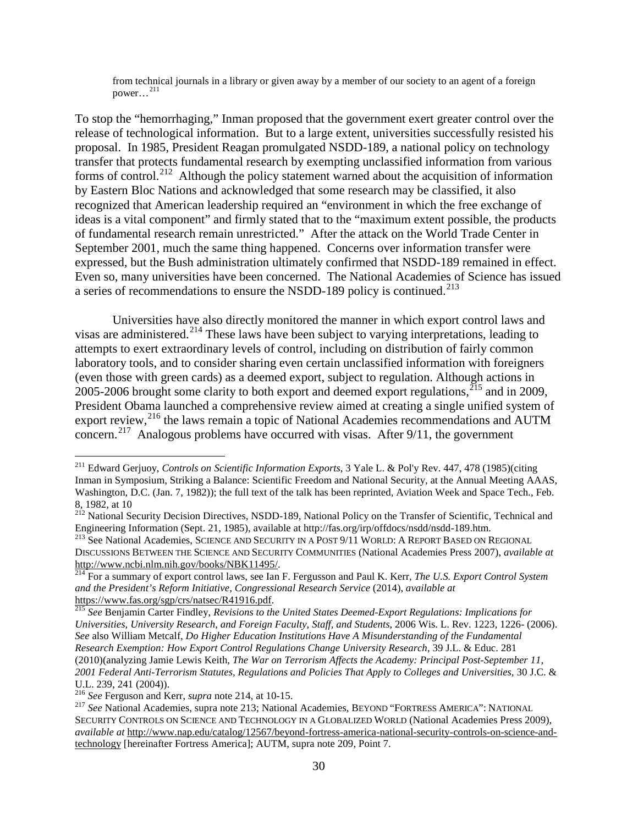from technical journals in a library or given away by a member of our society to an agent of a foreign power…[211](#page-31-2)

To stop the "hemorrhaging," Inman proposed that the government exert greater control over the release of technological information. But to a large extent, universities successfully resisted his proposal. In 1985, President Reagan promulgated NSDD-189, a national policy on technology transfer that protects fundamental research by exempting unclassified information from various forms of control.[212](#page-31-3) Although the policy statement warned about the acquisition of information by Eastern Bloc Nations and acknowledged that some research may be classified, it also recognized that American leadership required an "environment in which the free exchange of ideas is a vital component" and firmly stated that to the "maximum extent possible, the products of fundamental research remain unrestricted." After the attack on the World Trade Center in September 2001, much the same thing happened. Concerns over information transfer were expressed, but the Bush administration ultimately confirmed that NSDD-189 remained in effect. Even so, many universities have been concerned. The National Academies of Science has issued a series of recommendations to ensure the NSDD-189 policy is continued.<sup>[213](#page-31-4)</sup>

<span id="page-31-1"></span><span id="page-31-0"></span>Universities have also directly monitored the manner in which export control laws and visas are administered.[214](#page-31-5) These laws have been subject to varying interpretations, leading to attempts to exert extraordinary levels of control, including on distribution of fairly common laboratory tools, and to consider sharing even certain unclassified information with foreigners (even those with green cards) as a deemed export, subject to regulation. Although actions in 2005-2006 brought some clarity to both export and deemed export regulations,  $^{215}$  $^{215}$  $^{215}$  and in 2009, President Obama launched a comprehensive review aimed at creating a single unified system of export review,<sup>[216](#page-31-7)</sup> the laws remain a topic of National Academies recommendations and AUTM concern.[217](#page-31-8) Analogous problems have occurred with visas. After 9/11, the government

<span id="page-31-8"></span>

<span id="page-31-9"></span><span id="page-31-2"></span> <sup>211</sup> Edward Gerjuoy, *Controls on Scientific Information Exports*, 3 Yale L. & Pol'y Rev. 447, 478 (1985)(citing Inman in Symposium, Striking a Balance: Scientific Freedom and National Security, at the Annual Meeting AAAS, Washington, D.C. (Jan. 7, 1982)); the full text of the talk has been reprinted, Aviation Week and Space Tech., Feb. 8, 1982, at 10

<span id="page-31-3"></span><sup>&</sup>lt;sup>212</sup> National Security Decision Directives, NSDD-189, National Policy on the Transfer of Scientific, Technical and Engineering Information (Sept. 21, 1985), available at http://fas.org/irp/offdocs/nsdd/nsdd-189.htm.<br><sup>213</sup> See National Academies, SCIENCE AND SECURITY IN A POST 9/11 WORLD: A REPORT BASED ON REGIONAL

<span id="page-31-4"></span>DISCUSSIONS BETWEEN THE SCIENCE AND SECURITY COMMUNITIES (National Academies Press 2007), *available at* [http://www.ncbi.nlm.nih.gov/books/NBK11495/.](http://www.ncbi.nlm.nih.gov/books/NBK11495/) [214](http://www.ncbi.nlm.nih.gov/books/NBK11495/) For a summary of export control laws, see Ian F. Fergusson and Paul K. Kerr, *The U.S. Export Control System* 

<span id="page-31-5"></span>*and the President's Reform Initiative, Congressional Research Service* (2014), *available at*<br>
<u>215 See Beniamin Cartar Findley, *P*.</u> (2014), *and also Research Service* (2014), *available at* 

<span id="page-31-6"></span>See Benjamin Carter Findley, *Revisions to the United States Deemed-Export Regulations: Implications for Universities, University Research, and Foreign Faculty, Staff, and Students*, 2006 Wis. L. Rev. 1223, 1226- (2006). *See* also William Metcalf, *Do Higher Education Institutions Have A Misunderstanding of the Fundamental Research Exemption: How Export Control Regulations Change University Research*, 39 J.L. & Educ. 281 (2010)(analyzing Jamie Lewis Keith, *The War on Terrorism Affects the Academy: Principal Post-September 11, 2001 Federal Anti-Terrorism Statutes, Regulations and Policies That Apply to Colleges and Universities*, 30 J.C. &

<span id="page-31-7"></span>U.L. 239, 241 (2004)).<br><sup>216</sup> *See* Ferguson and Kerr, *supra* not[e 214,](#page-31-0) at 10-15.<br><sup>217</sup> *See* National Academies, supra note [213;](#page-31-1) National Academies, BEYOND "FORTRESS AMERICA": NATIONAL SECURITY CONTROLS ON SCIENCE AND TECHNOLOGY IN A GLOBALIZED WORLD (National Academies Press 2009), *available at* [http://www.nap.edu/catalog/12567/beyond-fortress-america-national-security-controls-on-science-and](http://www.nap.edu/catalog/12567/beyond-fortress-america-national-security-controls-on-science-and-technology)[technology](http://www.nap.edu/catalog/12567/beyond-fortress-america-national-security-controls-on-science-and-technology) [hereinafter Fortress America]; AUTM, supra note [209,](#page-30-7) Point 7.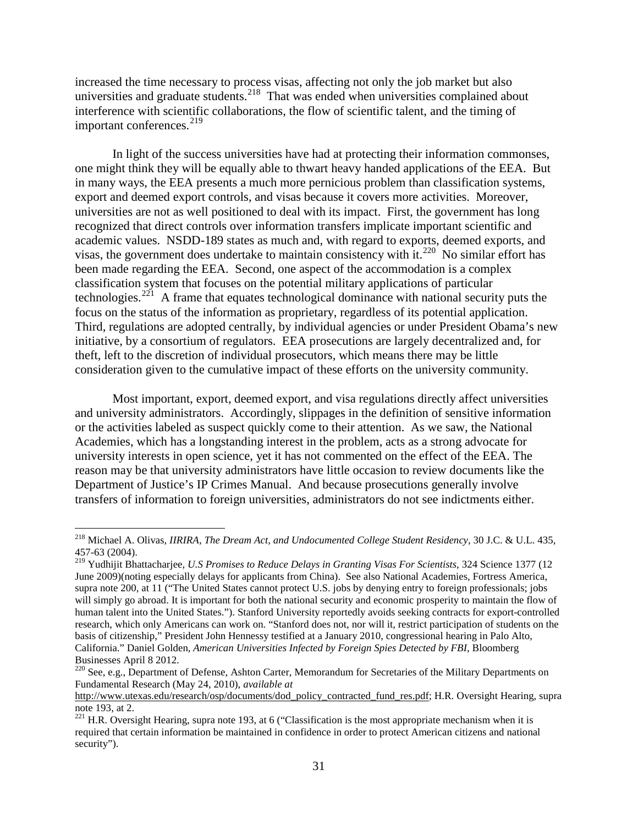increased the time necessary to process visas, affecting not only the job market but also universities and graduate students.<sup>[218](#page-32-0)</sup> That was ended when universities complained about interference with scientific collaborations, the flow of scientific talent, and the timing of important conferences. $^{219}$  $^{219}$  $^{219}$ 

<span id="page-32-4"></span>In light of the success universities have had at protecting their information commonses, one might think they will be equally able to thwart heavy handed applications of the EEA. But in many ways, the EEA presents a much more pernicious problem than classification systems, export and deemed export controls, and visas because it covers more activities. Moreover, universities are not as well positioned to deal with its impact. First, the government has long recognized that direct controls over information transfers implicate important scientific and academic values. NSDD-189 states as much and, with regard to exports, deemed exports, and visas, the government does undertake to maintain consistency with it.<sup>[220](#page-32-2)</sup> No similar effort has been made regarding the EEA. Second, one aspect of the accommodation is a complex classification system that focuses on the potential military applications of particular technologies.<sup>[221](#page-32-3)</sup> A frame that equates technological dominance with national security puts the focus on the status of the information as proprietary, regardless of its potential application. Third, regulations are adopted centrally, by individual agencies or under President Obama's new initiative, by a consortium of regulators. EEA prosecutions are largely decentralized and, for theft, left to the discretion of individual prosecutors, which means there may be little consideration given to the cumulative impact of these efforts on the university community.

Most important, export, deemed export, and visa regulations directly affect universities and university administrators. Accordingly, slippages in the definition of sensitive information or the activities labeled as suspect quickly come to their attention. As we saw, the National Academies, which has a longstanding interest in the problem, acts as a strong advocate for university interests in open science, yet it has not commented on the effect of the EEA. The reason may be that university administrators have little occasion to review documents like the Department of Justice's IP Crimes Manual. And because prosecutions generally involve transfers of information to foreign universities, administrators do not see indictments either.

<span id="page-32-0"></span> <sup>218</sup> Michael A. Olivas, *IIRIRA, The Dream Act, and Undocumented College Student Residency*, 30 J.C. & U.L. 435, 457-63 (2004).

<span id="page-32-1"></span><sup>219</sup> Yudhijit Bhattacharjee, *U.S Promises to Reduce Delays in Granting Visas For Scientists*, 324 Science 1377 (12 June 2009)(noting especially delays for applicants from China). See also National Academies, Fortress America, supra note 200, at 11 ("The United States cannot protect U.S. jobs by denying entry to foreign professionals; jobs will simply go abroad. It is important for both the national security and economic prosperity to maintain the flow of human talent into the United States."). Stanford University reportedly avoids seeking contracts for export-controlled research, which only Americans can work on. "Stanford does not, nor will it, restrict participation of students on the basis of citizenship," President John Hennessy testified at a January 2010, congressional hearing in Palo Alto, California." Daniel Golden, *American Universities Infected by Foreign Spies Detected by FBI*, Bloomberg Businesses April 8 2012.

<span id="page-32-2"></span><sup>&</sup>lt;sup>220</sup> See, e.g., Department of Defense, Ashton Carter, Memorandum for Secretaries of the Military Departments on Fundamental Research (May 24, 2010), *available at*

[http://www.utexas.edu/research/osp/documents/dod\\_policy\\_contracted\\_fund\\_res.pdf;](http://www.utexas.edu/research/osp/documents/dod_policy_contracted_fund_res.pdf) H.R. Oversight Hearing, supra

<span id="page-32-3"></span>not[e 193,](#page-28-6) at 2.<br><sup>221</sup> H.R. Oversight Hearing, supra note 193, at 6 ("Classification is the most appropriate mechanism when it is required that certain information be maintained in confidence in order to protect American citizens and national security").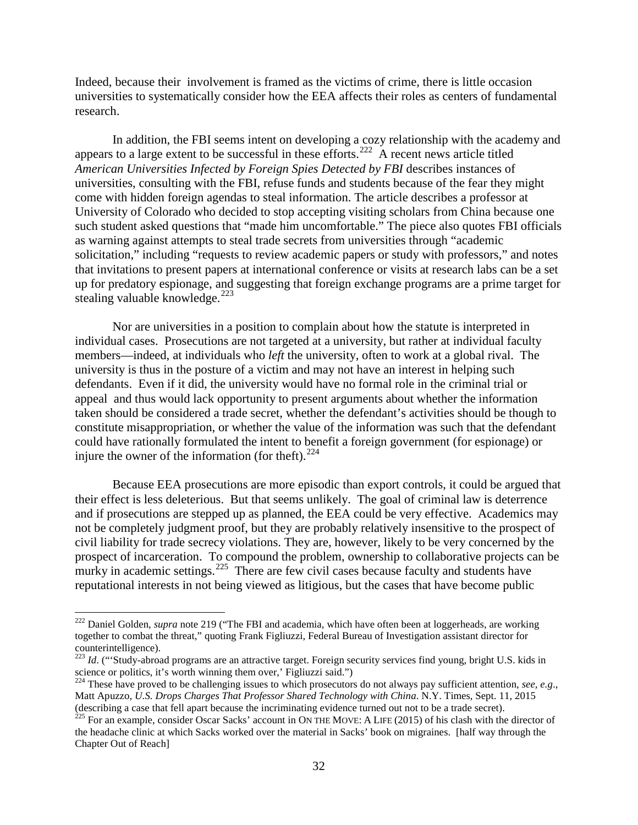Indeed, because their involvement is framed as the victims of crime, there is little occasion universities to systematically consider how the EEA affects their roles as centers of fundamental research.

In addition, the FBI seems intent on developing a cozy relationship with the academy and appears to a large extent to be successful in these efforts.<sup>[222](#page-33-0)</sup> A recent news article titled *American Universities Infected by Foreign Spies Detected by FBI* describes instances of universities, consulting with the FBI, refuse funds and students because of the fear they might come with hidden foreign agendas to steal information. The article describes a professor at University of Colorado who decided to stop accepting visiting scholars from China because one such student asked questions that "made him uncomfortable." The piece also quotes FBI officials as warning against attempts to steal trade secrets from universities through "academic solicitation," including "requests to review academic papers or study with professors," and notes that invitations to present papers at international conference or visits at research labs can be a set up for predatory espionage, and suggesting that foreign exchange programs are a prime target for stealing valuable knowledge.<sup>[223](#page-33-1)</sup>

Nor are universities in a position to complain about how the statute is interpreted in individual cases. Prosecutions are not targeted at a university, but rather at individual faculty members—indeed, at individuals who *left* the university, often to work at a global rival. The university is thus in the posture of a victim and may not have an interest in helping such defendants. Even if it did, the university would have no formal role in the criminal trial or appeal and thus would lack opportunity to present arguments about whether the information taken should be considered a trade secret, whether the defendant's activities should be though to constitute misappropriation, or whether the value of the information was such that the defendant could have rationally formulated the intent to benefit a foreign government (for espionage) or injure the owner of the information (for theft). $^{224}$ 

Because EEA prosecutions are more episodic than export controls, it could be argued that their effect is less deleterious. But that seems unlikely. The goal of criminal law is deterrence and if prosecutions are stepped up as planned, the EEA could be very effective. Academics may not be completely judgment proof, but they are probably relatively insensitive to the prospect of civil liability for trade secrecy violations. They are, however, likely to be very concerned by the prospect of incarceration. To compound the problem, ownership to collaborative projects can be murky in academic settings.<sup>[225](#page-33-3)</sup> There are few civil cases because faculty and students have reputational interests in not being viewed as litigious, but the cases that have become public

<span id="page-33-0"></span> <sup>222</sup> Daniel Golden, *supra* note [219](#page-32-4) ("The FBI and academia, which have often been at loggerheads, are working together to combat the threat," quoting Frank Figliuzzi, Federal Bureau of Investigation assistant director for counterintelligence).

<span id="page-33-1"></span><sup>&</sup>lt;sup>223</sup> *Id*. ("Study-abroad programs are an attractive target. Foreign security services find young, bright U.S. kids in science or politics, it's worth winning them over,' Figliuzzi said.")

<span id="page-33-2"></span><sup>&</sup>lt;sup>224</sup> These have proved to be challenging issues to which prosecutors do not always pay sufficient attention, *see, e.g.*, Matt Apuzzo, *U.S. Drops Charges That Professor Shared Technology with China*. N.Y. Times, Sept. 11, 2015 (describing a case that fell apart because the incriminating evidence turned out not to be a trade secret).

<span id="page-33-3"></span><sup>&</sup>lt;sup>225</sup> For an example, consider Oscar Sacks' account in ON THE MOVE: A LIFE (2015) of his clash with the director of the headache clinic at which Sacks worked over the material in Sacks' book on migraines. [half way through the Chapter Out of Reach]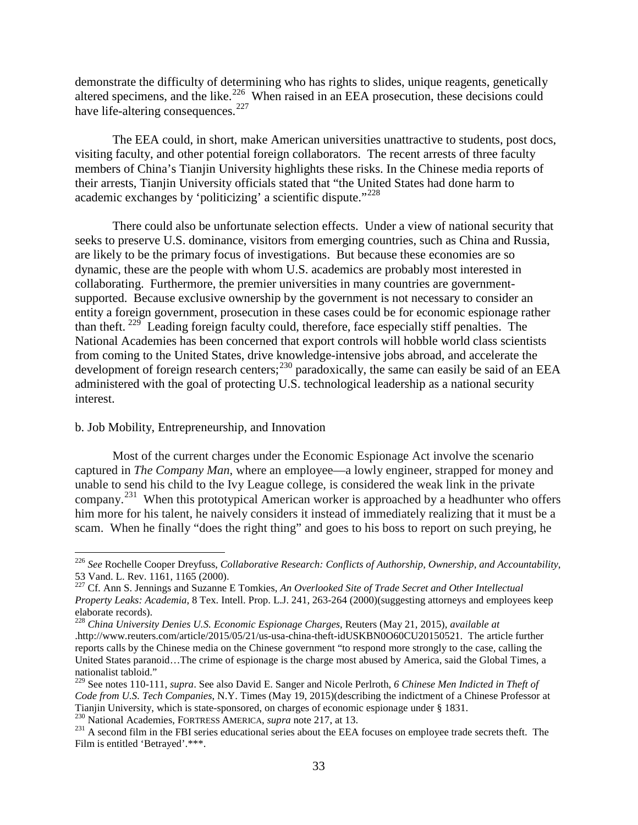demonstrate the difficulty of determining who has rights to slides, unique reagents, genetically altered specimens, and the like.<sup>[226](#page-34-0)</sup> When raised in an EEA prosecution, these decisions could have life-altering consequences.<sup>[227](#page-34-1)</sup>

The EEA could, in short, make American universities unattractive to students, post docs, visiting faculty, and other potential foreign collaborators. The recent arrests of three faculty members of China's Tianjin University highlights these risks. In the Chinese media reports of their arrests, Tianjin University officials stated that "the United States had done harm to academic exchanges by 'politicizing' a scientific dispute."<sup>[228](#page-34-2)</sup>

There could also be unfortunate selection effects. Under a view of national security that seeks to preserve U.S. dominance, visitors from emerging countries, such as China and Russia, are likely to be the primary focus of investigations. But because these economies are so dynamic, these are the people with whom U.S. academics are probably most interested in collaborating. Furthermore, the premier universities in many countries are governmentsupported. Because exclusive ownership by the government is not necessary to consider an entity a foreign government, prosecution in these cases could be for economic espionage rather than theft. [229](#page-34-3) Leading foreign faculty could, therefore, face especially stiff penalties. The National Academies has been concerned that export controls will hobble world class scientists from coming to the United States, drive knowledge-intensive jobs abroad, and accelerate the development of foreign research centers;<sup>[230](#page-34-4)</sup> paradoxically, the same can easily be said of an EEA administered with the goal of protecting U.S. technological leadership as a national security interest.

#### b. Job Mobility, Entrepreneurship, and Innovation

Most of the current charges under the Economic Espionage Act involve the scenario captured in *The Company Man*, where an employee—a lowly engineer, strapped for money and unable to send his child to the Ivy League college, is considered the weak link in the private company.<sup>231</sup> When this prototypical American worker is approached by a headhunter who offers him more for his talent, he naively considers it instead of immediately realizing that it must be a scam. When he finally "does the right thing" and goes to his boss to report on such preying, he

<span id="page-34-0"></span> <sup>226</sup> *See* Rochelle Cooper Dreyfuss, *Collaborative Research: Conflicts of Authorship, Ownership, and Accountability*, 53 Vand. L. Rev. 1161, 1165 (2000).

<span id="page-34-1"></span><sup>227</sup> Cf. Ann S. Jennings and Suzanne E Tomkies, *An Overlooked Site of Trade Secret and Other Intellectual Property Leaks: Academia*, 8 Tex. Intell. Prop. L.J. 241, 263-264 (2000)(suggesting attorneys and employees keep elaborate records).

<span id="page-34-2"></span><sup>228</sup> *China University Denies U.S. Economic Espionage Charges*, Reuters (May 21, 2015), *available at*  .http://www.reuters.com/article/2015/05/21/us-usa-china-theft-idUSKBN0O60CU20150521. The article further reports calls by the Chinese media on the Chinese government "to respond more strongly to the case, calling the United States paranoid…The crime of espionage is the charge most abused by America, said the Global Times, a nationalist tabloid."

<span id="page-34-3"></span><sup>229</sup> See notes [110-](#page-18-11)[111,](#page-18-12) *supra*. See also David E. Sanger and Nicole Perlroth, *6 Chinese Men Indicted in Theft of Code from U.S. Tech Companies*, N.Y. Times (May 19, 2015)(describing the indictment of a Chinese Professor at Tianjin University, which is state-sponsored, on charges of economic espionage under § 1831.

<span id="page-34-5"></span><span id="page-34-4"></span> $^{230}$  National Academies, FORTRESS AMERICA, *supra* note [217,](#page-31-9) at 13.<br> $^{231}$  A second film in the FBI series educational series about the EEA focuses on employee trade secrets theft. The Film is entitled 'Betrayed'.\*\*\*.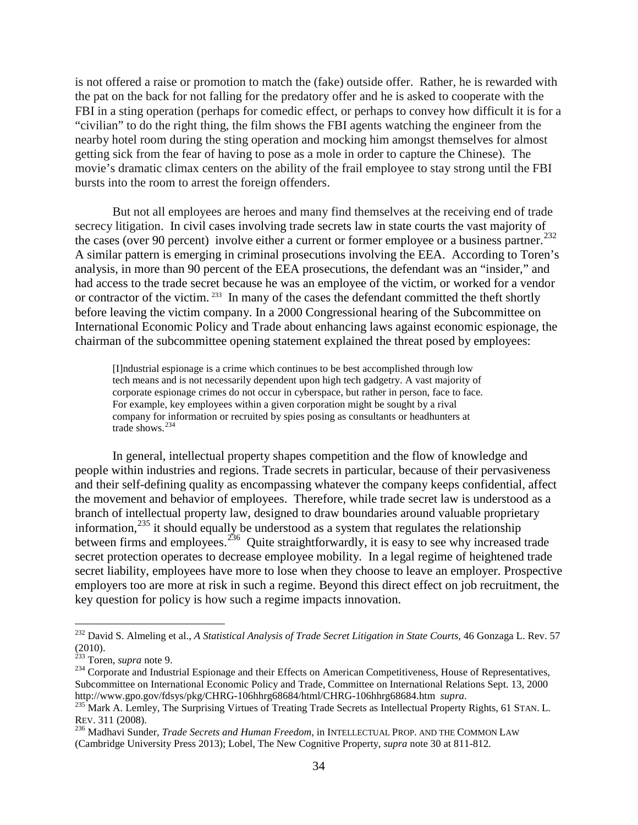is not offered a raise or promotion to match the (fake) outside offer. Rather, he is rewarded with the pat on the back for not falling for the predatory offer and he is asked to cooperate with the FBI in a sting operation (perhaps for comedic effect, or perhaps to convey how difficult it is for a "civilian" to do the right thing, the film shows the FBI agents watching the engineer from the nearby hotel room during the sting operation and mocking him amongst themselves for almost getting sick from the fear of having to pose as a mole in order to capture the Chinese). The movie's dramatic climax centers on the ability of the frail employee to stay strong until the FBI bursts into the room to arrest the foreign offenders.

But not all employees are heroes and many find themselves at the receiving end of trade secrecy litigation. In civil cases involving trade secrets law in state courts the vast majority of the cases (over 90 percent) involve either a current or former employee or a business partner.<sup>[232](#page-35-0)</sup> A similar pattern is emerging in criminal prosecutions involving the EEA. According to Toren's analysis, in more than 90 percent of the EEA prosecutions, the defendant was an "insider," and had access to the trade secret because he was an employee of the victim, or worked for a vendor or contractor of the victim.<sup>233</sup> In many of the cases the defendant committed the theft shortly before leaving the victim company. In a 2000 Congressional hearing of the Subcommittee on International Economic Policy and Trade about enhancing laws against economic espionage, the chairman of the subcommittee opening statement explained the threat posed by employees:

[I]ndustrial espionage is a crime which continues to be best accomplished through low tech means and is not necessarily dependent upon high tech gadgetry. A vast majority of corporate espionage crimes do not occur in cyberspace, but rather in person, face to face. For example, key employees within a given corporation might be sought by a rival company for information or recruited by spies posing as consultants or headhunters at trade shows.[234](#page-35-2)

In general, intellectual property shapes competition and the flow of knowledge and people within industries and regions. Trade secrets in particular, because of their pervasiveness and their self-defining quality as encompassing whatever the company keeps confidential, affect the movement and behavior of employees. Therefore, while trade secret law is understood as a branch of intellectual property law, designed to draw boundaries around valuable proprietary information,<sup>[235](#page-35-3)</sup> it should equally be understood as a system that regulates the relationship between firms and employees.<sup>[236](#page-35-4)</sup> Quite straightforwardly, it is easy to see why increased trade secret protection operates to decrease employee mobility. In a legal regime of heightened trade secret liability, employees have more to lose when they choose to leave an employer. Prospective employers too are more at risk in such a regime. Beyond this direct effect on job recruitment, the key question for policy is how such a regime impacts innovation.

<span id="page-35-0"></span> <sup>232</sup> David S. Almeling et al., *A Statistical Analysis of Trade Secret Litigation in State Courts*, 46 Gonzaga L. Rev. 57  $(2010)$ .<br><sup>233</sup> Toren, *supra* note 9.

<span id="page-35-2"></span><span id="page-35-1"></span><sup>&</sup>lt;sup>234</sup> Corporate and Industrial Espionage and their Effects on American Competitiveness, House of Representatives, Subcommittee on International Economic Policy and Trade, Committee on International Relations Sept. 13, 2000 http://www.gpo.gov/fdsys/pkg/CHRG-106hhrg68684/html/CHRG-106hhrg68684.htm supra.

<span id="page-35-3"></span><sup>&</sup>lt;sup>235</sup> Mark A. Lemley, The Surprising Virtues of Treating Trade Secrets as Intellectual Property Rights, 61 STAN. L.<br>REV. 311 (2008).

<span id="page-35-4"></span><sup>&</sup>lt;sup>236</sup> Madhavi Sunder, *Trade Secrets and Human Freedom*, in INTELLECTUAL PROP. AND THE COMMON LAW (Cambridge University Press 2013); Lobel, The New Cognitive Property, *supra* note [30](#page-7-7) at 811-812.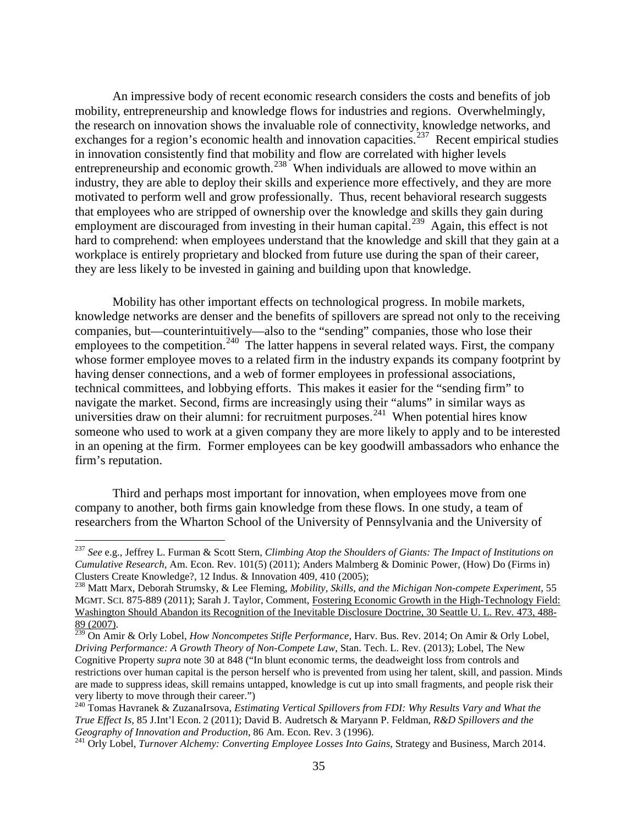<span id="page-36-5"></span>An impressive body of recent economic research considers the costs and benefits of job mobility, entrepreneurship and knowledge flows for industries and regions. Overwhelmingly, the research on innovation shows the invaluable role of connectivity, knowledge networks, and exchanges for a region's economic health and innovation capacities.<sup>[237](#page-36-0)</sup> Recent empirical studies in innovation consistently find that mobility and flow are correlated with higher levels entrepreneurship and economic growth.<sup>[238](#page-36-1)</sup> When individuals are allowed to move within an industry, they are able to deploy their skills and experience more effectively, and they are more motivated to perform well and grow professionally. Thus, recent behavioral research suggests that employees who are stripped of ownership over the knowledge and skills they gain during employment are discouraged from investing in their human capital.<sup>[239](#page-36-2)</sup> Again, this effect is not hard to comprehend: when employees understand that the knowledge and skill that they gain at a workplace is entirely proprietary and blocked from future use during the span of their career, they are less likely to be invested in gaining and building upon that knowledge.

Mobility has other important effects on technological progress. In mobile markets, knowledge networks are denser and the benefits of spillovers are spread not only to the receiving companies, but—counterintuitively—also to the "sending" companies, those who lose their employees to the competition.<sup>[240](#page-36-3)</sup> The latter happens in several related ways. First, the company whose former employee moves to a related firm in the industry expands its company footprint by having denser connections, and a web of former employees in professional associations, technical committees, and lobbying efforts. This makes it easier for the "sending firm" to navigate the market. Second, firms are increasingly using their "alums" in similar ways as universities draw on their alumni: for recruitment purposes.<sup>[241](#page-36-4)</sup> When potential hires know someone who used to work at a given company they are more likely to apply and to be interested in an opening at the firm. Former employees can be key goodwill ambassadors who enhance the firm's reputation.

Third and perhaps most important for innovation, when employees move from one company to another, both firms gain knowledge from these flows. In one study, a team of researchers from the Wharton School of the University of Pennsylvania and the University of

<span id="page-36-0"></span> <sup>237</sup> *See* e.g., Jeffrey L. Furman & Scott Stern, *Climbing Atop the Shoulders of Giants: The Impact of Institutions on Cumulative Research*, Am. Econ. Rev. 101(5) (2011); Anders Malmberg & Dominic Power, (How) Do (Firms in) Clusters Create Knowledge?, 12 Indus. & Innovation 409, 410 (2005); <sup>238</sup> Matt Marx, Deborah Strumsky, & Lee Fleming, *Mobility, Skills, and the Michigan Non-compete Experiment*, 55

<span id="page-36-1"></span>MGMT. SCI. 875-889 (2011); Sarah J. Taylor, Comment, [Fostering Economic Growth in the High-Technology Field:](https://a.next.westlaw.com/Link/Document/FullText?findType=Y&serNum=0330622288&pubNum=0107349&originatingDoc=Iafd4d99fb42f11e18b05fdf15589d8e8&refType=LR&fi=co_pp_sp_107349_488&originationContext=document&transitionType=DocumentItem&contextData=(sc.Search)%23co_pp_sp_107349_488)  [Washington Should Abandon its Recognition of the Inevitable Disclosure Doctrine, 30 Seattle U. L. Rev.](https://a.next.westlaw.com/Link/Document/FullText?findType=Y&serNum=0330622288&pubNum=0107349&originatingDoc=Iafd4d99fb42f11e18b05fdf15589d8e8&refType=LR&fi=co_pp_sp_107349_488&originationContext=document&transitionType=DocumentItem&contextData=(sc.Search)%23co_pp_sp_107349_488) 473, 488-<br>89 (2007).

<span id="page-36-2"></span><sup>&</sup>lt;sup>239</sup> On Amir & Orly Lobel, *How Noncompetes Stifle Performance*, Harv. Bus. Rev. 2014; On Amir & Orly Lobel, *Driving Performance: A Growth Theory of Non-Compete Law*, Stan. Tech. L. Rev. (2013); Lobel, The New Cognitive Property *supra* note [30](#page-7-7) at 848 ("In blunt economic terms, the deadweight loss from controls and restrictions over human capital is the person herself who is prevented from using her talent, skill, and passion. Minds are made to suppress ideas, skill remains untapped, knowledge is cut up into small fragments, and people risk their very liberty to move through their career.")

<span id="page-36-3"></span><sup>240</sup> Tomas Havranek & ZuzanaIrsova, *Estimating Vertical Spillovers from FDI: Why Results Vary and What the True Effect Is*, 85 J.Int'l Econ. 2 (2011); David B. Audretsch & Maryann P. Feldman, *R&D Spillovers and the* 

<span id="page-36-4"></span><sup>&</sup>lt;sup>241</sup> Orly Lobel, *Turnover Alchemy: Converting Employee Losses Into Gains*, Strategy and Business, March 2014.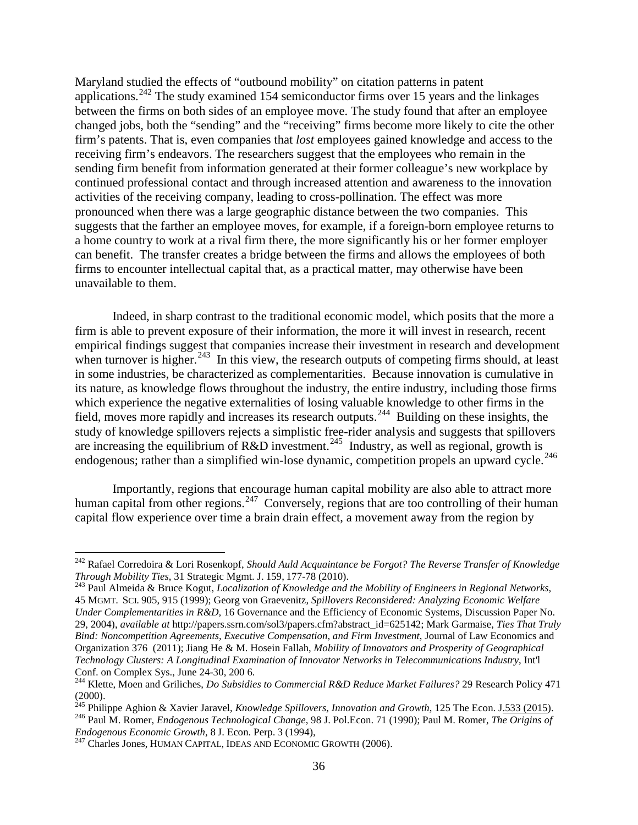Maryland studied the effects of "outbound mobility" on citation patterns in patent applications.<sup>[242](#page-37-0)</sup> The study examined 154 semiconductor firms over 15 years and the linkages between the firms on both sides of an employee move. The study found that after an employee changed jobs, both the "sending" and the "receiving" firms become more likely to cite the other firm's patents. That is, even companies that *lost* employees gained knowledge and access to the receiving firm's endeavors. The researchers suggest that the employees who remain in the sending firm benefit from information generated at their former colleague's new workplace by continued professional contact and through increased attention and awareness to the innovation activities of the receiving company, leading to cross-pollination. The effect was more pronounced when there was a large geographic distance between the two companies. This suggests that the farther an employee moves, for example, if a foreign-born employee returns to a home country to work at a rival firm there, the more significantly his or her former employer can benefit. The transfer creates a bridge between the firms and allows the employees of both firms to encounter intellectual capital that, as a practical matter, may otherwise have been unavailable to them.

Indeed, in sharp contrast to the traditional economic model, which posits that the more a firm is able to prevent exposure of their information, the more it will invest in research, recent empirical findings suggest that companies increase their investment in research and development when turnover is higher.<sup>[243](#page-37-1)</sup> In this view, the research outputs of competing firms should, at least in some industries, be characterized as complementarities. Because innovation is cumulative in its nature, as knowledge flows throughout the industry, the entire industry, including those firms which experience the negative externalities of losing valuable knowledge to other firms in the field, moves more rapidly and increases its research outputs.[244](#page-37-2) Building on these insights, the study of knowledge spillovers rejects a simplistic free-rider analysis and suggests that spillovers are increasing the equilibrium of R&D investment.<sup>[245](#page-37-3)</sup> Industry, as well as regional, growth is endogenous; rather than a simplified win-lose dynamic, competition propels an upward cycle.<sup>[246](#page-37-4)</sup>

Importantly, regions that encourage human capital mobility are also able to attract more human capital from other regions.<sup>[247](#page-37-5)</sup> Conversely, regions that are too controlling of their human capital flow experience over time a brain drain effect, a movement away from the region by

<span id="page-37-0"></span> <sup>242</sup> Rafael Corredoira & Lori Rosenkopf, *Should Auld Acquaintance be Forgot? The Reverse Transfer of Knowledge Through Mobility Ties*, 31 Strategic Mgmt. J. 159, 177-78 (2010). <sup>243</sup> Paul Almeida & Bruce Kogut, *Localization of Knowledge and the Mobility of Engineers in Regional Networks*,

<span id="page-37-1"></span><sup>45</sup> MGMT. SCI. 905, 915 (1999); Georg von Graevenitz, *Spillovers Reconsidered: Analyzing Economic Welfare Under Complementarities in R&D,* 16 Governance and the Efficiency of Economic Systems, Discussion Paper No. 29, 2004), *available at* [http://papers.ssrn.com/sol3/papers.cfm?abstract\\_id=625142;](http://papers.ssrn.com/sol3/papers.cfm?abstract_id=625142) Mark Garmaise, *Ties That Truly Bind: Noncompetition Agreements, Executive Compensation, and Firm Investment*, Journal of Law Economics and Organization 376 (2011); Jiang He & M. Hosein Fallah, *Mobility of Innovators and Prosperity of Geographical Technology Clusters: A Longitudinal Examination of Innovator Networks in Telecommunications Industry*, Int'l Conf. on Complex Sys., June 24-30, 200 6. <sup>244</sup> Klette, Moen and Griliches, *Do Subsidies to Commercial R&D Reduce Market Failures?* 29 Research Policy 471

<span id="page-37-2"></span><sup>(2000).&</sup>lt;br><sup>245</sup> Philippe Aghion & Xavier Jaravel, *Knowledge Spillovers, Innovation and Growth*, 125 The Econ. J.533 (2015).

<span id="page-37-3"></span>

<span id="page-37-4"></span><sup>&</sup>lt;sup>246</sup> Paul M. Romer, *Endogenous Technological Change*, 98 J. Pol.Econ. 71 (1990); Paul M. Romer, *The Origins of Endogenous Economic Growth*, 8 J. Econ. Perp. 3 (1994),

<span id="page-37-5"></span><sup>&</sup>lt;sup>247</sup> Charles Jones, HUMAN CAPITAL, IDEAS AND ECONOMIC GROWTH (2006).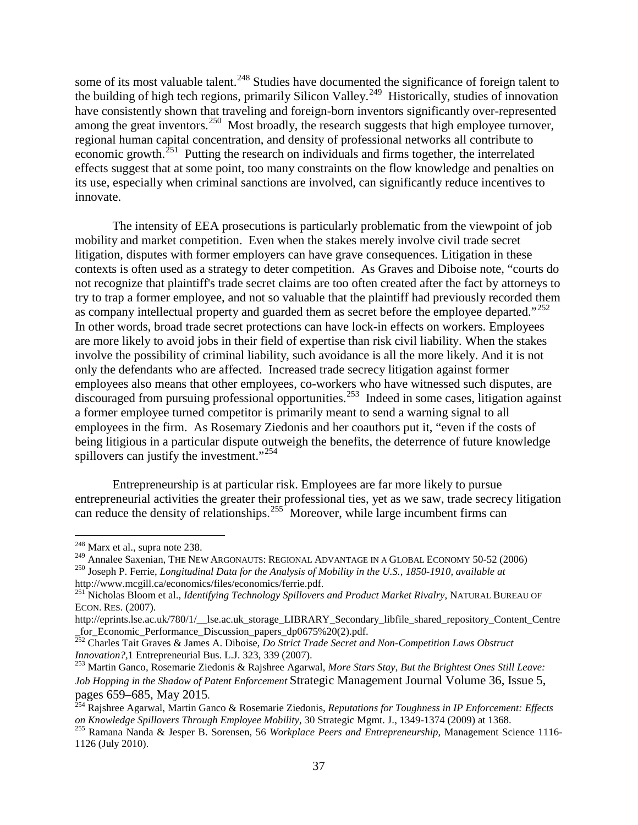some of its most valuable talent.<sup>[248](#page-38-0)</sup> Studies have documented the significance of foreign talent to the building of high tech regions, primarily Silicon Valley.<sup>[249](#page-38-1)</sup> Historically, studies of innovation have consistently shown that traveling and foreign-born inventors significantly over-represented among the great inventors.<sup>[250](#page-38-2)</sup> Most broadly, the research suggests that high employee turnover, regional human capital concentration, and density of professional networks all contribute to economic growth.<sup>[251](#page-38-3)</sup> Putting the research on individuals and firms together, the interrelated effects suggest that at some point, too many constraints on the flow knowledge and penalties on its use, especially when criminal sanctions are involved, can significantly reduce incentives to innovate.

The intensity of EEA prosecutions is particularly problematic from the viewpoint of job mobility and market competition. Even when the stakes merely involve civil trade secret litigation, disputes with former employers can have grave consequences. Litigation in these contexts is often used as a strategy to deter competition. As Graves and Diboise note, "courts do not recognize that plaintiff's trade secret claims are too often created after the fact by attorneys to try to trap a former employee, and not so valuable that the plaintiff had previously recorded them as company intellectual property and guarded them as secret before the employee departed."<sup>[252](#page-38-4)</sup> In other words, broad trade secret protections can have lock-in effects on workers. Employees are more likely to avoid jobs in their field of expertise than risk civil liability. When the stakes involve the possibility of criminal liability, such avoidance is all the more likely. And it is not only the defendants who are affected. Increased trade secrecy litigation against former employees also means that other employees, co-workers who have witnessed such disputes, are discouraged from pursuing professional opportunities.[253](#page-38-5) Indeed in some cases, litigation against a former employee turned competitor is primarily meant to send a warning signal to all employees in the firm. As Rosemary Ziedonis and her coauthors put it, "even if the costs of being litigious in a particular dispute outweigh the benefits, the deterrence of future knowledge spillovers can justify the investment."<sup>[254](#page-38-6)</sup>

Entrepreneurship is at particular risk. Employees are far more likely to pursue entrepreneurial activities the greater their professional ties, yet as we saw, trade secrecy litigation can reduce the density of relationships.<sup>[255](#page-38-7)</sup> Moreover, while large incumbent firms can

<span id="page-38-1"></span><span id="page-38-0"></span><sup>&</sup>lt;sup>248</sup> Marx et al., supra note [238.](#page-36-5)<br><sup>249</sup> Annalee Saxenian, THE NEW ARGONAUTS: REGIONAL ADVANTAGE IN A GLOBAL ECONOMY 50-52 (2006)<br><sup>250</sup> Joseph P. Ferrie, *Longitudinal Data for the Analysis of Mobility in the U.S., 1850-1* 

<span id="page-38-3"></span><span id="page-38-2"></span>http://www.mcgill.ca/economics/files/economics/ferrie.pdf. <sup>251</sup> Nicholas Bloom et al., *Identifying Technology Spillovers and Product Market Rivalry*, NATURAL BUREAU OF ECON. RES. (2007).

http://eprints.lse.ac.uk/780/1/\_lse.ac.uk\_storage\_LIBRARY\_Secondary\_libfile\_shared\_repository\_Content\_Centre<br>
for\_Economic\_Performance\_Discussion\_papers\_dp0675%20(2).pdf.

<span id="page-38-4"></span>\_for\_Economic\_Performance\_Discussion\_papers\_dp0675%20(2).pdf. 252 Charles Tait Graves & James A. Diboise, *Do Strict Trade Secret and Non-Competition Laws Obstruct Innovation?,*1 Entrepreneurial Bus. L.J. 323, 339 (2007). <sup>253</sup> Martin Ganco, Rosemarie Ziedonis & Rajshree Agarwal, *More Stars Stay, But the Brightest Ones Still Leave:* 

<span id="page-38-5"></span>*Job Hopping in the Shadow of Patent Enforcement* Strategic Management Journal Volume 36, Issue 5,

<span id="page-38-6"></span>pages 659–685, May 2015*.* <sup>254</sup> Rajshree Agarwal, Martin Ganco & Rosemarie Ziedonis, *Reputations for Toughness in IP Enforcement: Effects*  on Knowledge Spillovers Through Employee Mobility, 30 Strategic Mgmt. J., 1349-1374 (2009) at 1368.<br><sup>255</sup> Ramana Nanda & Jesper B. Sorensen, 56 Workplace Peers and Entrepreneurship, Management Science 1116-

<span id="page-38-7"></span><sup>1126</sup> (July 2010).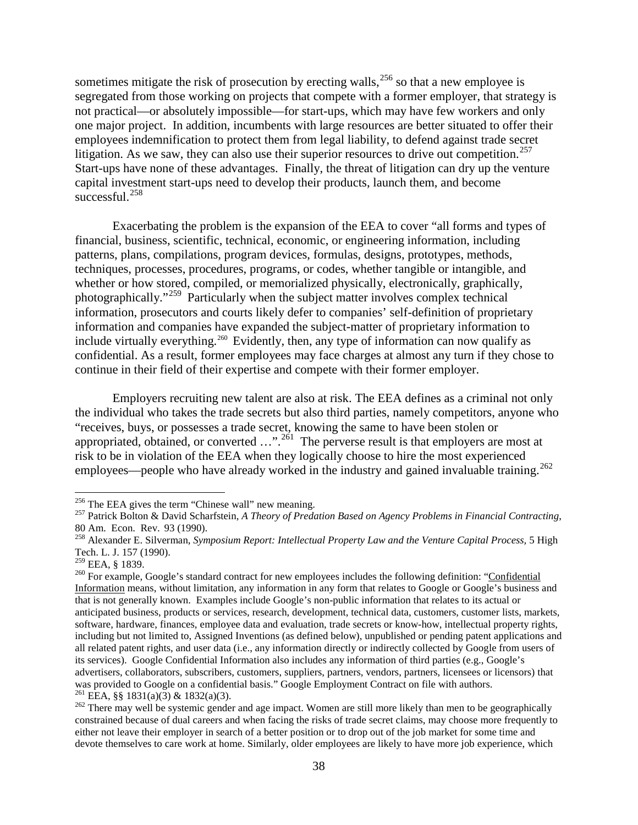sometimes mitigate the risk of prosecution by erecting walls,  $256$  so that a new employee is segregated from those working on projects that compete with a former employer, that strategy is not practical—or absolutely impossible—for start-ups, which may have few workers and only one major project. In addition, incumbents with large resources are better situated to offer their employees indemnification to protect them from legal liability, to defend against trade secret litigation. As we saw, they can also use their superior resources to drive out competition.<sup>[257](#page-39-1)</sup> Start-ups have none of these advantages. Finally, the threat of litigation can dry up the venture capital investment start-ups need to develop their products, launch them, and become successful. [258](#page-39-2)

Exacerbating the problem is the expansion of the EEA to cover "all forms and types of financial, business, scientific, technical, economic, or engineering information, including patterns, plans, compilations, program devices, formulas, designs, prototypes, methods, techniques, processes, procedures, programs, or codes, whether tangible or intangible, and whether or how stored, compiled, or memorialized physically, electronically, graphically, photographically."[259](#page-39-3) Particularly when the subject matter involves complex technical information, prosecutors and courts likely defer to companies' self-definition of proprietary information and companies have expanded the subject-matter of proprietary information to include virtually everything.<sup>[260](#page-39-4)</sup> Evidently, then, any type of information can now qualify as confidential. As a result, former employees may face charges at almost any turn if they chose to continue in their field of their expertise and compete with their former employer.

Employers recruiting new talent are also at risk. The EEA defines as a criminal not only the individual who takes the trade secrets but also third parties, namely competitors, anyone who "receives, buys, or possesses a trade secret, knowing the same to have been stolen or appropriated, obtained, or converted  $\ldots$ ".<sup>[261](#page-39-5)</sup> The perverse result is that employers are most at risk to be in violation of the EEA when they logically choose to hire the most experienced employees—people who have already worked in the industry and gained invaluable training.<sup>[262](#page-39-6)</sup>

<span id="page-39-1"></span><span id="page-39-0"></span><sup>&</sup>lt;sup>256</sup> The EEA gives the term "Chinese wall" new meaning.<br><sup>257</sup> Patrick Bolton & David Scharfstein, *A Theory of Predation Based on Agency Problems in Financial Contracting*,<br>80 Am. Econ. Rev. 93 (1990).

<span id="page-39-2"></span><sup>&</sup>lt;sup>258</sup> Alexander E. Silverman, *Symposium Report: Intellectual Property Law and the Venture Capital Process*, 5 High Tech. L. J. 157 (1990).<br><sup>259</sup> EEA, § 1839.

<span id="page-39-3"></span>

<span id="page-39-4"></span> $^{260}$  For example, Google's standard contract for new employees includes the following definition: "Confidential" Information means, without limitation, any information in any form that relates to Google or Google's business and that is not generally known. Examples include Google's non-public information that relates to its actual or anticipated business, products or services, research, development, technical data, customers, customer lists, markets, software, hardware, finances, employee data and evaluation, trade secrets or know-how, intellectual property rights, including but not limited to, Assigned Inventions (as defined below), unpublished or pending patent applications and all related patent rights, and user data (i.e., any information directly or indirectly collected by Google from users of its services). Google Confidential Information also includes any information of third parties (e.g., Google's advertisers, collaborators, subscribers, customers, suppliers, partners, vendors, partners, licensees or licensors) that was provided to Google on a confidential basis." Google Employment Contract on file with authors.<br><sup>261</sup> EEA, §§ 1831(a)(3) & 1832(a)(3).<br><sup>262</sup> There may well be systemic gender and age impact. Women are still more likely

<span id="page-39-6"></span><span id="page-39-5"></span>constrained because of dual careers and when facing the risks of trade secret claims, may choose more frequently to either not leave their employer in search of a better position or to drop out of the job market for some time and devote themselves to care work at home. Similarly, older employees are likely to have more job experience, which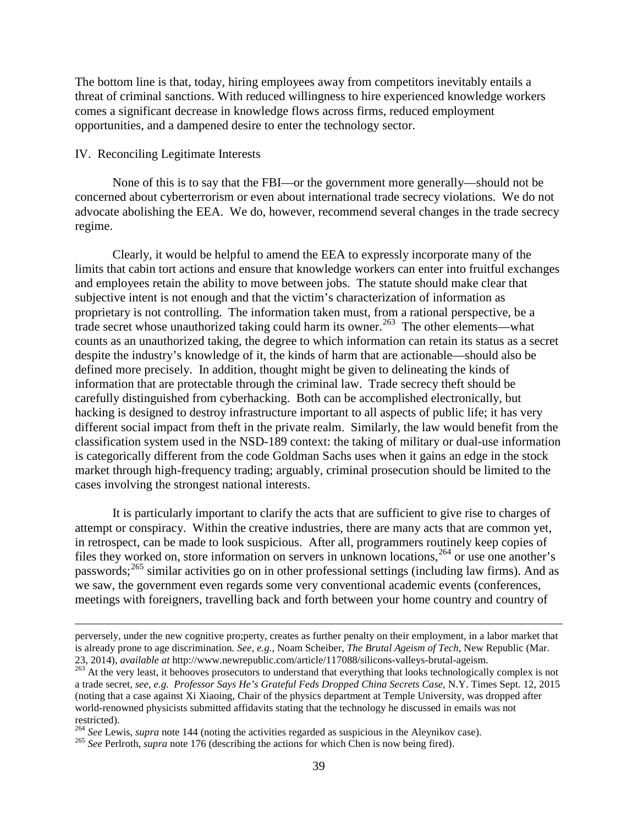The bottom line is that, today, hiring employees away from competitors inevitably entails a threat of criminal sanctions. With reduced willingness to hire experienced knowledge workers comes a significant decrease in knowledge flows across firms, reduced employment opportunities, and a dampened desire to enter the technology sector.

#### IV. Reconciling Legitimate Interests

 $\overline{a}$ 

None of this is to say that the FBI—or the government more generally—should not be concerned about cyberterrorism or even about international trade secrecy violations. We do not advocate abolishing the EEA. We do, however, recommend several changes in the trade secrecy regime.

Clearly, it would be helpful to amend the EEA to expressly incorporate many of the limits that cabin tort actions and ensure that knowledge workers can enter into fruitful exchanges and employees retain the ability to move between jobs. The statute should make clear that subjective intent is not enough and that the victim's characterization of information as proprietary is not controlling. The information taken must, from a rational perspective, be a trade secret whose unauthorized taking could harm its owner.[263](#page-40-0) The other elements—what counts as an unauthorized taking, the degree to which information can retain its status as a secret despite the industry's knowledge of it, the kinds of harm that are actionable—should also be defined more precisely. In addition, thought might be given to delineating the kinds of information that are protectable through the criminal law. Trade secrecy theft should be carefully distinguished from cyberhacking. Both can be accomplished electronically, but hacking is designed to destroy infrastructure important to all aspects of public life; it has very different social impact from theft in the private realm. Similarly, the law would benefit from the classification system used in the NSD-189 context: the taking of military or dual-use information is categorically different from the code Goldman Sachs uses when it gains an edge in the stock market through high-frequency trading; arguably, criminal prosecution should be limited to the cases involving the strongest national interests.

It is particularly important to clarify the acts that are sufficient to give rise to charges of attempt or conspiracy. Within the creative industries, there are many acts that are common yet, in retrospect, can be made to look suspicious. After all, programmers routinely keep copies of files they worked on, store information on servers in unknown locations,<sup>[264](#page-40-1)</sup> or use one another's passwords;<sup>[265](#page-40-2)</sup> similar activities go on in other professional settings (including law firms). And as we saw, the government even regards some very conventional academic events (conferences, meetings with foreigners, travelling back and forth between your home country and country of

perversely, under the new cognitive pro;perty, creates as further penalty on their employment, in a labor market that is already prone to age discrimination. *See, e.g.,* Noam Scheiber, *The Brutal Ageism of Tech*, New Republic (Mar.

<span id="page-40-0"></span><sup>&</sup>lt;sup>263</sup> At the very least, it behooves prosecutors to understand that everything that looks technologically complex is not a trade secret, *see, e.g. Professor Says He's Grateful Feds Dropped China Secrets Case,* N.Y. Times Sept. 12, 2015 (noting that a case against Xi Xiaoing, Chair of the physics department at Temple University, was dropped after world-renowned physicists submitted affidavits stating that the technology he discussed in emails was not restricted).<br><sup>264</sup> See Lewis, *supra* note 144 (noting the activities regarded as suspicious in the Aleynikov case).

<span id="page-40-1"></span>

<span id="page-40-2"></span><sup>&</sup>lt;sup>265</sup> See Perlroth, *supra* note [176](#page-25-11) (describing the actions for which Chen is now being fired).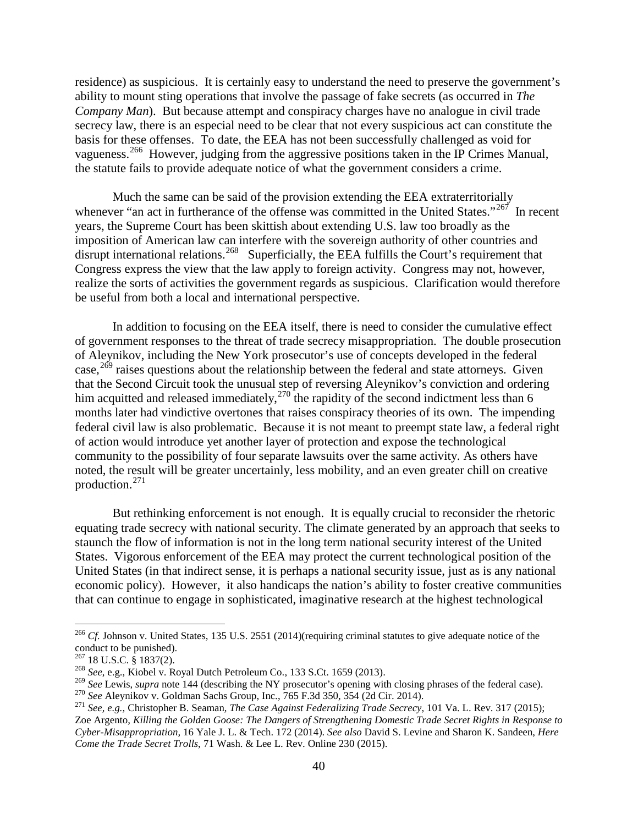residence) as suspicious. It is certainly easy to understand the need to preserve the government's ability to mount sting operations that involve the passage of fake secrets (as occurred in *The Company Man*). But because attempt and conspiracy charges have no analogue in civil trade secrecy law, there is an especial need to be clear that not every suspicious act can constitute the basis for these offenses. To date, the EEA has not been successfully challenged as void for vagueness.<sup>[266](#page-41-0)</sup> However, judging from the aggressive positions taken in the IP Crimes Manual, the statute fails to provide adequate notice of what the government considers a crime.

Much the same can be said of the provision extending the EEA extraterritorially whenever "an act in furtherance of the offense was committed in the United States."<sup>267</sup> In recent years, the Supreme Court has been skittish about extending U.S. law too broadly as the imposition of American law can interfere with the sovereign authority of other countries and disrupt international relations.<sup>[268](#page-41-2)</sup> Superficially, the EEA fulfills the Court's requirement that Congress express the view that the law apply to foreign activity. Congress may not, however, realize the sorts of activities the government regards as suspicious. Clarification would therefore be useful from both a local and international perspective.

In addition to focusing on the EEA itself, there is need to consider the cumulative effect of government responses to the threat of trade secrecy misappropriation. The double prosecution of Aleynikov, including the New York prosecutor's use of concepts developed in the federal case,  $269$  raises questions about the relationship between the federal and state attorneys. Given that the Second Circuit took the unusual step of reversing Aleynikov's conviction and ordering him acquitted and released immediately,  $270<sup>270</sup>$  $270<sup>270</sup>$  the rapidity of the second indictment less than 6 months later had vindictive overtones that raises conspiracy theories of its own. The impending federal civil law is also problematic. Because it is not meant to preempt state law, a federal right of action would introduce yet another layer of protection and expose the technological community to the possibility of four separate lawsuits over the same activity. As others have noted, the result will be greater uncertainly, less mobility, and an even greater chill on creative production.[271](#page-41-5)

But rethinking enforcement is not enough. It is equally crucial to reconsider the rhetoric equating trade secrecy with national security. The climate generated by an approach that seeks to staunch the flow of information is not in the long term national security interest of the United States. Vigorous enforcement of the EEA may protect the current technological position of the United States (in that indirect sense, it is perhaps a national security issue, just as is any national economic policy). However, it also handicaps the nation's ability to foster creative communities that can continue to engage in sophisticated, imaginative research at the highest technological

<span id="page-41-0"></span><sup>&</sup>lt;sup>266</sup> *Cf.* Johnson v. United States, 135 U.S. 2551 (2014)(requiring criminal statutes to give adequate notice of the conduct to be punished).<br> $^{267}$  18 U.S.C. § 1837(2).

<span id="page-41-3"></span><span id="page-41-2"></span><span id="page-41-1"></span><sup>&</sup>lt;sup>268</sup> *See*, e.g., Kiobel v. Royal Dutch Petroleum Co., 133 S.Ct. 1659 (2013).<br><sup>269</sup> *See* Lewis, *supra* note 144 (describing the NY prosecutor's opening with closing phrases of the federal case).

<span id="page-41-5"></span><span id="page-41-4"></span><sup>&</sup>lt;sup>270</sup> See Aleynikov v. Goldman Sachs Group, Inc., 765 F.3d 350, 354 (2d Cir. 2014).<br><sup>271</sup> See, e.g., Christopher B. Seaman, *The Case Against Federalizing Trade Secrecy*, 101 Va. L. Rev. 317 (2015); Zoe Argento*, Killing the Golden Goose: The Dangers of Strengthening Domestic Trade Secret Rights in Response to Cyber-Misappropriation,* 16 Yale J. L. & Tech. 172 (2014). *See also* David S. Levine and Sharon K. Sandeen, *Here Come the Trade Secret Trolls*, 71 Wash. & Lee L. Rev. Online 230 (2015).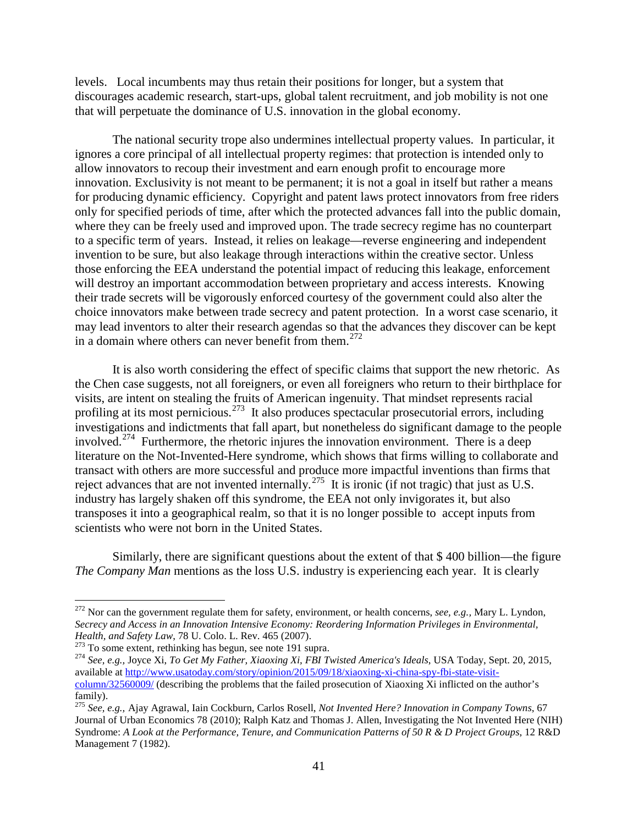levels. Local incumbents may thus retain their positions for longer, but a system that discourages academic research, start-ups, global talent recruitment, and job mobility is not one that will perpetuate the dominance of U.S. innovation in the global economy.

The national security trope also undermines intellectual property values. In particular, it ignores a core principal of all intellectual property regimes: that protection is intended only to allow innovators to recoup their investment and earn enough profit to encourage more innovation. Exclusivity is not meant to be permanent; it is not a goal in itself but rather a means for producing dynamic efficiency. Copyright and patent laws protect innovators from free riders only for specified periods of time, after which the protected advances fall into the public domain, where they can be freely used and improved upon. The trade secrecy regime has no counterpart to a specific term of years. Instead, it relies on leakage—reverse engineering and independent invention to be sure, but also leakage through interactions within the creative sector. Unless those enforcing the EEA understand the potential impact of reducing this leakage, enforcement will destroy an important accommodation between proprietary and access interests. Knowing their trade secrets will be vigorously enforced courtesy of the government could also alter the choice innovators make between trade secrecy and patent protection. In a worst case scenario, it may lead inventors to alter their research agendas so that the advances they discover can be kept in a domain where others can never benefit from them.<sup>[272](#page-42-0)</sup>

It is also worth considering the effect of specific claims that support the new rhetoric. As the Chen case suggests, not all foreigners, or even all foreigners who return to their birthplace for visits, are intent on stealing the fruits of American ingenuity. That mindset represents racial profiling at its most pernicious.<sup>[273](#page-42-1)</sup> It also produces spectacular prosecutorial errors, including investigations and indictments that fall apart, but nonetheless do significant damage to the people involved.<sup>[274](#page-42-2)</sup> Furthermore, the rhetoric injures the innovation environment. There is a deep literature on the Not-Invented-Here syndrome, which shows that firms willing to collaborate and transact with others are more successful and produce more impactful inventions than firms that reject advances that are not invented internally.<sup>275</sup> It is ironic (if not tragic) that just as U.S. industry has largely shaken off this syndrome, the EEA not only invigorates it, but also transposes it into a geographical realm, so that it is no longer possible to accept inputs from scientists who were not born in the United States.

Similarly, there are significant questions about the extent of that \$ 400 billion—the figure *The Company Man* mentions as the loss U.S. industry is experiencing each year. It is clearly

<span id="page-42-0"></span> <sup>272</sup> Nor can the government regulate them for safety, environment, or health concerns, *see, e.g.,* Mary L. Lyndon, *Secrecy and Access in an Innovation Intensive Economy: Reordering Information Privileges in Environmental, Health, and Safety Law, 78 U. Colo. L. Rev. 465 (2007).*<br><sup>273</sup> To some extent, rethinking has begun, see note 191

<span id="page-42-2"></span><span id="page-42-1"></span><sup>&</sup>lt;sup>274</sup> See, e.g., Joyce Xi, To Get My Father, Xiaoxing Xi, FBI Twisted America's Ideals, USA Today, Sept. 20, 2015, available at [http://www.usatoday.com/story/opinion/2015/09/18/xiaoxing-xi-china-spy-fbi-state-visit](http://www.usatoday.com/story/opinion/2015/09/18/xiaoxing-xi-china-spy-fbi-state-visit-column/32560009/)[column/32560009/](http://www.usatoday.com/story/opinion/2015/09/18/xiaoxing-xi-china-spy-fbi-state-visit-column/32560009/) (describing the problems that the failed prosecution of Xiaoxing Xi inflicted on the author's family).

<span id="page-42-3"></span><sup>275</sup> *See, e.g.,* Ajay Agrawal, Iain Cockburn, Carlos Rosell, *Not Invented Here? Innovation in Company Towns*, 67 Journal of Urban Economics 78 (2010); Ralph Katz and Thomas J. Allen, Investigating the Not Invented Here (NIH) Syndrome: *A Look at the Performance, Tenure, and Communication Patterns of 50 R & D Project Groups*, 12 R&D Management 7 (1982).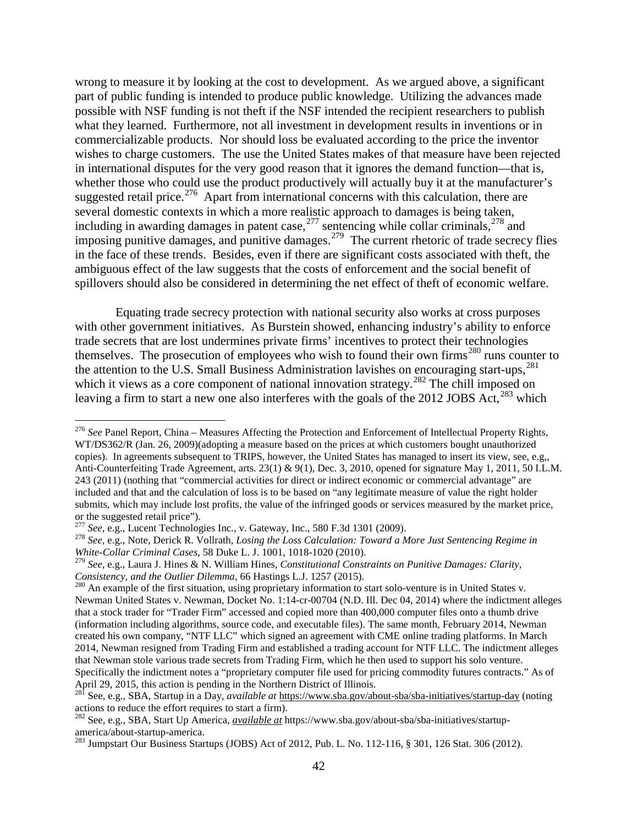wrong to measure it by looking at the cost to development. As we argued above, a significant part of public funding is intended to produce public knowledge. Utilizing the advances made possible with NSF funding is not theft if the NSF intended the recipient researchers to publish what they learned. Furthermore, not all investment in development results in inventions or in commercializable products. Nor should loss be evaluated according to the price the inventor wishes to charge customers. The use the United States makes of that measure have been rejected in international disputes for the very good reason that it ignores the demand function—that is, whether those who could use the product productively will actually buy it at the manufacturer's suggested retail price.<sup>276</sup> Apart from international concerns with this calculation, there are several domestic contexts in which a more realistic approach to damages is being taken, including in awarding damages in patent case,  $277$  sentencing while collar criminals,  $278$  and imposing punitive damages, and punitive damages.<sup>[279](#page-43-3)</sup> The current rhetoric of trade secrecy flies in the face of these trends. Besides, even if there are significant costs associated with theft, the ambiguous effect of the law suggests that the costs of enforcement and the social benefit of spillovers should also be considered in determining the net effect of theft of economic welfare.

Equating trade secrecy protection with national security also works at cross purposes with other government initiatives. As Burstein showed, enhancing industry's ability to enforce trade secrets that are lost undermines private firms' incentives to protect their technologies themselves. The prosecution of employees who wish to found their own firms<sup>[280](#page-43-4)</sup> runs counter to the attention to the U.S. Small Business Administration lavishes on encouraging start-ups,<sup>[281](#page-43-5)</sup> which it views as a core component of national innovation strategy.<sup>[282](#page-43-6)</sup> The chill imposed on leaving a firm to start a new one also interferes with the goals of the 2012 JOBS Act,<sup>[283](#page-43-7)</sup> which

<span id="page-43-2"></span><span id="page-43-1"></span><sup>278</sup> See, e.g., Note, Derick R. Vollrath, *Losing the Loss Calculation: Toward a More Just Sentencing Regime in White-Collar Criminal Cases*, 58 Duke L. J. 1001, 1018-1020 (2010).

<span id="page-43-0"></span> <sup>276</sup> *See* Panel Report, China – Measures Affecting the Protection and Enforcement of Intellectual Property Rights, WT/DS362/R (Jan. 26, 2009)(adopting a measure based on the prices at which customers bought unauthorized copies). In agreements subsequent to TRIPS, however, the United States has managed to insert its view, see, e.g,, Anti-Counterfeiting Trade Agreement, arts. 23(1) & 9(1), Dec. 3, 2010, opened for signature May 1, 2011, 50 I.L.M. 243 (2011) (nothing that "commercial activities for direct or indirect economic or commercial advantage" are included and that and the calculation of loss is to be based on "any legitimate measure of value the right holder submits, which may include lost profits, the value of the infringed goods or services measured by the market price, or the suggested retail price").<br>
<sup>277</sup> See, e.g., Lucent Technologies Inc., v. Gateway, Inc., 580 F.3d 1301 (2009).

<span id="page-43-3"></span><sup>279</sup> *See*, e.g., Laura J. Hines & N. William Hines, *Constitutional Constraints on Punitive Damages: Clarity, Consistency, and the Outlier Dilemma*, 66 Hastings L.J. 1257 (2015).<br><sup>280</sup> An example of the first situation, using proprietary information to start solo-venture is in United States v.

<span id="page-43-4"></span>Newman United States v. Newman, Docket No. 1:14-cr-00704 (N.D. Ill. Dec 04, 2014) where the indictment alleges that a stock trader for "Trader Firm" accessed and copied more than 400,000 computer files onto a thumb drive (information including algorithms, source code, and executable files). The same month, February 2014, Newman created his own company, "NTF LLC" which signed an agreement with CME online trading platforms. In March 2014, Newman resigned from Trading Firm and established a trading account for NTF LLC. The indictment alleges that Newman stole various trade secrets from Trading Firm, which he then used to support his solo venture. Specifically the indictment notes a "proprietary computer file used for pricing commodity futures contracts." As of April 29, 2015, this action is pending in the Northern District of Illinois.

<span id="page-43-5"></span><sup>281</sup> See, e.g., SBA, Startup in a Day, *available at* <https://www.sba.gov/about-sba/sba-initiatives/startup-day> (noting actions to reduce the effort requires to start a firm).

<span id="page-43-6"></span><sup>282</sup> See, e.g., SBA, Start Up America, *available at* https://www.sba.gov/about-sba/sba-initiatives/startupamerica/about-startup-america. <sup>283</sup> Jumpstart Our Business Startups (JOBS) Act of 2012, Pub. L. No. 112-116, § 301, 126 Stat. 306 (2012).

<span id="page-43-7"></span>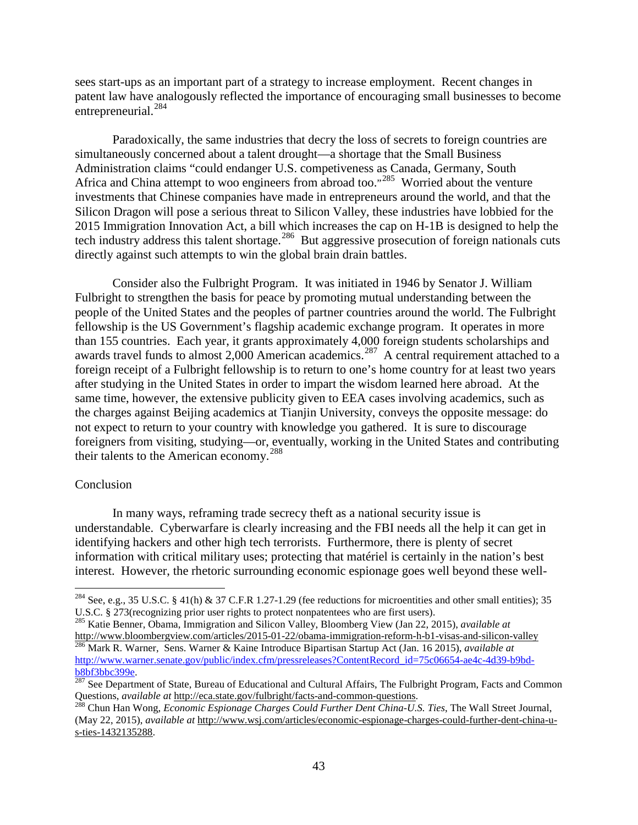sees start-ups as an important part of a strategy to increase employment. Recent changes in patent law have analogously reflected the importance of encouraging small businesses to become entrepreneurial.<sup>[284](#page-44-0)</sup>

Paradoxically, the same industries that decry the loss of secrets to foreign countries are simultaneously concerned about a talent drought—a shortage that the Small Business Administration claims "could endanger U.S. competiveness as Canada, Germany, South Africa and China attempt to woo engineers from abroad too."<sup>[285](#page-44-1)</sup> Worried about the venture investments that Chinese companies have made in entrepreneurs around the world, and that the Silicon Dragon will pose a serious threat to Silicon Valley, these industries have lobbied for the 2015 Immigration Innovation Act, a bill which increases the cap on H-1B is designed to help the tech industry address this talent shortage.<sup>[286](#page-44-2)</sup> But aggressive prosecution of foreign nationals cuts directly against such attempts to win the global brain drain battles.

Consider also the Fulbright Program. It was initiated in 1946 by Senator J. William Fulbright to strengthen the basis for peace by promoting mutual understanding between the people of the United States and the peoples of partner countries around the world. The Fulbright fellowship is the US Government's flagship academic exchange program. It operates in more than 155 countries. Each year, it grants approximately 4,000 foreign students scholarships and awards travel funds to almost  $2,000$  American academics.<sup>[287](#page-44-3)</sup> A central requirement attached to a foreign receipt of a Fulbright fellowship is to return to one's home country for at least two years after studying in the United States in order to impart the wisdom learned here abroad. At the same time, however, the extensive publicity given to EEA cases involving academics, such as the charges against Beijing academics at Tianjin University, conveys the opposite message: do not expect to return to your country with knowledge you gathered. It is sure to discourage foreigners from visiting, studying—or, eventually, working in the United States and contributing their talents to the American economy. [288](#page-44-4)

#### Conclusion

In many ways, reframing trade secrecy theft as a national security issue is understandable. Cyberwarfare is clearly increasing and the FBI needs all the help it can get in identifying hackers and other high tech terrorists. Furthermore, there is plenty of secret information with critical military uses; protecting that matériel is certainly in the nation's best interest. However, the rhetoric surrounding economic espionage goes well beyond these well-

<span id="page-44-0"></span><sup>&</sup>lt;sup>284</sup> See, e.g., 35 U.S.C. § 41(h) & 37 C.F.R 1.27-1.29 (fee reductions for microentities and other small entities); 35 U.S.C. § 273(recognizing prior user rights to protect nonpatentees who are first users).

<span id="page-44-1"></span><sup>285</sup> Katie Benner, Obama, Immigration and Silicon Valley, Bloomberg View (Jan 22, 2015), *available at* <http://www.bloombergview.com/articles/2015-01-22/obama-immigration-reform-h-b1-visas-and-silicon-valley> <sup>286</sup> Mark R. Warner, Sens. Warner & Kaine Introduce Bipartisan Startup Act (Jan. 16 2015), *available at*

<span id="page-44-2"></span>[http://www.warner.senate.gov/public/index.cfm/pressreleases?ContentRecord\\_id=75c06654-ae4c-4d39-b9bd-](http://www.warner.senate.gov/public/index.cfm/pressreleases?ContentRecord_id=75c06654-ae4c-4d39-b9bd-b8bf3bbc399e)

<span id="page-44-3"></span>**[b8bf3bbc399e.](http://www.warner.senate.gov/public/index.cfm/pressreleases?ContentRecord_id=75c06654-ae4c-4d39-b9bd-b8bf3bbc399e)**<br><sup>[287](http://www.warner.senate.gov/public/index.cfm/pressreleases?ContentRecord_id=75c06654-ae4c-4d39-b9bd-b8bf3bbc399e)</sup> See Department of State, Bureau of Educational and Cultural Affairs, The Fulbright Program, Facts and Common<br>Questions, *available at* http://eca.state.gov/fulbright/facts-and-common-questions.

<span id="page-44-4"></span>Questions, *available at* [http://eca.state.gov/fulbright/facts-and-common-questions.](http://eca.state.gov/fulbright/facts-and-common-questions) 288 Chun Han Wong, *Economic Espionage Charges Could Further Dent China-U.S. Ties*, The Wall Street Journal, (May 22, 2015), *available at* [http://www.wsj.com/articles/economic-espionage-charges-could-further-dent-china-u](http://www.wsj.com/articles/economic-espionage-charges-could-further-dent-china-u-s-ties-1432135288)[s-ties-1432135288.](http://www.wsj.com/articles/economic-espionage-charges-could-further-dent-china-u-s-ties-1432135288)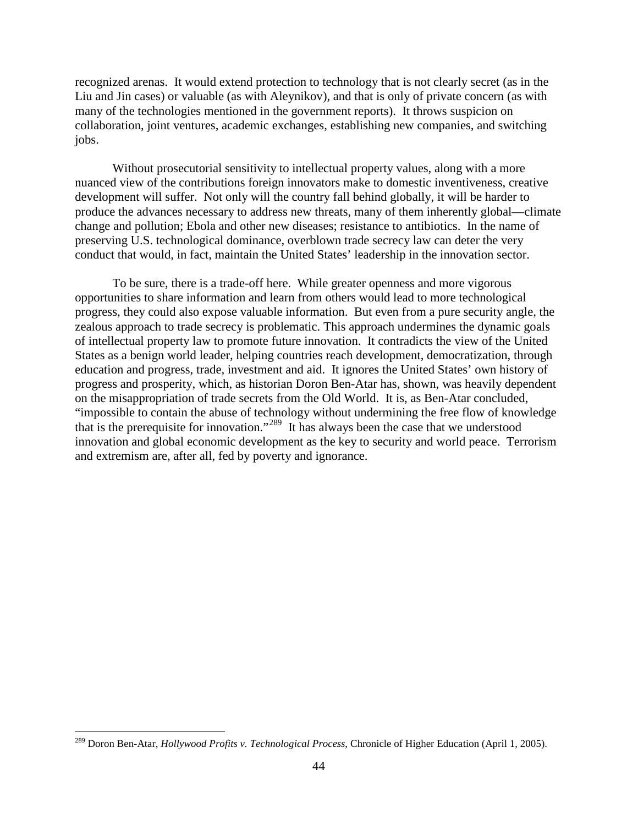recognized arenas. It would extend protection to technology that is not clearly secret (as in the Liu and Jin cases) or valuable (as with Aleynikov), and that is only of private concern (as with many of the technologies mentioned in the government reports). It throws suspicion on collaboration, joint ventures, academic exchanges, establishing new companies, and switching jobs.

Without prosecutorial sensitivity to intellectual property values, along with a more nuanced view of the contributions foreign innovators make to domestic inventiveness, creative development will suffer. Not only will the country fall behind globally, it will be harder to produce the advances necessary to address new threats, many of them inherently global—climate change and pollution; Ebola and other new diseases; resistance to antibiotics. In the name of preserving U.S. technological dominance, overblown trade secrecy law can deter the very conduct that would, in fact, maintain the United States' leadership in the innovation sector.

To be sure, there is a trade-off here. While greater openness and more vigorous opportunities to share information and learn from others would lead to more technological progress, they could also expose valuable information. But even from a pure security angle, the zealous approach to trade secrecy is problematic. This approach undermines the dynamic goals of intellectual property law to promote future innovation. It contradicts the view of the United States as a benign world leader, helping countries reach development, democratization, through education and progress, trade, investment and aid. It ignores the United States' own history of progress and prosperity, which, as historian Doron Ben-Atar has, shown, was heavily dependent on the misappropriation of trade secrets from the Old World. It is, as Ben-Atar concluded, "impossible to contain the abuse of technology without undermining the free flow of knowledge that is the prerequisite for innovation."<sup>[289](#page-45-0)</sup> It has always been the case that we understood innovation and global economic development as the key to security and world peace. Terrorism and extremism are, after all, fed by poverty and ignorance.

<span id="page-45-0"></span> <sup>289</sup> Doron Ben-Atar, *Hollywood Profits v. Technological Process*, Chronicle of Higher Education (April 1, 2005).